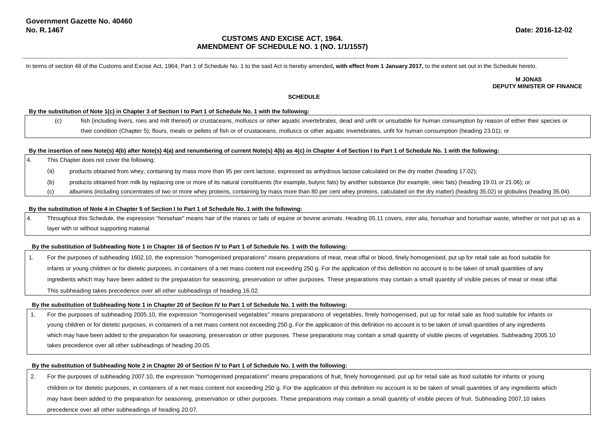# **CUSTOMS AND EXCISE ACT, 1964. AMENDMENT OF SCHEDULE NO. 1 (NO. 1/1/1557)**

In terms of section 48 of the Customs and Excise Act, 1964, Part 1 of Schedule No. 1 to the said Act is hereby amended**, with effect from 1 January 2017,** to the extent set out in the Schedule hereto.

**\_\_\_\_\_\_\_\_\_\_\_\_\_\_\_\_\_\_\_\_\_\_\_\_\_\_\_\_\_\_\_\_\_\_\_\_\_\_\_\_\_\_\_\_\_\_\_\_\_\_\_\_\_\_\_\_\_\_\_\_\_\_\_\_\_\_\_\_\_\_\_\_\_\_\_\_\_\_\_\_\_\_\_\_\_\_\_\_\_\_\_\_\_\_\_\_\_\_\_\_\_\_\_\_\_\_\_\_\_\_\_\_\_\_\_\_\_\_\_\_\_\_\_\_\_\_\_\_\_\_\_\_\_\_\_\_**

**M JONAS DEPUTY MINISTER OF FINANCE**

#### **SCHEDULE**

#### **By the substitution of Note 1(c) in Chapter 3 of Section I to Part 1 of Schedule No. 1 with the following:**

(c) fish (including livers, roes and milt thereof) or crustaceans, molluscs or other aquatic invertebrates, dead and unfit or unsuitable for human consumption by reason of either their species or their condition (Chapter 5); flours, meals or pellets of fish or of crustaceans, molluscs or other aquatic invertebrates, unfit for human consumption (heading 23.01); or

#### **By the insertion of new Note(s) 4(b) after Note(s) 4(a) and renumbering of current Note(s) 4(b) as 4(c) in Chapter 4 of Section I to Part 1 of Schedule No. 1 with the following:**

4. This Chapter does not cover the following:

(a) products obtained from whey, containing by mass more than 95 per cent lactose, expressed as anhydrous lactose calculated on the dry matter (heading 17.02);

- (b) products obtained from milk by replacing one or more of its natural constituents (for example, butyric fats) by another substance (for example, oleic fats) (heading 19.01 or 21.06); or
- (c) albumins (including concentrates of two or more whey proteins, containing by mass more than 80 per cent whey proteins, calculated on the dry matter) (heading 35.02) or globulins (heading 35.04).

#### **By the substitution of Note 4 in Chapter 5 of Section I to Part 1 of Schedule No. 1 with the following:**

4. Throughout this Schedule, the expression "horsehair" means hair of the manes or tails of equine or bovine animals. Heading 05.11 covers, *inter alia*, horsehair and horsehair waste, whether or not put up as a layer with or without supporting material.

#### **By the substitution of Subheading Note 1 in Chapter 16 of Section IV to Part 1 of Schedule No. 1 with the following:**

1. For the purposes of subheading 1602.10, the expression "homogenised preparations" means preparations of meat, meat offal or blood, finely homogenised, put up for retail sale as food suitable for infants or young children or for dietetic purposes, in containers of a net mass content not exceeding 250 g. For the application of this definition no account is to be taken of small quantities of any ingredients which may have been added to the preparation for seasoning, preservation or other purposes. These preparations may contain a small quantity of visible pieces of meat or meat offal. This subheading takes precedence over all other subheadings of heading 16.02.

#### **By the substitution of Subheading Note 1 in Chapter 20 of Section IV to Part 1 of Schedule No. 1 with the following:**

1. For the purposes of subheading 2005.10, the expression "homogenised vegetables" means preparations of vegetables, finely homogenised, put up for retail sale as food suitable for infants or young children or for dietetic purposes, in containers of a net mass content not exceeding 250 g. For the application of this definition no account is to be taken of small quantities of any ingredients which may have been added to the preparation for seasoning, preservation or other purposes. These preparations may contain a small quantity of visible pieces of vegetables. Subheading 2005.10 takes precedence over all other subheadings of heading 20.05.

## **By the substitution of Subheading Note 2 in Chapter 20 of Section IV to Part 1 of Schedule No. 1 with the following:**

2. For the purposes of subheading 2007.10, the expression "homogenised preparations" means preparations of fruit, finely homogenised, put up for retail sale as food suitable for infants or young children or for dietetic purposes, in containers of a net mass content not exceeding 250 g. For the application of this definition no account is to be taken of small quantities of any ingredients which may have been added to the preparation for seasoning, preservation or other purposes. These preparations may contain a small quantity of visible pieces of fruit. Subheading 2007.10 takes precedence over all other subheadings of heading 20.07.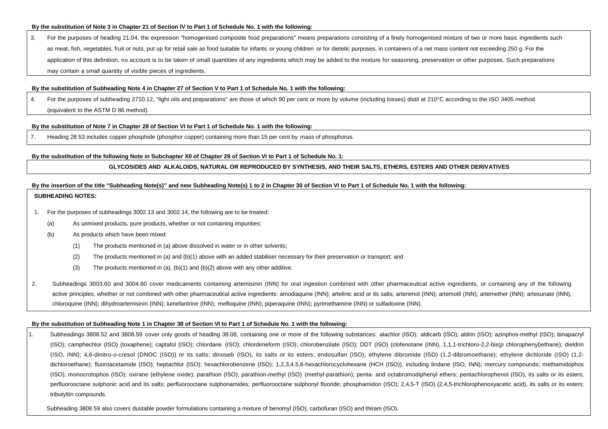#### **By the substitution of Note 3 in Chapter 21 of Section IV to Part 1 of Schedule No. 1 with the following:**

3. For the purposes of heading 21.04, the expression "homogenised composite food preparations" means preparations consisting of a finely homogenised mixture of two or more basic ingredients such as meat, fish, vegetables, fruit or nuts, put up for retail sale as food suitable for infants or young children or for dietetic purposes, in containers of a net mass content not exceeding 250 g. For the application of this definition, no account is to be taken of small quantities of any ingredients which may be added to the mixture for seasoning, preservation or other purposes. Such preparations may contain a small quantity of visible pieces of ingredients.

## **By the substitution of Subheading Note 4 in Chapter 27 of Section V to Part 1 of Schedule No. 1 with the following:**

4. For the purposes of subheading 2710.12, "light oils and preparations" are those of which 90 per cent or more by volume (including losses) distil at 210°C according to the ISO 3405 method (equivalent to the ASTM D 86 method).

### **By the substitution of Note 7 in Chapter 28 of Section VI to Part 1 of Schedule No. 1 with the following:**

7. Heading 28.53 includes copper phosphide (phosphor copper) containing more than 15 per cent by mass of phosphorus.

### **By the substitution of the following Note in Subchapter XII of Chapter 29 of Section VI to Part 1 of Schedule No. 1:**

### **GLYCOSIDES AND ALKALOIDS, NATURAL OR REPRODUCED BY SYNTHESIS, AND THEIR SALTS, ETHERS, ESTERS AND OTHER DERIVATIVES**

### **By the insertion of the title "Subheading Note(s)" and new Subheading Note(s) 1 to 2 in Chapter 30 of Section VI to Part 1 of Schedule No. 1 with the following:**

### **SUBHEADING NOTES:**

- 1. For the purposes of subheadings 3002.13 and 3002.14, the following are to be treated:
	- (a) As unmixed products, pure products, whether or not containing impurities;
	- (b) As products which have been mixed:
		- (1) The products mentioned in (a) above dissolved in water or in other solvents;
		- (2) The products mentioned in (a) and (b)(1) above with an added stabiliser necessary for their preservation or transport; and
		- (3) The products mentioned in (a), (b)(1) and (b)(2) above with any other additive.
- 2. Subheadings 3003.60 and 3004.60 cover medicaments containing artemisinin (INN) for oral ingestion combined with other pharmaceutical active ingredients, or containing any of the following active principles, whether or not combined with other pharmaceutical active ingredients: amodiaquine (INN); artelinic acid or its salts; artenimol (INN); artemotil (INN); artemether (INN); artesunate (INN), chloroquine (INN); dihydroartemisinin (INN); lumefantrine (INN); mefloquine (INN); piperaquine (INN); pyrimethamine (INN) or sulfadoxine (INN).

# **By the substitution of Subheading Note 1 in Chapter 38 of Section VI to Part 1 of Schedule No. 1 with the following:**

1. Subheadings 3808.52 and 3808.59 cover only goods of heading 38.08, containing one or more of the following substances: alachlor (ISO); aldicarb (ISO); aldrin (ISO); azinphos-methyl (ISO); binapacryl (ISO); camphechlor (ISO) (toxaphene); captafol (ISO); chlordane (ISO); chlordimeform (ISO); chlorobenzilate (ISO); DDT (ISO) (clofenotane (INN), 1,1,1-trichloro-2,2-bis(*p* chlorophenyl)ethane); dieldrin (ISO, INN); 4,6-dinitro-*o*-cresol (DNOC (ISO)) or its salts; dinoseb (ISO), its salts or its esters; endosulfan (ISO); ethylene dibromide (ISO) (1,2-dibromoethane); ethylene dichloride (ISO) (1,2 dichloroethane); fluoroacetamide (ISO); heptachlor (ISO); hexachlorobenzene (ISO); 1,2,3,4,5,6-hexachlorocyclohexane (HCH (ISO)), including lindane (ISO, INN); mercury compounds; methamidophos (ISO); monocrotophos (ISO); oxirane (ethylene oxide); parathion (ISO); parathion-methyl (ISO) (methyl-parathion); penta- and octabromodiphenyl ethers; pentachlorophenol (ISO), its salts or its esters; perfluorooctane sulphonic acid and its salts; perfluorooctane sulphonamides; perfluorooctane sulphonyl fluoride; phosphamidon (ISO); 2,4,5-T (ISO) (2,4,5-trichlorophenoxyacetic acid), its salts or its esters; tributyltin compounds.

Subheading 3808.59 also covers dustable powder formulations containing a mixture of benomyl (ISO), carbofuran (ISO) and thiram (ISO).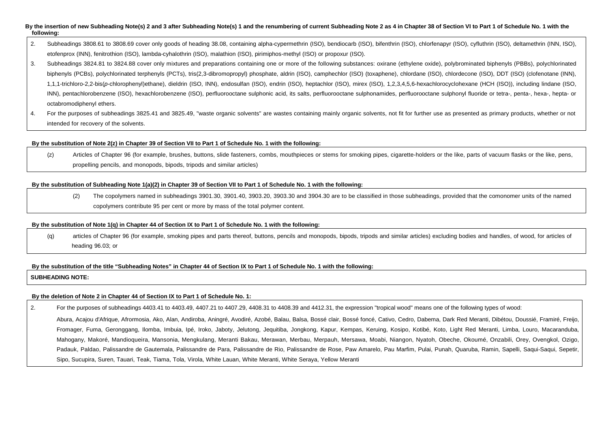By the insertion of new Subheading Note(s) 2 and 3 after Subheading Note(s) 1 and the renumbering of current Subheading Note 2 as 4 in Chapter 38 of Section VI to Part 1 of Schedule No. 1 with the **following:** 

- 2. Subheadings 3808.61 to 3808.69 cover only goods of heading 38.08, containing alpha-cypermethrin (ISO), bendiocarb (ISO), bifenthrin (ISO), chlorfenapyr (ISO), cyfluthrin (ISO), deltamethrin (INN, ISO), etofenprox (INN), fenitrothion (ISO), lambda-cyhalothrin (ISO), malathion (ISO), pirimiphos-methyl (ISO) or propoxur (ISO).
- 3. Subheadings 3824.81 to 3824.88 cover only mixtures and preparations containing one or more of the following substances: oxirane (ethylene oxide), polybrominated biphenyls (PBBs), polychlorinated biphenyls (PCBs), polychlorinated terphenyls (PCTs), tris(2,3-dibromopropyl) phosphate, aldrin (ISO), camphechlor (ISO) (toxaphene), chlordane (ISO), chlordecone (ISO), DDT (ISO) (clofenotane (INN), 1,1,1-trichloro-2,2-bis(*p*-chlorophenyl)ethane), dieldrin (ISO, INN), endosulfan (ISO), endrin (ISO), heptachlor (ISO), mirex (ISO), 1,2,3,4,5,6-hexachlorocyclohexane (HCH (ISO)), including lindane (ISO, INN), pentachlorobenzene (ISO), hexachlorobenzene (ISO), perfluorooctane sulphonic acid, its salts, perfluorooctane sulphonamides, perfluorooctane sulphonyl fluoride or tetra-, penta-, hepta- or octabromodiphenyl ethers.
- 4. For the purposes of subheadings 3825.41 and 3825.49, "waste organic solvents" are wastes containing mainly organic solvents, not fit for further use as presented as primary products, whether or not intended for recovery of the solvents.

### **By the substitution of Note 2(z) in Chapter 39 of Section VII to Part 1 of Schedule No. 1 with the following:**

(z) Articles of Chapter 96 (for example, brushes, buttons, slide fasteners, combs, mouthpieces or stems for smoking pipes, cigarette-holders or the like, parts of vacuum flasks or the like, pens, propelling pencils, and monopods, bipods, tripods and similar articles)

## **By the substitution of Subheading Note 1(a)(2) in Chapter 39 of Section VII to Part 1 of Schedule No. 1 with the following:**

(2) The copolymers named in subheadings 3901.30, 3901.40, 3903.20, 3903.30 and 3904.30 are to be classified in those subheadings, provided that the comonomer units of the named copolymers contribute 95 per cent or more by mass of the total polymer content.

## **By the substitution of Note 1(q) in Chapter 44 of Section IX to Part 1 of Schedule No. 1 with the following:**

(q) articles of Chapter 96 (for example, smoking pipes and parts thereof, buttons, pencils and monopods, bipods, tripods and similar articles) excluding bodies and handles, of wood, for articles of heading 96.03; or

# **By the substitution of the title "Subheading Notes" in Chapter 44 of Section IX to Part 1 of Schedule No. 1 with the following:**

## **SUBHEADING NOTE:**

## **By the deletion of Note 2 in Chapter 44 of Section IX to Part 1 of Schedule No. 1:**

2. For the purposes of subheadings 4403.41 to 4403.49, 4407.21 to 4407.29, 4408.31 to 4408.39 and 4412.31, the expression "tropical wood" means one of the following types of wood:

Abura, Acajou d'Afrique, Afrormosia, Ako, Alan, Andiroba, Aningré, Avodiré, Azobé, Balau, Balsa, Bossé clair, Bossé foncé, Cativo, Cedro, Dabema, Dark Red Meranti, Dibétou, Doussié, Framiré, Freijo, Fromager, Fuma, Geronggang, Ilomba, Imbuia, Ipé, Iroko, Jaboty, Jelutong, Jequitiba, Jongkong, Kapur, Kempas, Keruing, Kosipo, Kotibé, Koto, Light Red Meranti, Limba, Louro, Macaranduba, Mahogany, Makoré, Mandioqueira, Mansonia, Mengkulang, Meranti Bakau, Merawan, Merbau, Merpauh, Mersawa, Moabi, Niangon, Nyatoh, Obeche, Okoumé, Onzabili, Orey, Ovengkol, Ozigo, Padauk, Paldao, Palissandre de Gautemala, Palissandre de Para, Palissandre de Rio, Palissandre de Rose, Paw Amarelo, Pau Marfim, Pulai, Punah, Quaruba, Ramin, Sapelli, Saqui-Saqui, Sepetir, Sipo, Sucupira, Suren, Tauari, Teak, Tiama, Tola, Virola, White Lauan, White Meranti, White Seraya, Yellow Meranti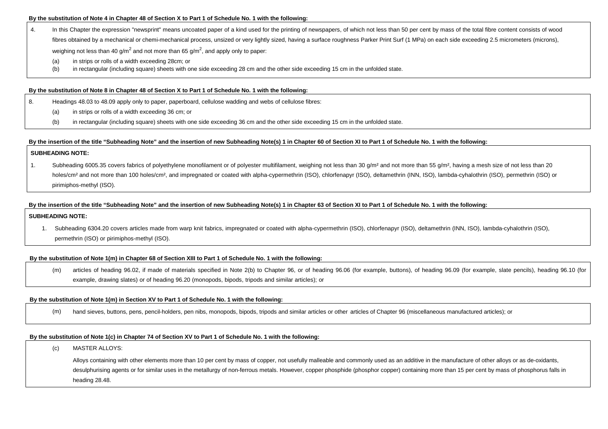#### **By the substitution of Note 4 in Chapter 48 of Section X to Part 1 of Schedule No. 1 with the following:**

4. In this Chapter the expression "newsprint" means uncoated paper of a kind used for the printing of newspapers, of which not less than 50 per cent by mass of the total fibre content consists of wood fibres obtained by a mechanical or chemi-mechanical process, unsized or very lightly sized, having a surface roughness Parker Print Surf (1 MPa) on each side exceeding 2.5 micrometers (microns), weighing not less than 40 g/m<sup>2</sup> and not more than 65 g/m<sup>2</sup>, and apply only to paper:

- (a) in strips or rolls of a width exceeding 28cm; or
- (b) in rectangular (including square) sheets with one side exceeding 28 cm and the other side exceeding 15 cm in the unfolded state.

## **By the substitution of Note 8 in Chapter 48 of Section X to Part 1 of Schedule No. 1 with the following:**

8. Headings 48.03 to 48.09 apply only to paper, paperboard, cellulose wadding and webs of cellulose fibres:

- (a) in strips or rolls of a width exceeding 36 cm; or
- (b) in rectangular (including square) sheets with one side exceeding 36 cm and the other side exceeding 15 cm in the unfolded state.

#### **By the insertion of the title "Subheading Note" and the insertion of new Subheading Note(s) 1 in Chapter 60 of Section XI to Part 1 of Schedule No. 1 with the following:**

# **SUBHEADING NOTE:**

1. Subheading 6005.35 covers fabrics of polyethylene monofilament or of polyester multifilament, weighing not less than 30 g/m<sup>2</sup> and not more than 55 g/m<sup>2</sup>, having a mesh size of not less than 20 holes/cm<sup>2</sup> and not more than 100 holes/cm<sup>2</sup>, and impregnated or coated with alpha-cypermethrin (ISO), chlorfenapyr (ISO), deltamethrin (INN, ISO), lambda-cyhalothrin (ISO), permethrin (ISO) or pirimiphos-methyl (ISO).

### **By the insertion of the title "Subheading Note" and the insertion of new Subheading Note(s) 1 in Chapter 63 of Section XI to Part 1 of Schedule No. 1 with the following:**

#### **SUBHEADING NOTE:**

1. Subheading 6304.20 covers articles made from warp knit fabrics, impregnated or coated with alpha-cypermethrin (ISO), chlorfenapyr (ISO), deltamethrin (INN, ISO), lambda-cyhalothrin (ISO), permethrin (ISO) or pirimiphos-methyl (ISO).

#### **By the substitution of Note 1(m) in Chapter 68 of Section XIII to Part 1 of Schedule No. 1 with the following:**

(m) articles of heading 96.02, if made of materials specified in Note 2(b) to Chapter 96, or of heading 96.06 (for example, buttons), of heading 96.09 (for example, slate pencils), heading 96.10 (for example, drawing slates) or of heading 96.20 (monopods, bipods, tripods and similar articles); or

#### **By the substitution of Note 1(m) in Section XV to Part 1 of Schedule No. 1 with the following:**

(m) hand sieves, buttons, pens, pencil-holders, pen nibs, monopods, bipods, tripods and similar articles or other articles of Chapter 96 (miscellaneous manufactured articles); or

#### **By the substitution of Note 1(c) in Chapter 74 of Section XV to Part 1 of Schedule No. 1 with the following:**

(c) MASTER ALLOYS:

Alloys containing with other elements more than 10 per cent by mass of copper, not usefully malleable and commonly used as an additive in the manufacture of other alloys or as de-oxidants, desulphurising agents or for similar uses in the metallurgy of non-ferrous metals. However, copper phosphide (phosphor copper) containing more than 15 per cent by mass of phosphorus falls in heading 28.48.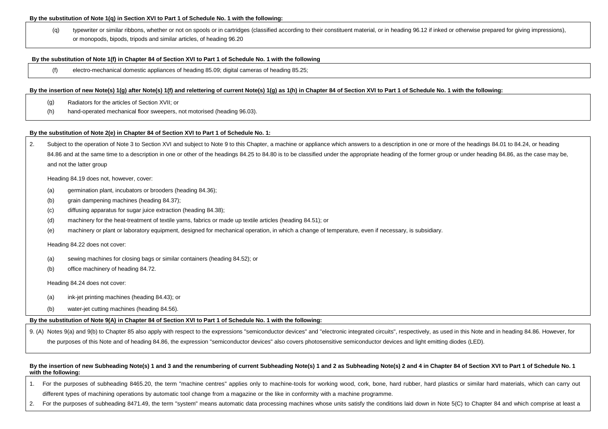#### **By the substitution of Note 1(q) in Section XVI to Part 1 of Schedule No. 1 with the following:**

(q) typewriter or similar ribbons, whether or not on spools or in cartridges (classified according to their constituent material, or in heading 96.12 if inked or otherwise prepared for giving impressions), or monopods, bipods, tripods and similar articles, of heading 96.20

## **By the substitution of Note 1(f) in Chapter 84 of Section XVI to Part 1 of Schedule No. 1 with the following**

(f) electro-mechanical domestic appliances of heading 85.09; digital cameras of heading 85.25;

## **By the insertion of new Note(s) 1(g) after Note(s) 1(f) and relettering of current Note(s) 1(g) as 1(h) in Chapter 84 of Section XVI to Part 1 of Schedule No. 1 with the following:**

- (g) Radiators for the articles of Section XVII; or
- (h) hand-operated mechanical floor sweepers, not motorised (heading 96.03).

### **By the substitution of Note 2(e) in Chapter 84 of Section XVI to Part 1 of Schedule No. 1:**

| 2. |     | Subject to the operation of Note 3 to Section XVI and subject to Note 9 to this Chapter, a machine or appliance which answers to a description in one or more of the headings 84.01 to 84.24, or heading                |
|----|-----|-------------------------------------------------------------------------------------------------------------------------------------------------------------------------------------------------------------------------|
|    |     | 84.86 and at the same time to a description in one or other of the headings 84.25 to 84.80 is to be classified under the appropriate heading of the former group or under heading 84.86, as the case may be,            |
|    |     | and not the latter group                                                                                                                                                                                                |
|    |     | Heading 84.19 does not, however, cover:                                                                                                                                                                                 |
|    | (a) | germination plant, incubators or brooders (heading 84.36);                                                                                                                                                              |
|    | (b) | grain dampening machines (heading 84.37);                                                                                                                                                                               |
|    | (c) | diffusing apparatus for sugar juice extraction (heading 84.38);                                                                                                                                                         |
|    | (d) | machinery for the heat-treatment of textile yarns, fabrics or made up textile articles (heading 84.51); or                                                                                                              |
|    | (e) | machinery or plant or laboratory equipment, designed for mechanical operation, in which a change of temperature, even if necessary, is subsidiary.                                                                      |
|    |     | Heading 84.22 does not cover:                                                                                                                                                                                           |
|    | (a) | sewing machines for closing bags or similar containers (heading 84.52); or                                                                                                                                              |
|    | (b) | office machinery of heading 84.72.                                                                                                                                                                                      |
|    |     | Heading 84.24 does not cover:                                                                                                                                                                                           |
|    | (a) | ink-jet printing machines (heading 84.43); or                                                                                                                                                                           |
|    | (b) | water-jet cutting machines (heading 84.56).                                                                                                                                                                             |
|    |     | By the substitution of Note 9(A) in Chapter 84 of Section XVI to Part 1 of Schedule No. 1 with the following:                                                                                                           |
|    |     | 9. (A) Notes 9(a) and 9(b) to Chapter 85 also apply with respect to the expressions "semiconductor devices" and "electronic integrated circuits", respectively, as used in this Note and in heading 84.86. However, for |
|    |     | the purposes of this Note and of heading 84.86, the expression "semiconductor devices" also covers photosensitive semiconductor devices and light emitting diodes (LED).                                                |

#### **By the insertion of new Subheading Note(s) 1 and 3 and the renumbering of current Subheading Note(s) 1 and 2 as Subheading Note(s) 2 and 4 in Chapter 84 of Section XVI to Part 1 of Schedule No. 1 with the following:**

- 1. For the purposes of subheading 8465.20, the term "machine centres" applies only to machine-tools for working wood, cork, bone, hard rubber, hard plastics or similar hard materials, which can carry out different types of machining operations by automatic tool change from a magazine or the like in conformity with a machine programme.
- 2. For the purposes of subheading 8471.49, the term "system" means automatic data processing machines whose units satisfy the conditions laid down in Note 5(C) to Chapter 84 and which comprise at least a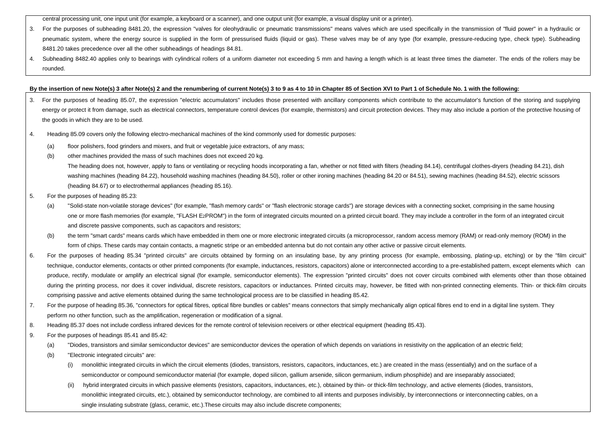central processing unit, one input unit (for example, a keyboard or a scanner), and one output unit (for example, a visual display unit or a printer).

- 3. For the purposes of subheading 8481.20, the expression "valves for oleohydraulic or pneumatic transmissions" means valves which are used specifically in the transmission of "fluid power" in a hydraulic or pneumatic system, where the energy source is supplied in the form of pressurised fluids (liquid or gas). These valves may be of any type (for example, pressure-reducing type, check type). Subheading 8481.20 takes precedence over all the other subheadings of headings 84.81.
- 4. Subheading 8482.40 applies only to bearings with cylindrical rollers of a uniform diameter not exceeding 5 mm and having a length which is at least three times the diameter. The ends of the rollers may be rounded.

## **By the insertion of new Note(s) 3 after Note(s) 2 and the renumbering of current Note(s) 3 to 9 as 4 to 10 in Chapter 85 of Section XVI to Part 1 of Schedule No. 1 with the following:**

- 3. For the purposes of heading 85.07, the expression "electric accumulators" includes those presented with ancillary components which contribute to the accumulator's function of the storing and supplying energy or protect it from damage, such as electrical connectors, temperature control devices (for example, thermistors) and circuit protection devices. They may also include a portion of the protective housing of the goods in which they are to be used.
- 4. Heading 85.09 covers only the following electro-mechanical machines of the kind commonly used for domestic purposes:
	- (a) floor polishers, food grinders and mixers, and fruit or vegetable juice extractors, of any mass;
	- (b) other machines provided the mass of such machines does not exceed 20 kg.
		- The heading does not, however, apply to fans or ventilating or recycling hoods incorporating a fan, whether or not fitted with filters (heading 84.14), centrifugal clothes-dryers (heading 84.21), dish washing machines (heading 84.22), household washing machines (heading 84.50), roller or other ironing machines (heading 84.20 or 84.51), sewing machines (heading 84.52), electric scissors (heading 84.67) or to electrothermal appliances (heading 85.16).
- 5. For the purposes of heading 85.23:
	- (a) "Solid-state non-volatile storage devices" (for example, "flash memory cards" or "flash electronic storage cards") are storage devices with a connecting socket, comprising in the same housing one or more flash memories (for example, "FLASH E2PROM") in the form of integrated circuits mounted on a printed circuit board. They may include a controller in the form of an integrated circuit and discrete passive components, such as capacitors and resistors;
	- (b) the term "smart cards" means cards which have embedded in them one or more electronic integrated circuits (a microprocessor, random access memory (RAM) or read-only memory (ROM) in the form of chips. These cards may contain contacts, a magnetic stripe or an embedded antenna but do not contain any other active or passive circuit elements.
- 6. For the purposes of heading 85.34 "printed circuits" are circuits obtained by forming on an insulating base, by any printing process (for example, embossing, plating-up, etching) or by the "film circuit" technique, conductor elements, contacts or other printed components (for example, inductances, resistors, capacitors) alone or interconnected according to a pre-established pattern, except elements which can produce, rectify, modulate or amplify an electrical signal (for example, semiconductor elements). The expression "printed circuits" does not cover circuits combined with elements other than those obtained during the printing process, nor does it cover individual, discrete resistors, capacitors or inductances. Printed circuits may, however, be fitted with non-printed connecting elements. Thin- or thick-film circuits comprising passive and active elements obtained during the same technological process are to be classified in heading 85.42.
- 7. For the purpose of heading 85.36, "connectors for optical fibres, optical fibre bundles or cables" means connectors that simply mechanically align optical fibres end to end in a digital line system. They perform no other function, such as the amplification, regeneration or modification of a signal.
- 8. Heading 85.37 does not include cordless infrared devices for the remote control of television receivers or other electrical equipment (heading 85.43).
- 9. For the purposes of headings 85.41 and 85.42:
	- (a) "Diodes, transistors and similar semiconductor devices" are semiconductor devices the operation of which depends on variations in resistivity on the application of an electric field;
	- (b) "Electronic integrated circuits" are:
		- (i) monolithic integrated circuits in which the circuit elements (diodes, transistors, resistors, capacitors, inductances, etc.) are created in the mass (essentially) and on the surface of a semiconductor or compound semiconductor material (for example, doped silicon, gallium arsenide, silicon germanium, indium phosphide) and are inseparably associated;
		- (ii) hybrid intergrated circuits in which passive elements (resistors, capacitors, inductances, etc.), obtained by thin- or thick-film technology, and active elements (diodes, transistors, monolithic integrated circuits, etc.), obtained by semiconductor technology, are combined to all intents and purposes indivisibly, by interconnections or interconnecting cables, on a single insulating substrate (glass, ceramic, etc.).These circuits may also include discrete components;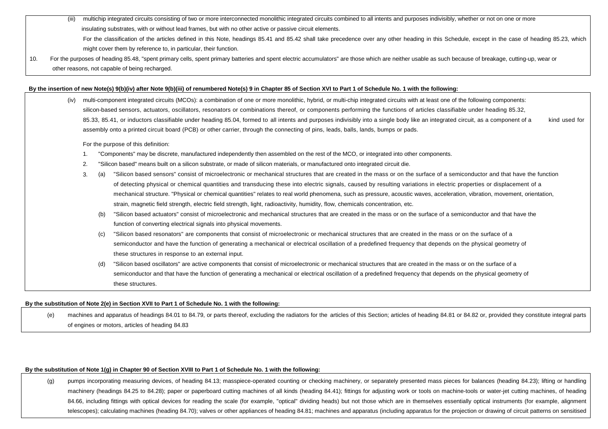(iii) multichip integrated circuits consisting of two or more interconnected monolithic integrated circuits combined to all intents and purposes indivisibly, whether or not on one or more insulating substrates, with or without lead frames, but with no other active or passive circuit elements.

For the classification of the articles defined in this Note, headings 85.41 and 85.42 shall take precedence over any other heading in this Schedule, except in the case of heading 85.23, which might cover them by reference to, in particular, their function.

10. For the purposes of heading 85.48, "spent primary cells, spent primary batteries and spent electric accumulators" are those which are neither usable as such because of breakage, cutting-up, wear or other reasons, not capable of being recharged.

#### **By the insertion of new Note(s) 9(b)(iv) after Note 9(b)(iii) of renumbered Note(s) 9 in Chapter 85 of Section XVI to Part 1 of Schedule No. 1 with the following:**

(iv) multi-component integrated circuits (MCOs): a combination of one or more monolithic, hybrid, or multi-chip integrated circuits with at least one of the following components: silicon-based sensors, actuators, oscillators, resonators or combinations thereof, or components performing the functions of articles classifiable under heading 85.32. 85.33, 85.41, or inductors classifiable under heading 85.04, formed to all intents and purposes indivisibly into a single body like an integrated circuit, as a component of a kind used for assembly onto a printed circuit board (PCB) or other carrier, through the connecting of pins, leads, balls, lands, bumps or pads.

For the purpose of this definition:

- 1. "Components" may be discrete, manufactured independently then assembled on the rest of the MCO, or integrated into other components.
- 2. "Silicon based" means built on a silicon substrate, or made of silicon materials, or manufactured onto integrated circuit die.
- 3. (a) "Silicon based sensors" consist of microelectronic or mechanical structures that are created in the mass or on the surface of a semiconductor and that have the function of detecting physical or chemical quantities and transducing these into electric signals, caused by resulting variations in electric properties or displacement of a mechanical structure. "Physical or chemical quantities" relates to real world phenomena, such as pressure, acoustic waves, acceleration, vibration, movement, orientation, strain, magnetic field strength, electric field strength, light, radioactivity, humidity, flow, chemicals concentration, etc.
	- (b) "Silicon based actuators" consist of microelectronic and mechanical structures that are created in the mass or on the surface of a semiconductor and that have the function of converting electrical signals into physical movements.
	- (c) "Silicon based resonators" are components that consist of microelectronic or mechanical structures that are created in the mass or on the surface of a semiconductor and have the function of generating a mechanical or electrical oscillation of a predefined frequency that depends on the physical geometry of these structures in response to an external input.
	- (d) "Silicon based oscillators" are active components that consist of microelectronic or mechanical structures that are created in the mass or on the surface of a semiconductor and that have the function of generating a mechanical or electrical oscillation of a predefined frequency that depends on the physical geometry of these structures.

# **By the substitution of Note 2(e) in Section XVII to Part 1 of Schedule No. 1 with the following:**

(e) machines and apparatus of headings 84.01 to 84.79, or parts thereof, excluding the radiators for the articles of this Section; articles of heading 84.81 or 84.82 or, provided they constitute integral parts of engines or motors, articles of heading 84.83

#### **By the substitution of Note 1(g) in Chapter 90 of Section XVIII to Part 1 of Schedule No. 1 with the following:**

(g) pumps incorporating measuring devices, of heading 84.13; masspiece-operated counting or checking machinery, or separately presented mass pieces for balances (heading 84.23); lifting or handling machinery (headings 84.25 to 84.28); paper or paperboard cutting machines of all kinds (heading 84.41); fittings for adjusting work or tools on machine-tools or water-jet cutting machines, of heading 84.66, including fittings with optical devices for reading the scale (for example, "optical" dividing heads) but not those which are in themselves essentially optical instruments (for example, alignment telescopes); calculating machines (heading 84.70); valves or other appliances of heading 84.81; machines and apparatus (including apparatus for the projection or drawing of circuit patterns on sensitised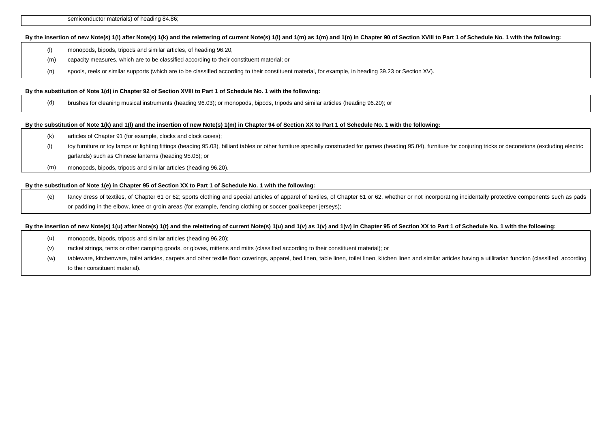semiconductor materials) of heading 84.86;

### By the insertion of new Note(s) 1(l) after Note(s) 1(k) and the relettering of current Note(s) 1(l) and 1(m) as 1(m) and 1(n) in Chapter 90 of Section XVIII to Part 1 of Schedule No. 1 with the following:

- (l) monopods, bipods, tripods and similar articles, of heading 96.20;
- (m) capacity measures, which are to be classified according to their constituent material; or
- (n) spools, reels or similar supports (which are to be classified according to their constituent material, for example, in heading 39.23 or Section XV).

#### **By the substitution of Note 1(d) in Chapter 92 of Section XVIII to Part 1 of Schedule No. 1 with the following:**

(d) brushes for cleaning musical instruments (heading 96.03); or monopods, bipods, tripods and similar articles (heading 96.20); or

#### **By the substitution of Note 1(k) and 1(l) and the insertion of new Note(s) 1(m) in Chapter 94 of Section XX to Part 1 of Schedule No. 1 with the following:**

- (k) articles of Chapter 91 (for example, clocks and clock cases);
- (l) toy furniture or toy lamps or lighting fittings (heading 95.03), billiard tables or other furniture specially constructed for games (heading 95.04), furniture for conjuring tricks or decorations (excluding electric garlands) such as Chinese lanterns (heading 95.05); or
- (m) monopods, bipods, tripods and similar articles (heading 96.20).

## **By the substitution of Note 1(e) in Chapter 95 of Section XX to Part 1 of Schedule No. 1 with the following:**

(e) fancy dress of textiles, of Chapter 61 or 62; sports clothing and special articles of apparel of textiles, of Chapter 61 or 62, whether or not incorporating incidentally protective components such as pads or padding in the elbow, knee or groin areas (for example, fencing clothing or soccer goalkeeper jerseys);

#### **By the insertion of new Note(s) 1(u) after Note(s) 1(t) and the relettering of current Note(s) 1(u) and 1(v) as 1(v) and 1(w) in Chapter 95 of Section XX to Part 1 of Schedule No. 1 with the following:**

- (u) monopods, bipods, tripods and similar articles (heading 96.20);
- (v) racket strings, tents or other camping goods, or gloves, mittens and mitts (classified according to their constituent material); or
- (w) tableware, kitchenware, toilet articles, carpets and other textile floor coverings, apparel, bed linen, table linen, toilet linen, kitchen linen and similar articles having a utilitarian function (classified according to their constituent material).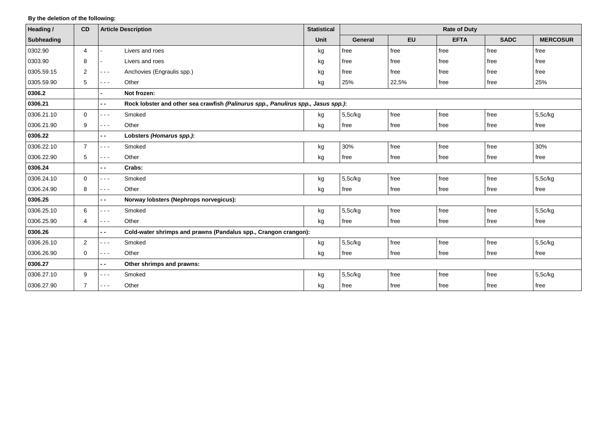# **By the deletion of the following:**

| Heading /  | CD             |                                                                                                                                                                                                                                                                                                                                                                                              | <b>Article Description</b>                                                        | <b>Statistical</b> | <b>Rate of Duty</b> |           |             |             |                 |
|------------|----------------|----------------------------------------------------------------------------------------------------------------------------------------------------------------------------------------------------------------------------------------------------------------------------------------------------------------------------------------------------------------------------------------------|-----------------------------------------------------------------------------------|--------------------|---------------------|-----------|-------------|-------------|-----------------|
| Subheading |                |                                                                                                                                                                                                                                                                                                                                                                                              |                                                                                   | Unit               | <b>General</b>      | <b>EU</b> | <b>EFTA</b> | <b>SADC</b> | <b>MERCOSUR</b> |
| 0302.90    | 4              |                                                                                                                                                                                                                                                                                                                                                                                              | Livers and roes                                                                   | kg                 | free                | free      | free        | free        | free            |
| 0303.90    | 8              |                                                                                                                                                                                                                                                                                                                                                                                              | Livers and roes                                                                   | kg                 | free                | free      | free        | free        | free            |
| 0305.59.15 | 2              | $\sim$ $\sim$ $\sim$                                                                                                                                                                                                                                                                                                                                                                         | Anchovies (Engraulis spp.)                                                        | kg                 | free                | free      | free        | free        | free            |
| 0305.59.90 | 5              | $\sim$ $\sim$ $\sim$                                                                                                                                                                                                                                                                                                                                                                         | Other                                                                             | kg                 | 25%                 | 22,5%     | free        | free        | 25%             |
| 0306.2     |                |                                                                                                                                                                                                                                                                                                                                                                                              | Not frozen:                                                                       |                    |                     |           |             |             |                 |
| 0306.21    |                | $\overline{\phantom{a}}$                                                                                                                                                                                                                                                                                                                                                                     | Rock lobster and other sea crawfish (Palinurus spp., Panulirus spp., Jasus spp.): |                    |                     |           |             |             |                 |
| 0306.21.10 | $\mathbf{0}$   | $\sim$ $\sim$ $\sim$                                                                                                                                                                                                                                                                                                                                                                         | Smoked                                                                            | kg                 | 5,5c/kg             | free      | free        | free        | 5,5c/kg         |
| 0306.21.90 | 9              | $- - -$                                                                                                                                                                                                                                                                                                                                                                                      | Other                                                                             | kg                 | free                | free      | free        | free        | free            |
| 0306.22    |                | $\overline{\phantom{a}}$                                                                                                                                                                                                                                                                                                                                                                     | Lobsters (Homarus spp.):                                                          |                    |                     |           |             |             |                 |
| 0306.22.10 | $\overline{7}$ | $- - -$                                                                                                                                                                                                                                                                                                                                                                                      | Smoked                                                                            | kg                 | 30%                 | free      | free        | free        | 30%             |
| 0306.22.90 | 5              | $\sim$ $\sim$ $\sim$                                                                                                                                                                                                                                                                                                                                                                         | Other                                                                             | kg                 | free                | free      | free        | free        | free            |
| 0306.24    |                | $-$                                                                                                                                                                                                                                                                                                                                                                                          | Crabs:                                                                            |                    |                     |           |             |             |                 |
| 0306.24.10 | $\mathbf 0$    | $\sim$ $\sim$ $\sim$                                                                                                                                                                                                                                                                                                                                                                         | Smoked                                                                            | kg                 | 5,5c/kg             | free      | free        | free        | 5,5c/kg         |
| 0306.24.90 | 8              | $\sim$ $\sim$ $\sim$                                                                                                                                                                                                                                                                                                                                                                         | Other                                                                             | kg                 | free                | free      | free        | free        | free            |
| 0306.25    |                | $-$                                                                                                                                                                                                                                                                                                                                                                                          | Norway lobsters (Nephrops norvegicus):                                            |                    |                     |           |             |             |                 |
| 0306.25.10 | 6              | $- - -$                                                                                                                                                                                                                                                                                                                                                                                      | Smoked                                                                            | kg                 | 5,5c/kg             | free      | free        | free        | 5,5c/kg         |
| 0306.25.90 | 4              | $- - -$                                                                                                                                                                                                                                                                                                                                                                                      | Other                                                                             | kg                 | free                | free      | free        | free        | free            |
| 0306.26    |                | $-$                                                                                                                                                                                                                                                                                                                                                                                          | Cold-water shrimps and prawns (Pandalus spp., Crangon crangon):                   |                    |                     |           |             |             |                 |
| 0306.26.10 | 2              | $- - -$                                                                                                                                                                                                                                                                                                                                                                                      | Smoked                                                                            | kg                 | 5,5c/kg             | free      | free        | free        | 5,5c/kg         |
| 0306.26.90 | 0              | $\sim$ $\sim$ $\sim$                                                                                                                                                                                                                                                                                                                                                                         | Other                                                                             | kg                 | free                | free      | free        | free        | free            |
| 0306.27    |                | - -                                                                                                                                                                                                                                                                                                                                                                                          | Other shrimps and prawns:                                                         |                    |                     |           |             |             |                 |
| 0306.27.10 | 9              | $- - -$                                                                                                                                                                                                                                                                                                                                                                                      | Smoked                                                                            | kg                 | 5,5c/kg             | free      | free        | free        | 5,5c/kg         |
| 0306.27.90 | $\overline{7}$ | $\frac{1}{2} \frac{1}{2} \frac{1}{2} \frac{1}{2} \frac{1}{2} \frac{1}{2} \frac{1}{2} \frac{1}{2} \frac{1}{2} \frac{1}{2} \frac{1}{2} \frac{1}{2} \frac{1}{2} \frac{1}{2} \frac{1}{2} \frac{1}{2} \frac{1}{2} \frac{1}{2} \frac{1}{2} \frac{1}{2} \frac{1}{2} \frac{1}{2} \frac{1}{2} \frac{1}{2} \frac{1}{2} \frac{1}{2} \frac{1}{2} \frac{1}{2} \frac{1}{2} \frac{1}{2} \frac{1}{2} \frac{$ | Other                                                                             | kg                 | free                | free      | free        | free        | free            |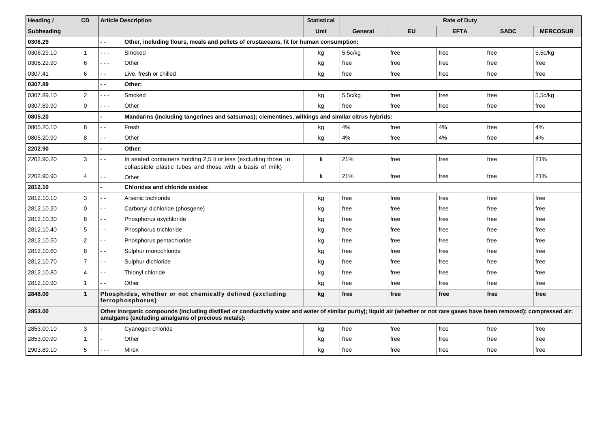| Heading /  | <b>CD</b>      | <b>Article Description</b>                                                                                                                                                                                                        | <b>Statistical</b> | <b>Rate of Duty</b> |           |             |             |                 |
|------------|----------------|-----------------------------------------------------------------------------------------------------------------------------------------------------------------------------------------------------------------------------------|--------------------|---------------------|-----------|-------------|-------------|-----------------|
| Subheading |                |                                                                                                                                                                                                                                   | Unit               | <b>General</b>      | <b>EU</b> | <b>EFTA</b> | <b>SADC</b> | <b>MERCOSUR</b> |
| 0306.29    |                | $\overline{\phantom{0}}$<br>Other, including flours, meals and pellets of crustaceans, fit for human consumption:                                                                                                                 |                    |                     |           |             |             |                 |
| 0306.29.10 | $\mathbf{1}$   | Smoked<br>$\sim$ $ -$                                                                                                                                                                                                             | kg                 | 5,5c/kg             | free      | free        | free        | 5,5c/kg         |
| 0306.29.90 | 6              | Other<br>$- - -$                                                                                                                                                                                                                  | kg                 | free                | free      | free        | free        | free            |
| 0307.41    | 6              | Live, fresh or chilled<br>$\overline{\phantom{a}}$                                                                                                                                                                                | kg                 | free                | free      | free        | free        | free            |
| 0307.89    |                | Other:<br>$-$                                                                                                                                                                                                                     |                    |                     |           |             |             |                 |
| 0307.89.10 | 2              | Smoked<br>- - -                                                                                                                                                                                                                   | kg                 | 5,5c/kg             | free      | free        | free        | 5,5c/kg         |
| 0307.89.90 | 0              | Other<br>- - -                                                                                                                                                                                                                    | kg                 | free                | free      | free        | free        | free            |
| 0805.20    |                | Mandarins (including tangerines and satsumas); clementines, wilkings and similar citrus hybrids:                                                                                                                                  |                    |                     |           |             |             |                 |
| 0805.20.10 | 8              | Fresh<br>$\overline{\phantom{a}}$                                                                                                                                                                                                 | kg                 | 4%                  | free      | 4%          | free        | 4%              |
| 0805.20.90 | 8              | Other<br>$\overline{a}$                                                                                                                                                                                                           | kg                 | 4%                  | free      | 4%          | free        | 4%              |
| 2202.90    |                | Other:                                                                                                                                                                                                                            |                    |                     |           |             |             |                 |
| 2202.90.20 | 3              | In sealed containers holding 2,5 li or less (excluding those in<br>. .<br>collapsible plastic tubes and those with a basis of milk)                                                                                               | -li                | 21%                 | free      | free        | free        | 21%             |
| 2202.90.90 | 4              | Other                                                                                                                                                                                                                             | -li                | 21%                 | free      | free        | free        | 21%             |
| 2812.10    |                | <b>Chlorides and chloride oxides:</b>                                                                                                                                                                                             |                    |                     |           |             |             |                 |
| 2812.10.10 | 3              | Arsenic trichloride<br>- -                                                                                                                                                                                                        | kg                 | free                | free      | free        | free        | free            |
| 2812.10.20 | $\mathbf 0$    | Carbonyl dichloride (phosgene)<br>$\sim$ $-$                                                                                                                                                                                      | kg                 | free                | free      | free        | free        | free            |
| 2812.10.30 | 8              | Phosphorus oxychloride<br>$\sim$ $\sim$                                                                                                                                                                                           | kg                 | free                | free      | free        | free        | free            |
| 2812.10.40 | 5              | Phosphorus trichloride<br>$ -$                                                                                                                                                                                                    | kg                 | free                | free      | free        | free        | free            |
| 2812.10.50 | 2              | Phosphorus pentachloride<br>$\sim$ $\sim$                                                                                                                                                                                         | kg                 | free                | free      | free        | free        | free            |
| 2812.10.60 | 8              | Sulphur monochloride<br>$\sim$ $\sim$                                                                                                                                                                                             | kg                 | free                | free      | free        | free        | free            |
| 2812.10.70 | $\overline{7}$ | Sulphur dichloride<br>$\overline{a}$                                                                                                                                                                                              | kg                 | free                | free      | free        | free        | free            |
| 2812.10.80 | 4              | Thionyl chloride<br>$ -$                                                                                                                                                                                                          | kg                 | free                | free      | free        | free        | free            |
| 2812.10.90 | $\mathbf{1}$   | Other<br>$\sim$ $\sim$                                                                                                                                                                                                            | kg                 | free                | free      | free        | free        | free            |
| 2848.00    | $\mathbf{1}$   | Phosphides, whether or not chemically defined (excluding<br>ferrophosphorus)                                                                                                                                                      | kg                 | free                | free      | free        | free        | free            |
| 2853.00    |                | Other inorganic compounds (including distilled or conductivity water and water of similar purity); liquid air (whether or not rare gases have been removed); compressed air;<br>amalgams (excluding amalgams of precious metals): |                    |                     |           |             |             |                 |
| 2853.00.10 | 3              | Cyanogen chloride                                                                                                                                                                                                                 | kg                 | free                | free      | free        | free        | free            |
| 2853.00.90 | 1              | Other                                                                                                                                                                                                                             | kg                 | free                | free      | free        | free        | free            |
| 2903.89.10 | 5              | Mirex<br>$- - -$                                                                                                                                                                                                                  | kg                 | free                | free      | free        | free        | free            |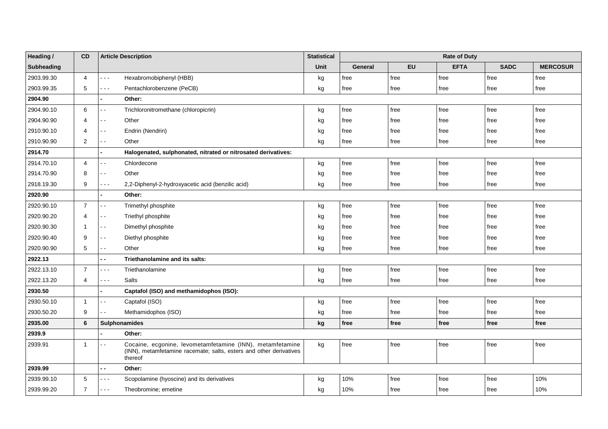| Heading /  | CD             | <b>Article Description</b>                                                                                                                         | <b>Statistical</b> | <b>Rate of Duty</b> |           |             |             |                 |
|------------|----------------|----------------------------------------------------------------------------------------------------------------------------------------------------|--------------------|---------------------|-----------|-------------|-------------|-----------------|
| Subheading |                |                                                                                                                                                    | <b>Unit</b>        | <b>General</b>      | <b>EU</b> | <b>EFTA</b> | <b>SADC</b> | <b>MERCOSUR</b> |
| 2903.99.30 | 4              | Hexabromobiphenyl (HBB)<br>$\omega = \omega$                                                                                                       | kg                 | free                | free      | free        | free        | free            |
| 2903.99.35 | 5              | Pentachlorobenzene (PeCB)<br>- - -                                                                                                                 | kg                 | free                | free      | free        | free        | free            |
| 2904.90    |                | Other:                                                                                                                                             |                    |                     |           |             |             |                 |
| 2904.90.10 | 6              | Trichloronitromethane (chloropicrin)<br>$\sim$ $\sim$                                                                                              | kg                 | free                | free      | free        | free        | free            |
| 2904.90.90 | 4              | $\sim$ $\sim$<br>Other                                                                                                                             | kg                 | free                | free      | free        | free        | free            |
| 2910.90.10 | 4              | Endrin (Nendrin)<br>$\sim$ $\sim$                                                                                                                  | kg                 | free                | free      | free        | free        | free            |
| 2910.90.90 | $\overline{2}$ | Other<br>. .                                                                                                                                       | kg                 | free                | free      | free        | free        | free            |
| 2914.70    |                | Halogenated, sulphonated, nitrated or nitrosated derivatives:                                                                                      |                    |                     |           |             |             |                 |
| 2914.70.10 | 4              | Chlordecone<br>٠.                                                                                                                                  | kg                 | free                | free      | free        | free        | free            |
| 2914.70.90 | 8              | Other<br>$\sim$ $\sim$                                                                                                                             | kg                 | free                | free      | free        | free        | free            |
| 2918.19.30 | 9              | 2,2-Diphenyl-2-hydroxyacetic acid (benzilic acid)<br>$\sim$ $\sim$ $\sim$                                                                          | kg                 | free                | free      | free        | free        | free            |
| 2920.90    |                | Other:                                                                                                                                             |                    |                     |           |             |             |                 |
| 2920.90.10 | $\overline{7}$ | Trimethyl phosphite<br>. .                                                                                                                         | kg                 | free                | free      | free        | free        | free            |
| 2920.90.20 | 4              | Triethyl phosphite<br>$\sim$ $\sim$                                                                                                                | kg                 | free                | free      | free        | free        | free            |
| 2920.90.30 | $\mathbf 1$    | Dimethyl phosphite<br>$\sim$ $\sim$                                                                                                                | kg                 | free                | free      | free        | free        | free            |
| 2920.90.40 | 9              | Diethyl phosphite<br>$\sim$ $\sim$                                                                                                                 | kg                 | free                | free      | free        | free        | free            |
| 2920.90.90 | 5              | Other<br>$\sim$ $\sim$                                                                                                                             | kg                 | free                | free      | free        | free        | free            |
| 2922.13    |                | $-$<br>Triethanolamine and its salts:                                                                                                              |                    |                     |           |             |             |                 |
| 2922.13.10 | $\overline{7}$ | Triethanolamine<br>22 L                                                                                                                            | kg                 | free                | free      | free        | free        | free            |
| 2922.13.20 | 4              | Salts<br>222                                                                                                                                       | kg                 | free                | free      | free        | free        | free            |
| 2930.50    |                | Captafol (ISO) and methamidophos (ISO):                                                                                                            |                    |                     |           |             |             |                 |
| 2930.50.10 | $\mathbf{1}$   | Captafol (ISO)<br>$\overline{\phantom{a}}$                                                                                                         | kg                 | free                | free      | free        | free        | free            |
| 2930.50.20 | 9              | Methamidophos (ISO)<br>$\overline{\phantom{a}}$                                                                                                    | kg                 | free                | free      | free        | free        | free            |
| 2935.00    | 6              | Sulphonamides                                                                                                                                      | kg                 | free                | free      | free        | free        | free            |
| 2939.9     |                | Other:                                                                                                                                             |                    |                     |           |             |             |                 |
| 2939.91    | $\overline{1}$ | Cocaine, ecgonine, levometamfetamine (INN), metamfetamine<br>$ -$<br>(INN), metamfetamine racemate; salts, esters and other derivatives<br>thereof | kg                 | free                | free      | free        | free        | free            |
| 2939.99    |                | . .<br>Other:                                                                                                                                      |                    |                     |           |             |             |                 |
| 2939.99.10 | 5              | Scopolamine (hyoscine) and its derivatives<br>الدامات                                                                                              | kg                 | 10%                 | free      | free        | free        | 10%             |
| 2939.99.20 | $\overline{7}$ | Theobromine; emetine<br>$- - -$                                                                                                                    | kg                 | 10%                 | free      | free        | free        | 10%             |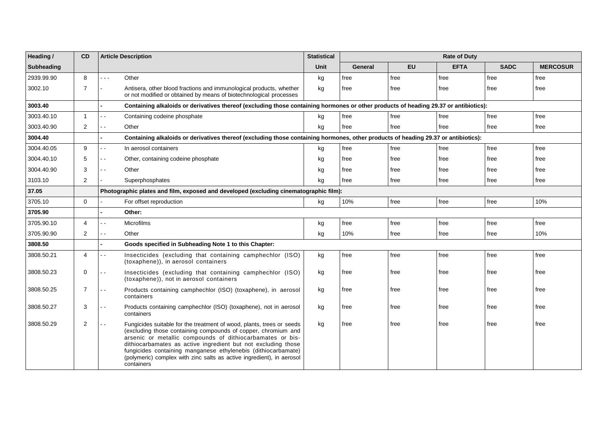| Heading /         | <b>CD</b>      |                      | <b>Article Description</b>                                                                                                                                                                                                                                                                                                                                                                                                   | <b>Statistical</b> | <b>Rate of Duty</b> |           |             |             |                 |
|-------------------|----------------|----------------------|------------------------------------------------------------------------------------------------------------------------------------------------------------------------------------------------------------------------------------------------------------------------------------------------------------------------------------------------------------------------------------------------------------------------------|--------------------|---------------------|-----------|-------------|-------------|-----------------|
| <b>Subheading</b> |                |                      |                                                                                                                                                                                                                                                                                                                                                                                                                              | Unit               | General             | <b>EU</b> | <b>EFTA</b> | <b>SADC</b> | <b>MERCOSUR</b> |
| 2939.99.90        | 8              | $\sim$ $\sim$ $\sim$ | Other                                                                                                                                                                                                                                                                                                                                                                                                                        | kg                 | free                | free      | free        | free        | free            |
| 3002.10           | $\overline{7}$ |                      | Antisera, other blood fractions and immunological products, whether<br>or not modified or obtained by means of biotechnological processes                                                                                                                                                                                                                                                                                    | kg                 | free                | free      | free        | free        | free            |
| 3003.40           |                |                      | Containing alkaloids or derivatives thereof (excluding those containing hormones or other products of heading 29.37 or antibiotics):                                                                                                                                                                                                                                                                                         |                    |                     |           |             |             |                 |
| 3003.40.10        | $\mathbf{1}$   | $\sim$ $\sim$        | Containing codeine phosphate                                                                                                                                                                                                                                                                                                                                                                                                 | kg                 | free                | free      | free        | free        | free            |
| 3003.40.90        | 2              | $\sim$ $\sim$        | Other                                                                                                                                                                                                                                                                                                                                                                                                                        | kg                 | free                | free      | free        | free        | free            |
| 3004.40           |                |                      | Containing alkaloids or derivatives thereof (excluding those containing hormones, other products of heading 29.37 or antibiotics):                                                                                                                                                                                                                                                                                           |                    |                     |           |             |             |                 |
| 3004.40.05        | 9              |                      | In aerosol containers                                                                                                                                                                                                                                                                                                                                                                                                        | kg                 | free                | free      | free        | free        | free            |
| 3004.40.10        | 5              | $\blacksquare$       | Other, containing codeine phosphate                                                                                                                                                                                                                                                                                                                                                                                          | kg                 | free                | free      | free        | free        | free            |
| 3004.40.90        | 3              | $\sim$ $\sim$        | Other                                                                                                                                                                                                                                                                                                                                                                                                                        | kg                 | free                | free      | free        | free        | free            |
| 3103.10           | 2              |                      | Superphosphates                                                                                                                                                                                                                                                                                                                                                                                                              | kg                 | free                | free      | free        | free        | free            |
| 37.05             |                |                      | Photographic plates and film, exposed and developed (excluding cinematographic film):                                                                                                                                                                                                                                                                                                                                        |                    |                     |           |             |             |                 |
| 3705.10           | $\Omega$       |                      | For offset reproduction                                                                                                                                                                                                                                                                                                                                                                                                      | kg                 | 10%                 | free      | free        | free        | 10%             |
| 3705.90           |                |                      | Other:                                                                                                                                                                                                                                                                                                                                                                                                                       |                    |                     |           |             |             |                 |
| 3705.90.10        | 4              | 22                   | <b>Microfilms</b>                                                                                                                                                                                                                                                                                                                                                                                                            | kg                 | free                | free      | free        | free        | free            |
| 3705.90.90        | 2              | $ -$                 | Other                                                                                                                                                                                                                                                                                                                                                                                                                        | kg                 | 10%                 | free      | free        | free        | 10%             |
| 3808.50           |                |                      | Goods specified in Subheading Note 1 to this Chapter:                                                                                                                                                                                                                                                                                                                                                                        |                    |                     |           |             |             |                 |
| 3808.50.21        | 4              |                      | Insecticides (excluding that containing camphechlor (ISO)<br>(toxaphene)), in aerosol containers                                                                                                                                                                                                                                                                                                                             | kg                 | free                | free      | free        | free        | free            |
| 3808.50.23        | 0              |                      | Insecticides (excluding that containing camphechlor (ISO)<br>(toxaphene)), not in aerosol containers                                                                                                                                                                                                                                                                                                                         | kg                 | free                | free      | free        | free        | free            |
| 3808.50.25        | $\overline{7}$ |                      | Products containing camphechlor (ISO) (toxaphene), in aerosol<br>containers                                                                                                                                                                                                                                                                                                                                                  | kg                 | free                | free      | free        | free        | free            |
| 3808.50.27        | 3              |                      | Products containing camphechlor (ISO) (toxaphene), not in aerosol<br>containers                                                                                                                                                                                                                                                                                                                                              | kg                 | free                | free      | free        | free        | free            |
| 3808.50.29        | 2              |                      | Fungicides suitable for the treatment of wood, plants, trees or seeds<br>(excluding those containing compounds of copper, chromium and<br>arsenic or metallic compounds of dithiocarbamates or bis-<br>dithiocarbamates as active ingredient but not excluding those<br>fungicides containing manganese ethylenebis (dithiocarbamate)<br>(polymeric) complex with zinc salts as active ingredient), in aerosol<br>containers | kg                 | free                | free      | free        | free        | free            |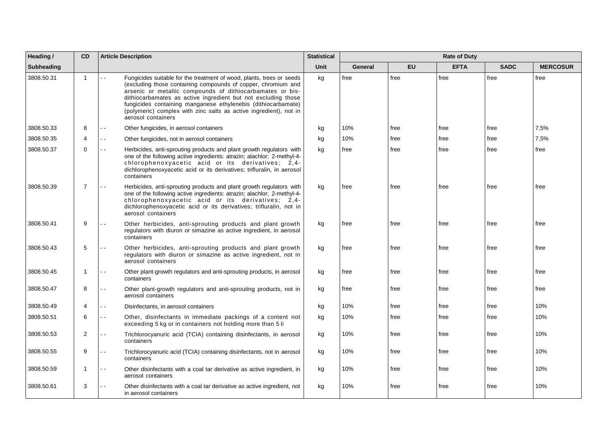| Heading /  | <b>CD</b>      | <b>Article Description</b>                                                                                                                                                                                                                                                                                                                                                                                                              | <b>Statistical</b> | <b>Rate of Duty</b> |           |             |             |                 |
|------------|----------------|-----------------------------------------------------------------------------------------------------------------------------------------------------------------------------------------------------------------------------------------------------------------------------------------------------------------------------------------------------------------------------------------------------------------------------------------|--------------------|---------------------|-----------|-------------|-------------|-----------------|
| Subheading |                |                                                                                                                                                                                                                                                                                                                                                                                                                                         | <b>Unit</b>        | <b>General</b>      | <b>EU</b> | <b>EFTA</b> | <b>SADC</b> | <b>MERCOSUR</b> |
| 3808.50.31 | $\mathbf{1}$   | a a<br>Fungicides suitable for the treatment of wood, plants, trees or seeds<br>(excluding those containing compounds of copper, chromium and<br>arsenic or metallic compounds of dithiocarbamates or bis-<br>dithiocarbamates as active ingredient but not excluding those<br>fungicides containing manganese ethylenebis (dithiocarbamate)<br>(polymeric) complex with zinc salts as active ingredient), not in<br>aerosol containers | kg                 | free                | free      | free        | free        | free            |
| 3808.50.33 | 8              | Other fungicides, in aerosol containers<br>$\sim$ $\sim$                                                                                                                                                                                                                                                                                                                                                                                | kg                 | 10%                 | free      | free        | free        | 7,5%            |
| 3808.50.35 | 4              | Other fungicides, not in aerosol containers<br>$\sim$ $\sim$                                                                                                                                                                                                                                                                                                                                                                            | kg                 | 10%                 | free      | free        | free        | 7,5%            |
| 3808.50.37 | 0              | $\sim$ $\sim$<br>Herbicides, anti-sprouting products and plant growth regulators with<br>one of the following active ingredients: atrazin; alachlor; 2-methyl-4-<br>chlorophenoxyacetic acid or its derivatives; 2,4-<br>dichlorophenoxyacetic acid or its derivatives; trifluralin, in aerosol<br>containers                                                                                                                           | kg                 | free                | free      | free        | free        | free            |
| 3808.50.39 | $\overline{7}$ | Herbicides, anti-sprouting products and plant growth regulators with<br>$\sim$ $\sim$<br>one of the following active ingredients: atrazin; alachlor; 2-methyl-4-<br>chlorophenoxyacetic acid or its derivatives; 2,4-<br>dichlorophenoxyacetic acid or its derivatives; trifluralin, not in<br>aerosol containers                                                                                                                       | kg                 | free                | free      | free        | free        | free            |
| 3808.50.41 | 9              | Other herbicides, anti-sprouting products and plant growth<br>$\sim$ $\sim$<br>regulators with diuron or simazine as active ingredient, in aerosol<br>containers                                                                                                                                                                                                                                                                        | kg                 | free                | free      | free        | free        | free            |
| 3808.50.43 | 5              | Other herbicides, anti-sprouting products and plant growth<br>$\sim$ $\sim$<br>regulators with diuron or simazine as active ingredient, not in<br>aerosol containers                                                                                                                                                                                                                                                                    | kg                 | free                | free      | free        | free        | free            |
| 3808.50.45 | $\mathbf{1}$   | Other plant-growth regulators and anti-sprouting products, in aerosol<br>$\sim$ $\sim$<br>containers                                                                                                                                                                                                                                                                                                                                    | kg                 | free                | free      | free        | free        | free            |
| 3808.50.47 | 8              | $\sim$ $\sim$<br>Other plant-growth regulators and anti-sprouting products, not in<br>aerosol containers                                                                                                                                                                                                                                                                                                                                | kg                 | free                | free      | free        | free        | free            |
| 3808.50.49 | 4              | $\sim$ $\sim$<br>Disinfectants, in aerosol containers                                                                                                                                                                                                                                                                                                                                                                                   | kg                 | 10%                 | free      | free        | free        | 10%             |
| 3808.50.51 | 6              | $\sim$ $\sim$<br>Other, disinfectants in immediate packings of a content not<br>exceeding 5 kg or in containers not holding more than 5 li                                                                                                                                                                                                                                                                                              | kg                 | 10%                 | free      | free        | free        | 10%             |
| 3808.50.53 | 2              | Trichlorocyanuric acid (TCIA) containing disinfectants, in aerosol<br>$\sim$ $\sim$<br>containers                                                                                                                                                                                                                                                                                                                                       | kg                 | 10%                 | free      | free        | free        | 10%             |
| 3808.50.55 | 9              | Trichlorocyanuric acid (TCIA) containing disinfectants, not in aerosol<br>$\sim$ $\sim$<br>containers                                                                                                                                                                                                                                                                                                                                   | kg                 | 10%                 | free      | free        | free        | 10%             |
| 3808.50.59 | $\mathbf{1}$   | Other disinfectants with a coal tar derivative as active ingredient, in<br>$\sim$ $\sim$<br>aerosol containers                                                                                                                                                                                                                                                                                                                          | kg                 | 10%                 | free      | free        | free        | 10%             |
| 3808.50.61 | 3              | Other disinfectants with a coal tar derivative as active ingredient, not<br>in aerosol containers                                                                                                                                                                                                                                                                                                                                       | kg                 | 10%                 | free      | free        | free        | 10%             |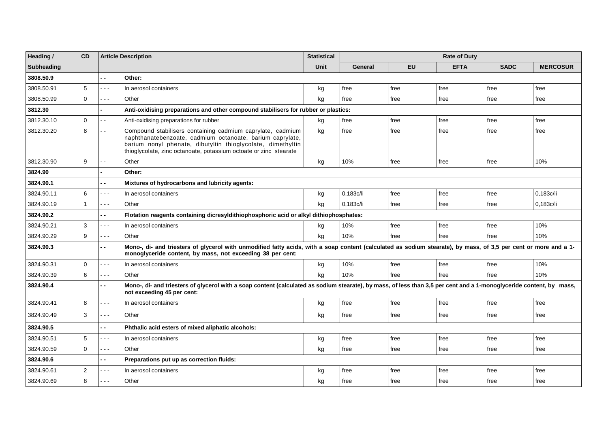| Heading /         | <b>CD</b>    |                          | <b>Article Description</b>                                                                                                                                                                                                                                  | <b>Statistical</b> | <b>Rate of Duty</b> |           |             |             |                 |  |
|-------------------|--------------|--------------------------|-------------------------------------------------------------------------------------------------------------------------------------------------------------------------------------------------------------------------------------------------------------|--------------------|---------------------|-----------|-------------|-------------|-----------------|--|
| <b>Subheading</b> |              |                          |                                                                                                                                                                                                                                                             | <b>Unit</b>        | <b>General</b>      | <b>EU</b> | <b>EFTA</b> | <b>SADC</b> | <b>MERCOSUR</b> |  |
| 3808.50.9         |              | $\overline{\phantom{a}}$ | Other:                                                                                                                                                                                                                                                      |                    |                     |           |             |             |                 |  |
| 3808.50.91        | 5            | - - -                    | In aerosol containers                                                                                                                                                                                                                                       | kg                 | free                | free      | free        | free        | free            |  |
| 3808.50.99        | $\mathbf 0$  | $- - -$                  | Other                                                                                                                                                                                                                                                       | kg                 | free                | free      | free        | free        | free            |  |
| 3812.30           |              |                          | Anti-oxidising preparations and other compound stabilisers for rubber or plastics:                                                                                                                                                                          |                    |                     |           |             |             |                 |  |
| 3812.30.10        | $\mathbf 0$  | $\sim$ $\sim$            | Anti-oxidising preparations for rubber                                                                                                                                                                                                                      | kg                 | free                | free      | free        | free        | free            |  |
| 3812.30.20        | 8            | . .                      | Compound stabilisers containing cadmium caprylate, cadmium<br>naphthanatebenzoate, cadmium octanoate, barium caprylate,<br>barium nonyl phenate, dibutyltin thioglycolate, dimethyltin<br>thioglycolate, zinc octanoate, potassium octoate or zinc stearate | kg                 | free                | free      | free        | free        | free            |  |
| 3812.30.90        | 9            | $\sim$ $\sim$            | Other                                                                                                                                                                                                                                                       | kg                 | 10%                 | free      | free        | free        | 10%             |  |
| 3824.90           |              |                          | Other:                                                                                                                                                                                                                                                      |                    |                     |           |             |             |                 |  |
| 3824.90.1         |              | $ -$                     | Mixtures of hydrocarbons and lubricity agents:                                                                                                                                                                                                              |                    |                     |           |             |             |                 |  |
| 3824.90.11        | 6            | $- - -$                  | In aerosol containers                                                                                                                                                                                                                                       | kg                 | 0,183c/li           | free      | free        | free        | 0,183c/li       |  |
| 3824.90.19        | $\mathbf{1}$ | $- - -$                  | Other                                                                                                                                                                                                                                                       | kg                 | 0.183c/li           | free      | free        | free        | 0.183c/li       |  |
| 3824.90.2         |              | $ -$                     | Flotation reagents containing dicresyldithiophosphoric acid or alkyl dithiophosphates:                                                                                                                                                                      |                    |                     |           |             |             |                 |  |
| 3824.90.21        | 3            | .                        | In aerosol containers                                                                                                                                                                                                                                       | kg                 | 10%                 | free      | free        | free        | 10%             |  |
| 3824.90.29        | 9            | $- - -$                  | Other                                                                                                                                                                                                                                                       | kg                 | 10%                 | free      | free        | free        | 10%             |  |
| 3824.90.3         |              | $ -$                     | Mono-, di- and triesters of glycerol with unmodified fatty acids, with a soap content (calculated as sodium stearate), by mass, of 3,5 per cent or more and a 1-<br>monoglyceride content, by mass, not exceeding 38 per cent:                              |                    |                     |           |             |             |                 |  |
| 3824.90.31        | $\mathbf 0$  | $\sim$ $\sim$ $\sim$     | In aerosol containers                                                                                                                                                                                                                                       | kg                 | 10%                 | free      | free        | free        | 10%             |  |
| 3824.90.39        | 6            | $- - -$                  | Other                                                                                                                                                                                                                                                       | kg                 | 10%                 | free      | free        | free        | 10%             |  |
| 3824.90.4         |              | $ -$                     | Mono-, di- and triesters of glycerol with a soap content (calculated as sodium stearate), by mass, of less than 3,5 per cent and a 1-monoglyceride content, by mass,<br>not exceeding 45 per cent:                                                          |                    |                     |           |             |             |                 |  |
| 3824.90.41        | 8            | .                        | In aerosol containers                                                                                                                                                                                                                                       | kg                 | free                | free      | free        | free        | free            |  |
| 3824.90.49        | 3            | $- - -$                  | Other                                                                                                                                                                                                                                                       | kg                 | free                | free      | free        | free        | free            |  |
| 3824.90.5         |              | $ -$                     | Phthalic acid esters of mixed aliphatic alcohols:                                                                                                                                                                                                           |                    |                     |           |             |             |                 |  |
| 3824.90.51        | 5            | .                        | In aerosol containers                                                                                                                                                                                                                                       | kg                 | free                | free      | free        | free        | free            |  |
| 3824.90.59        | $\Omega$     | $- - -$                  | Other                                                                                                                                                                                                                                                       | kg                 | free                | free      | free        | free        | free            |  |
| 3824.90.6         |              | $ -$                     | Preparations put up as correction fluids:                                                                                                                                                                                                                   |                    |                     |           |             |             |                 |  |
| 3824.90.61        | 2            | .                        | In aerosol containers                                                                                                                                                                                                                                       | kg                 | free                | free      | free        | free        | free            |  |
| 3824.90.69        | 8            | .                        | Other                                                                                                                                                                                                                                                       | kg                 | free                | free      | free        | free        | free            |  |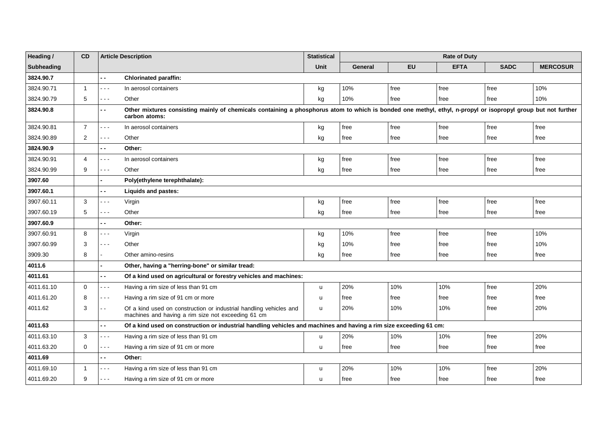| Heading /  | <b>CD</b>      |                                             | <b>Article Description</b>                                                                                                                                                    | <b>Statistical</b> | <b>Rate of Duty</b> |           |             |             |                 |
|------------|----------------|---------------------------------------------|-------------------------------------------------------------------------------------------------------------------------------------------------------------------------------|--------------------|---------------------|-----------|-------------|-------------|-----------------|
| Subheading |                |                                             |                                                                                                                                                                               | Unit               | <b>General</b>      | <b>EU</b> | <b>EFTA</b> | <b>SADC</b> | <b>MERCOSUR</b> |
| 3824.90.7  |                | $\overline{\phantom{a}}$                    | <b>Chlorinated paraffin:</b>                                                                                                                                                  |                    |                     |           |             |             |                 |
| 3824.90.71 | $\mathbf{1}$   | - - -                                       | In aerosol containers                                                                                                                                                         | kg                 | 10%                 | free      | free        | free        | 10%             |
| 3824.90.79 | 5              | 222                                         | Other                                                                                                                                                                         | kg                 | 10%                 | free      | free        | free        | 10%             |
| 3824.90.8  |                | ٠.                                          | Other mixtures consisting mainly of chemicals containing a phosphorus atom to which is bonded one methyl, ethyl, n-propyl or isopropyl group but not further<br>carbon atoms: |                    |                     |           |             |             |                 |
| 3824.90.81 | $\overline{7}$ | - - -                                       | In aerosol containers                                                                                                                                                         | kg                 | free                | free      | free        | free        | free            |
| 3824.90.89 | $\overline{2}$ | .                                           | Other                                                                                                                                                                         | kg                 | free                | free      | free        | free        | free            |
| 3824.90.9  |                | - -                                         | Other:                                                                                                                                                                        |                    |                     |           |             |             |                 |
| 3824.90.91 | $\overline{4}$ | - - -                                       | In aerosol containers                                                                                                                                                         | kg                 | free                | free      | free        | free        | free            |
| 3824.90.99 | 9              | $\omega_{\rm{eff}}$ and $\omega_{\rm{eff}}$ | Other                                                                                                                                                                         | kg                 | free                | free      | free        | free        | free            |
| 3907.60    |                |                                             | Poly(ethylene terephthalate):                                                                                                                                                 |                    |                     |           |             |             |                 |
| 3907.60.1  |                | $\overline{\phantom{a}}$                    | <b>Liquids and pastes:</b>                                                                                                                                                    |                    |                     |           |             |             |                 |
| 3907.60.11 | 3              | 222                                         | Virgin                                                                                                                                                                        | kg                 | free                | free      | free        | free        | free            |
| 3907.60.19 | 5              | .                                           | Other                                                                                                                                                                         | kg                 | free                | free      | free        | free        | free            |
| 3907.60.9  |                | $\overline{\phantom{a}}$                    | Other:                                                                                                                                                                        |                    |                     |           |             |             |                 |
| 3907.60.91 | 8              | - - -                                       | Virgin                                                                                                                                                                        | kg                 | 10%                 | free      | free        | free        | 10%             |
| 3907.60.99 | 3              | $- - -$                                     | Other                                                                                                                                                                         | kg                 | 10%                 | free      | free        | free        | 10%             |
| 3909.30    | 8              |                                             | Other amino-resins                                                                                                                                                            | kg                 | free                | free      | free        | free        | free            |
| 4011.6     |                |                                             | Other, having a "herring-bone" or similar tread:                                                                                                                              |                    |                     |           |             |             |                 |
| 4011.61    |                | $\overline{\phantom{a}}$                    | Of a kind used on agricultural or forestry vehicles and machines:                                                                                                             |                    |                     |           |             |             |                 |
| 4011.61.10 | $\Omega$       | - - -                                       | Having a rim size of less than 91 cm                                                                                                                                          | u                  | 20%                 | 10%       | 10%         | free        | 20%             |
| 4011.61.20 | 8              | $\sim$ $\sim$ $\sim$                        | Having a rim size of 91 cm or more                                                                                                                                            | <b>u</b>           | free                | free      | free        | free        | free            |
| 4011.62    | 3              | 22                                          | Of a kind used on construction or industrial handling vehicles and<br>machines and having a rim size not exceeding 61 cm                                                      | u                  | 20%                 | 10%       | 10%         | free        | 20%             |
| 4011.63    |                | $\overline{\phantom{0}}$                    | Of a kind used on construction or industrial handling vehicles and machines and having a rim size exceeding 61 cm:                                                            |                    |                     |           |             |             |                 |
| 4011.63.10 | 3              | - - -                                       | Having a rim size of less than 91 cm                                                                                                                                          | u                  | 20%                 | 10%       | 10%         | free        | 20%             |
| 4011.63.20 | 0              | $- - -$                                     | Having a rim size of 91 cm or more                                                                                                                                            | $\mathsf{u}$       | free                | free      | free        | free        | free            |
| 4011.69    |                | $-$                                         | Other:                                                                                                                                                                        |                    |                     |           |             |             |                 |
| 4011.69.10 | $\mathbf{1}$   | - - -                                       | Having a rim size of less than 91 cm                                                                                                                                          | u                  | 20%                 | 10%       | 10%         | free        | 20%             |
| 4011.69.20 | 9              | - - -                                       | Having a rim size of 91 cm or more                                                                                                                                            | u                  | free                | free      | free        | free        | free            |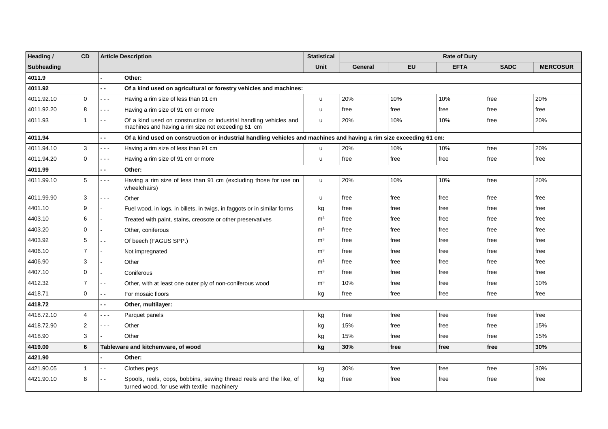| Heading /  | <b>CD</b>      | <b>Article Description</b>                                                                                                       | <b>Statistical</b> | <b>Rate of Duty</b> |      |             |             |                 |
|------------|----------------|----------------------------------------------------------------------------------------------------------------------------------|--------------------|---------------------|------|-------------|-------------|-----------------|
| Subheading |                |                                                                                                                                  | Unit               | General             | EU   | <b>EFTA</b> | <b>SADC</b> | <b>MERCOSUR</b> |
| 4011.9     |                | Other:                                                                                                                           |                    |                     |      |             |             |                 |
| 4011.92    |                | $-$<br>Of a kind used on agricultural or forestry vehicles and machines:                                                         |                    |                     |      |             |             |                 |
| 4011.92.10 | $\Omega$       | Having a rim size of less than 91 cm<br>22 L                                                                                     | u                  | 20%                 | 10%  | 10%         | free        | 20%             |
| 4011.92.20 | 8              | Having a rim size of 91 cm or more<br>$- - -$                                                                                    | u                  | free                | free | free        | free        | free            |
| 4011.93    | $\overline{1}$ | Of a kind used on construction or industrial handling vehicles and<br>$ -$<br>machines and having a rim size not exceeding 61 cm | <b>u</b>           | 20%                 | 10%  | 10%         | free        | 20%             |
| 4011.94    |                | Of a kind used on construction or industrial handling vehicles and machines and having a rim size exceeding 61 cm:<br>. .        |                    |                     |      |             |             |                 |
| 4011.94.10 | 3              | Having a rim size of less than 91 cm<br>$\sim$ $\sim$                                                                            | u                  | 20%                 | 10%  | 10%         | free        | 20%             |
| 4011.94.20 | $\mathbf{0}$   | Having a rim size of 91 cm or more<br>- - -                                                                                      | u                  | free                | free | free        | free        | free            |
| 4011.99    |                | . .<br>Other:                                                                                                                    |                    |                     |      |             |             |                 |
| 4011.99.10 | 5              | Having a rim size of less than 91 cm (excluding those for use on<br>$\sim$ $\sim$<br>wheelchairs)                                | u                  | 20%                 | 10%  | 10%         | free        | 20%             |
| 4011.99.90 | 3              | Other<br>.                                                                                                                       | <b>u</b>           | free                | free | free        | free        | free            |
| 4401.10    | 9              | Fuel wood, in logs, in billets, in twigs, in faggots or in similar forms                                                         | kg                 | free                | free | free        | free        | free            |
| 4403.10    | 6              | Treated with paint, stains, creosote or other preservatives                                                                      | m <sup>3</sup>     | free                | free | free        | free        | free            |
| 4403.20    | 0              | Other, coniferous                                                                                                                | m <sup>3</sup>     | free                | free | free        | free        | free            |
| 4403.92    | 5              | Of beech (FAGUS SPP.)<br>$ -$                                                                                                    | m <sup>3</sup>     | free                | free | free        | free        | free            |
| 4406.10    | $\overline{7}$ | Not impregnated                                                                                                                  | m <sup>3</sup>     | free                | free | free        | free        | free            |
| 4406.90    | 3              | Other                                                                                                                            | m <sup>3</sup>     | free                | free | free        | free        | free            |
| 4407.10    | 0              | Coniferous                                                                                                                       | m <sup>3</sup>     | free                | free | free        | free        | free            |
| 4412.32    | $\overline{7}$ | Other, with at least one outer ply of non-coniferous wood<br>$\overline{\phantom{a}}$                                            | m <sup>3</sup>     | 10%                 | free | free        | free        | 10%             |
| 4418.71    | 0              | For mosaic floors                                                                                                                | kg                 | free                | free | free        | free        | free            |
| 4418.72    |                | Other, multilayer:<br>$\overline{\phantom{a}}$                                                                                   |                    |                     |      |             |             |                 |
| 4418.72.10 | $\overline{4}$ | Parquet panels<br>.                                                                                                              | kg                 | free                | free | free        | free        | free            |
| 4418.72.90 | 2              | Other<br>- - -                                                                                                                   | kg                 | 15%                 | free | free        | free        | 15%             |
| 4418.90    | 3              | Other                                                                                                                            | kg                 | 15%                 | free | free        | free        | 15%             |
| 4419.00    | 6              | Tableware and kitchenware, of wood                                                                                               | kg                 | 30%                 | free | free        | free        | 30%             |
| 4421.90    |                | Other:                                                                                                                           |                    |                     |      |             |             |                 |
| 4421.90.05 | $\overline{1}$ | Clothes pegs<br>. .                                                                                                              | kg                 | 30%                 | free | free        | free        | 30%             |
| 4421.90.10 | 8              | Spools, reels, cops, bobbins, sewing thread reels and the like, of<br>turned wood, for use with textile machinery                | kg                 | free                | free | free        | free        | free            |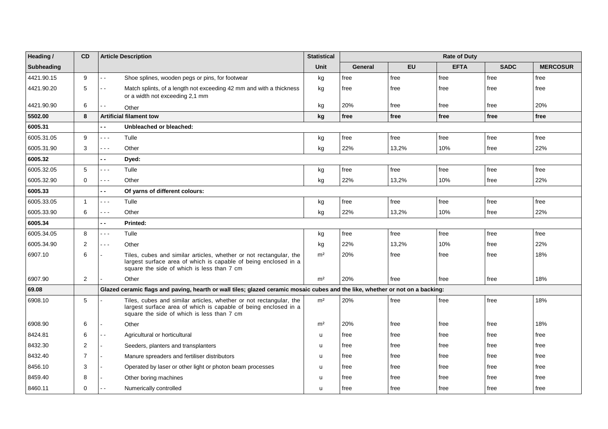| Heading /         | <b>CD</b>      | <b>Article Description</b>                                                                                                                                                          | <b>Statistical</b> | <b>Rate of Duty</b> |           |             |             |                 |
|-------------------|----------------|-------------------------------------------------------------------------------------------------------------------------------------------------------------------------------------|--------------------|---------------------|-----------|-------------|-------------|-----------------|
| <b>Subheading</b> |                |                                                                                                                                                                                     | <b>Unit</b>        | <b>General</b>      | <b>EU</b> | <b>EFTA</b> | <b>SADC</b> | <b>MERCOSUR</b> |
| 4421.90.15        | 9              | Shoe splines, wooden pegs or pins, for footwear<br>$\sim$ $\sim$                                                                                                                    | kg                 | free                | free      | free        | free        | free            |
| 4421.90.20        | 5              | Match splints, of a length not exceeding 42 mm and with a thickness<br>$\overline{\phantom{a}}$<br>or a width not exceeding 2.1 mm                                                  | kg                 | free                | free      | free        | free        | free            |
| 4421.90.90        | 6              | Other                                                                                                                                                                               | kg                 | 20%                 | free      | free        | free        | 20%             |
| 5502.00           | 8              | <b>Artificial filament tow</b>                                                                                                                                                      | kg                 | free                | free      | free        | free        | free            |
| 6005.31           |                | Unbleached or bleached:<br>$\overline{\phantom{a}}$                                                                                                                                 |                    |                     |           |             |             |                 |
| 6005.31.05        | 9              | Tulle<br>.                                                                                                                                                                          | kg                 | free                | free      | free        | free        | free            |
| 6005.31.90        | 3              | Other<br>- - -                                                                                                                                                                      | kg                 | 22%                 | 13,2%     | 10%         | free        | 22%             |
| 6005.32           |                | Dyed:<br>- -                                                                                                                                                                        |                    |                     |           |             |             |                 |
| 6005.32.05        | 5              | Tulle<br>. <b>.</b> .                                                                                                                                                               | kg                 | free                | free      | free        | free        | free            |
| 6005.32.90        | $\mathbf 0$    | Other<br>$\sim$ $\sim$ $\sim$                                                                                                                                                       | kg                 | 22%                 | 13,2%     | 10%         | free        | 22%             |
| 6005.33           |                | Of yarns of different colours:<br>$ -$                                                                                                                                              |                    |                     |           |             |             |                 |
| 6005.33.05        | $\mathbf{1}$   | Tulle<br>.                                                                                                                                                                          | kg                 | free                | free      | free        | free        | free            |
| 6005.33.90        | 6              | Other<br>$\sim$ $\sim$ $\sim$                                                                                                                                                       | kg                 | 22%                 | 13,2%     | 10%         | free        | 22%             |
| 6005.34           |                | Printed:<br>$\overline{\phantom{a}}$                                                                                                                                                |                    |                     |           |             |             |                 |
| 6005.34.05        | 8              | Tulle<br>.                                                                                                                                                                          | kg                 | free                | free      | free        | free        | free            |
| 6005.34.90        | 2              | Other<br>$\sim$ $\sim$ $\sim$                                                                                                                                                       | kg                 | 22%                 | 13,2%     | 10%         | free        | 22%             |
| 6907.10           | 6              | Tiles, cubes and similar articles, whether or not rectangular, the<br>largest surface area of which is capable of being enclosed in a<br>square the side of which is less than 7 cm | m <sup>2</sup>     | 20%                 | free      | free        | free        | 18%             |
| 6907.90           | $\overline{2}$ | Other                                                                                                                                                                               | m <sup>2</sup>     | 20%                 | free      | free        | free        | 18%             |
| 69.08             |                | Glazed ceramic flags and paving, hearth or wall tiles; glazed ceramic mosaic cubes and the like, whether or not on a backing:                                                       |                    |                     |           |             |             |                 |
| 6908.10           | 5              | Tiles, cubes and similar articles, whether or not rectangular, the<br>largest surface area of which is capable of being enclosed in a<br>square the side of which is less than 7 cm | m <sup>2</sup>     | 20%                 | free      | free        | free        | 18%             |
| 6908.90           | 6              | Other                                                                                                                                                                               | m <sup>2</sup>     | 20%                 | free      | free        | free        | 18%             |
| 8424.81           | 6              | Agricultural or horticultural<br>$\sim$ $\sim$                                                                                                                                      | <b>u</b>           | free                | free      | free        | free        | free            |
| 8432.30           | 2              | Seeders, planters and transplanters                                                                                                                                                 | <b>u</b>           | free                | free      | free        | free        | free            |
| 8432.40           | $\overline{7}$ | Manure spreaders and fertiliser distributors                                                                                                                                        | <b>u</b>           | free                | free      | free        | free        | free            |
| 8456.10           | 3              | Operated by laser or other light or photon beam processes                                                                                                                           | u                  | free                | free      | free        | free        | free            |
| 8459.40           | 8              | Other boring machines                                                                                                                                                               | u                  | free                | free      | free        | free        | free            |
| 8460.11           | $\mathbf 0$    | Numerically controlled<br>- -                                                                                                                                                       | u                  | free                | free      | free        | free        | free            |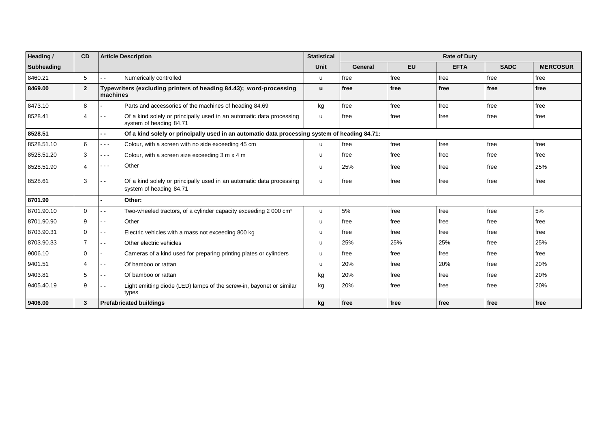| Heading /         | <b>CD</b>      | <b>Article Description</b>                                                                                                                                                                                                                                                                                                                                                                                                                                                   | <b>Statistical</b> | <b>Rate of Duty</b> |           |             |             |                 |
|-------------------|----------------|------------------------------------------------------------------------------------------------------------------------------------------------------------------------------------------------------------------------------------------------------------------------------------------------------------------------------------------------------------------------------------------------------------------------------------------------------------------------------|--------------------|---------------------|-----------|-------------|-------------|-----------------|
| <b>Subheading</b> |                |                                                                                                                                                                                                                                                                                                                                                                                                                                                                              | Unit               | General             | <b>EU</b> | <b>EFTA</b> | <b>SADC</b> | <b>MERCOSUR</b> |
| 8460.21           | 5              | Numerically controlled<br>$\sim$ $\sim$                                                                                                                                                                                                                                                                                                                                                                                                                                      | u                  | free                | free      | free        | free        | free            |
| 8469.00           | $\overline{2}$ | Typewriters (excluding printers of heading 84.43); word-processing<br><b>Imachines</b>                                                                                                                                                                                                                                                                                                                                                                                       | $\mathbf{u}$       | free                | free      | free        | free        | free            |
| 8473.10           | 8              | Parts and accessories of the machines of heading 84.69                                                                                                                                                                                                                                                                                                                                                                                                                       | kg                 | free                | free      | free        | free        | free            |
| 8528.41           | $\overline{4}$ | Of a kind solely or principally used in an automatic data processing<br>$\sim$ $\sim$<br>system of heading 84.71                                                                                                                                                                                                                                                                                                                                                             | $\mathsf{u}$       | free                | free      | free        | free        | free            |
| 8528.51           |                | Of a kind solely or principally used in an automatic data processing system of heading 84.71:<br>$\overline{\phantom{a}}$                                                                                                                                                                                                                                                                                                                                                    |                    |                     |           |             |             |                 |
| 8528.51.10        | 6              | Colour, with a screen with no side exceeding 45 cm<br>$\sim$ $\sim$                                                                                                                                                                                                                                                                                                                                                                                                          | u                  | free                | free      | free        | free        | free            |
| 8528.51.20        | 3              | Colour, with a screen size exceeding 3 m x 4 m<br>- - -                                                                                                                                                                                                                                                                                                                                                                                                                      | <b>u</b>           | free                | free      | free        | free        | free            |
| 8528.51.90        | 4              | Other<br>$\sim$ $-$                                                                                                                                                                                                                                                                                                                                                                                                                                                          | <b>u</b>           | 25%                 | free      | free        | free        | 25%             |
| 8528.61           | 3              | Of a kind solely or principally used in an automatic data processing<br>system of heading 84.71                                                                                                                                                                                                                                                                                                                                                                              | u                  | free                | free      | free        | free        | free            |
| 8701.90           |                | Other:                                                                                                                                                                                                                                                                                                                                                                                                                                                                       |                    |                     |           |             |             |                 |
| 8701.90.10        | $\mathbf 0$    | Two-wheeled tractors, of a cylinder capacity exceeding 2 000 cm <sup>3</sup><br>$\frac{1}{2} \frac{1}{2} \frac{1}{2} \frac{1}{2} \frac{1}{2} \frac{1}{2} \frac{1}{2} \frac{1}{2} \frac{1}{2} \frac{1}{2} \frac{1}{2} \frac{1}{2} \frac{1}{2} \frac{1}{2} \frac{1}{2} \frac{1}{2} \frac{1}{2} \frac{1}{2} \frac{1}{2} \frac{1}{2} \frac{1}{2} \frac{1}{2} \frac{1}{2} \frac{1}{2} \frac{1}{2} \frac{1}{2} \frac{1}{2} \frac{1}{2} \frac{1}{2} \frac{1}{2} \frac{1}{2} \frac{$ | u                  | 5%                  | free      | free        | free        | 5%              |
| 8701.90.90        | 9              | Other<br>$\frac{1}{2} \left( \frac{1}{2} \right)$                                                                                                                                                                                                                                                                                                                                                                                                                            | u                  | free                | free      | free        | free        | free            |
| 8703.90.31        | $\mathbf 0$    | Electric vehicles with a mass not exceeding 800 kg<br>$ -$                                                                                                                                                                                                                                                                                                                                                                                                                   | u                  | free                | free      | free        | free        | free            |
| 8703.90.33        | $\overline{7}$ | Other electric vehicles                                                                                                                                                                                                                                                                                                                                                                                                                                                      | <b>u</b>           | 25%                 | 25%       | 25%         | free        | 25%             |
| 9006.10           | $\mathbf 0$    | Cameras of a kind used for preparing printing plates or cylinders                                                                                                                                                                                                                                                                                                                                                                                                            | u                  | free                | free      | free        | free        | free            |
| 9401.51           | $\overline{4}$ | Of bamboo or rattan<br>$\sim$ $\sim$                                                                                                                                                                                                                                                                                                                                                                                                                                         | u                  | 20%                 | free      | 20%         | free        | 20%             |
| 9403.81           | 5              | Of bamboo or rattan<br>$\sim$ $\sim$                                                                                                                                                                                                                                                                                                                                                                                                                                         | kg                 | 20%                 | free      | free        | free        | 20%             |
| 9405.40.19        | 9              | Light emitting diode (LED) lamps of the screw-in, bayonet or similar<br>types                                                                                                                                                                                                                                                                                                                                                                                                | kg                 | 20%                 | free      | free        | free        | 20%             |
| 9406.00           | 3              | <b>Prefabricated buildings</b>                                                                                                                                                                                                                                                                                                                                                                                                                                               | kg                 | free                | free      | free        | free        | free            |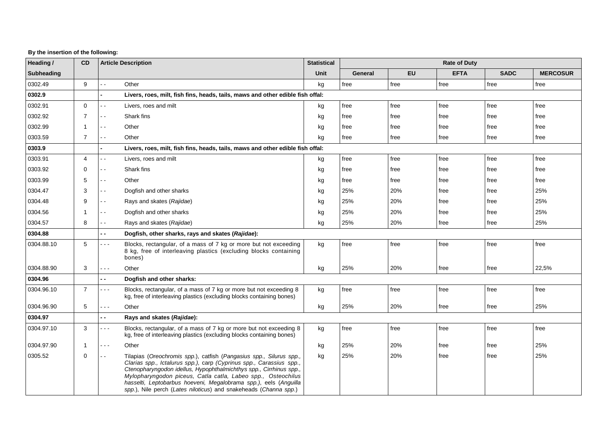| Heading /  | CD             | <b>Article Description</b>                                                                                                                                                                                                                                                                                                                                                                                                                | <b>Statistical</b> | <b>Rate of Duty</b> |           |             |             |                 |  |
|------------|----------------|-------------------------------------------------------------------------------------------------------------------------------------------------------------------------------------------------------------------------------------------------------------------------------------------------------------------------------------------------------------------------------------------------------------------------------------------|--------------------|---------------------|-----------|-------------|-------------|-----------------|--|
| Subheading |                |                                                                                                                                                                                                                                                                                                                                                                                                                                           | Unit               | <b>General</b>      | <b>EU</b> | <b>EFTA</b> | <b>SADC</b> | <b>MERCOSUR</b> |  |
| 0302.49    | 9              | Other<br>. .                                                                                                                                                                                                                                                                                                                                                                                                                              | kg                 | free                | free      | free        | free        | free            |  |
| 0302.9     |                | Livers, roes, milt, fish fins, heads, tails, maws and other edible fish offal:                                                                                                                                                                                                                                                                                                                                                            |                    |                     |           |             |             |                 |  |
| 0302.91    | $\mathbf 0$    | Livers, roes and milt<br>$\overline{\phantom{a}}$                                                                                                                                                                                                                                                                                                                                                                                         | kg                 | free                | free      | free        | free        | free            |  |
| 0302.92    | $\overline{7}$ | Shark fins<br>$\sim$ $\sim$                                                                                                                                                                                                                                                                                                                                                                                                               | kg                 | free                | free      | free        | free        | free            |  |
| 0302.99    |                | Other<br>$\sim$ $\sim$                                                                                                                                                                                                                                                                                                                                                                                                                    | kg                 | free                | free      | free        | free        | free            |  |
| 0303.59    | $\overline{7}$ | Other<br>- -                                                                                                                                                                                                                                                                                                                                                                                                                              | kg                 | free                | free      | free        | free        | free            |  |
| 0303.9     |                | Livers, roes, milt, fish fins, heads, tails, maws and other edible fish offal:                                                                                                                                                                                                                                                                                                                                                            |                    |                     |           |             |             |                 |  |
| 0303.91    | 4              | Livers, roes and milt                                                                                                                                                                                                                                                                                                                                                                                                                     | kg                 | free                | free      | free        | free        | free            |  |
| 0303.92    | $\Omega$       | Shark fins<br>$\sim$ $\sim$                                                                                                                                                                                                                                                                                                                                                                                                               | kg                 | free                | free      | free        | free        | free            |  |
| 0303.99    | 5              | Other<br>$\overline{\phantom{a}}$                                                                                                                                                                                                                                                                                                                                                                                                         | kg                 | free                | free      | free        | free        | free            |  |
| 0304.47    | 3              | Dogfish and other sharks<br>$ -$                                                                                                                                                                                                                                                                                                                                                                                                          | kg                 | 25%                 | 20%       | free        | free        | 25%             |  |
| 0304.48    | 9              | Rays and skates (Rajidae)<br>$\sim$                                                                                                                                                                                                                                                                                                                                                                                                       | kg                 | 25%                 | 20%       | free        | free        | 25%             |  |
| 0304.56    | -1             | Dogfish and other sharks<br>$\blacksquare$                                                                                                                                                                                                                                                                                                                                                                                                | kg                 | 25%                 | 20%       | free        | free        | 25%             |  |
| 0304.57    | 8              | Rays and skates (Rajidae)<br>$\overline{\phantom{a}}$                                                                                                                                                                                                                                                                                                                                                                                     | kg                 | 25%                 | 20%       | free        | free        | 25%             |  |
| 0304.88    |                | Dogfish, other sharks, rays and skates (Rajidae):<br>$\overline{\phantom{a}}$                                                                                                                                                                                                                                                                                                                                                             |                    |                     |           |             |             |                 |  |
| 0304.88.10 | 5              | Blocks, rectangular, of a mass of 7 kg or more but not exceeding<br>8 kg, free of interleaving plastics (excluding blocks containing<br>bones)                                                                                                                                                                                                                                                                                            | kg                 | free                | free      | free        | free        | free            |  |
| 0304.88.90 | 3              | Other<br>- - -                                                                                                                                                                                                                                                                                                                                                                                                                            | kg                 | 25%                 | 20%       | free        | free        | 22,5%           |  |
| 0304.96    |                | Dogfish and other sharks:<br>$\overline{\phantom{a}}$                                                                                                                                                                                                                                                                                                                                                                                     |                    |                     |           |             |             |                 |  |
| 0304.96.10 | $\overline{7}$ | Blocks, rectangular, of a mass of 7 kg or more but not exceeding 8<br>.<br>kg, free of interleaving plastics (excluding blocks containing bones)                                                                                                                                                                                                                                                                                          | kg                 | free                | free      | free        | free        | free            |  |
| 0304.96.90 | 5              | Other<br>$- - -$                                                                                                                                                                                                                                                                                                                                                                                                                          | kg                 | 25%                 | 20%       | free        | free        | 25%             |  |
| 0304.97    |                | Rays and skates (Rajidae):<br>Ξ.                                                                                                                                                                                                                                                                                                                                                                                                          |                    |                     |           |             |             |                 |  |
| 0304.97.10 | 3              | Blocks, rectangular, of a mass of 7 kg or more but not exceeding 8<br>.<br>kg, free of interleaving plastics (excluding blocks containing bones)                                                                                                                                                                                                                                                                                          | kg                 | free                | free      | free        | free        | free            |  |
| 0304.97.90 | -1             | Other<br>$\sim$ $\sim$ $\sim$                                                                                                                                                                                                                                                                                                                                                                                                             | kg                 | 25%                 | 20%       | free        | free        | 25%             |  |
| 0305.52    | 0              | Tilapias (Oreochromis spp.), catfish (Pangasius spp., Silurus spp.,<br>$\sim$ $\sim$<br>Clarias spp., Ictalurus spp.), carp (Cyprinus spp., Carassius spp.,<br>Ctenopharyngodon idellus, Hypophthalmichthys spp., Cirrhinus spp.,<br>Mylopharyngodon piceus, Catla catla, Labeo spp., Osteochilus<br>hasselti, Leptobarbus hoeveni, Megalobrama spp.), eels (Anguilla<br>spp.), Nile perch (Lates niloticus) and snakeheads (Channa spp.) | kg                 | 25%                 | 20%       | free        | free        | 25%             |  |

# **By the insertion of the following:**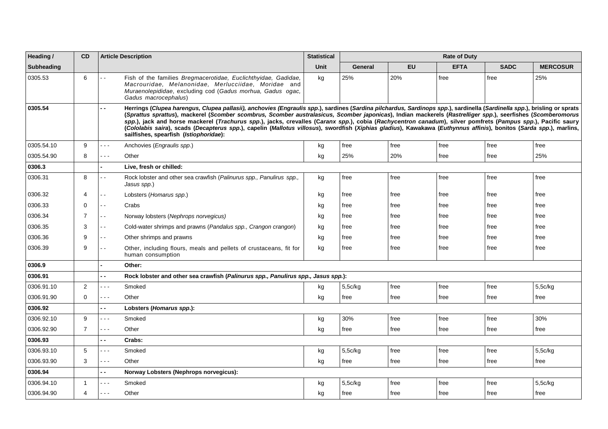| Heading /  | <b>CD</b>      |                          | <b>Article Description</b>                                                                                                                                                                                                                                                                                                                                                                                                                                                                                                                                                                                                                                                                                             | <b>Statistical</b> |         |           | <b>Rate of Duty</b> |             |                 |
|------------|----------------|--------------------------|------------------------------------------------------------------------------------------------------------------------------------------------------------------------------------------------------------------------------------------------------------------------------------------------------------------------------------------------------------------------------------------------------------------------------------------------------------------------------------------------------------------------------------------------------------------------------------------------------------------------------------------------------------------------------------------------------------------------|--------------------|---------|-----------|---------------------|-------------|-----------------|
| Subheading |                |                          |                                                                                                                                                                                                                                                                                                                                                                                                                                                                                                                                                                                                                                                                                                                        | <b>Unit</b>        | General | <b>EU</b> | <b>EFTA</b>         | <b>SADC</b> | <b>MERCOSUR</b> |
| 0305.53    | 6              | $\overline{\phantom{a}}$ | Fish of the families Bregmacerotidae, Euclichthyidae, Gadidae,<br>Macrouridae, Melanonidae, Merlucciidae, Moridae and<br>Muraenolepididae, excluding cod (Gadus morhua, Gadus ogac,<br>Gadus macrocephalus)                                                                                                                                                                                                                                                                                                                                                                                                                                                                                                            | kg                 | 25%     | 20%       | free                | free        | 25%             |
| 0305.54    |                |                          | Herrings (Clupea harengus, Clupea pallasii), anchovies (Engraulis spp.), sardines (Sardina pilchardus, Sardinops spp.), sardinella (Sardinella spp.), brisling or sprats<br>(Sprattus sprattus), mackerel (Scomber scombrus, Scomber australasicus, Scomber japonicas), Indian mackerels (Rastrelliger spp.), seerfishes (Scomberomorus<br>spp.), jack and horse mackerel (Trachurus spp.), jacks, crevalles (Caranx spp.), cobia (Rachycentron canadum), silver pomfrets (Pampus spp.), Pacific saury<br>(Cololabis saira), scads (Decapterus spp.), capelin (Mallotus villosus), swordfish (Xiphias gladius), Kawakawa (Euthynnus affinis), bonitos (Sarda spp.), marlins,<br>sailfishes, spearfish (Istiophoridae): |                    |         |           |                     |             |                 |
| 0305.54.10 | 9              | .                        | Anchovies (Engraulis spp.)                                                                                                                                                                                                                                                                                                                                                                                                                                                                                                                                                                                                                                                                                             | kg                 | free    | free      | free                | free        | free            |
| 0305.54.90 | 8              | .                        | Other                                                                                                                                                                                                                                                                                                                                                                                                                                                                                                                                                                                                                                                                                                                  | kg                 | 25%     | 20%       | free                | free        | 25%             |
| 0306.3     |                |                          | Live, fresh or chilled:                                                                                                                                                                                                                                                                                                                                                                                                                                                                                                                                                                                                                                                                                                |                    |         |           |                     |             |                 |
| 0306.31    | 8              |                          | Rock lobster and other sea crawfish (Palinurus spp., Panulirus spp.,<br>Jasus spp.)                                                                                                                                                                                                                                                                                                                                                                                                                                                                                                                                                                                                                                    | kg                 | free    | free      | free                | free        | free            |
| 0306.32    | 4              | $\overline{\phantom{a}}$ | Lobsters (Homarus spp.)                                                                                                                                                                                                                                                                                                                                                                                                                                                                                                                                                                                                                                                                                                | kg                 | free    | free      | free                | free        | free            |
| 0306.33    | $\Omega$       | $\sim$ $\sim$            | Crabs                                                                                                                                                                                                                                                                                                                                                                                                                                                                                                                                                                                                                                                                                                                  | kg                 | free    | free      | free                | free        | free            |
| 0306.34    | 7              | $\sim$                   | Norway lobsters (Nephrops norvegicus)                                                                                                                                                                                                                                                                                                                                                                                                                                                                                                                                                                                                                                                                                  | kg                 | free    | free      | free                | free        | free            |
| 0306.35    | 3              | - -                      | Cold-water shrimps and prawns (Pandalus spp., Crangon crangon)                                                                                                                                                                                                                                                                                                                                                                                                                                                                                                                                                                                                                                                         | kg                 | free    | free      | free                | free        | free            |
| 0306.36    | 9              | $\overline{\phantom{a}}$ | Other shrimps and prawns                                                                                                                                                                                                                                                                                                                                                                                                                                                                                                                                                                                                                                                                                               | kg                 | free    | free      | free                | free        | free            |
| 0306.39    | 9              | . .                      | Other, including flours, meals and pellets of crustaceans, fit for<br>human consumption                                                                                                                                                                                                                                                                                                                                                                                                                                                                                                                                                                                                                                | kg                 | free    | free      | free                | free        | free            |
| 0306.9     |                |                          | Other:                                                                                                                                                                                                                                                                                                                                                                                                                                                                                                                                                                                                                                                                                                                 |                    |         |           |                     |             |                 |
| 0306.91    |                |                          | Rock lobster and other sea crawfish (Palinurus spp., Panulirus spp., Jasus spp.):                                                                                                                                                                                                                                                                                                                                                                                                                                                                                                                                                                                                                                      |                    |         |           |                     |             |                 |
| 0306.91.10 | $\overline{2}$ | - - -                    | Smoked                                                                                                                                                                                                                                                                                                                                                                                                                                                                                                                                                                                                                                                                                                                 | kg                 | 5,5c/kg | free      | free                | free        | 5,5c/kg         |
| 0306.91.90 | $\Omega$       | .                        | Other                                                                                                                                                                                                                                                                                                                                                                                                                                                                                                                                                                                                                                                                                                                  | kg                 | free    | free      | free                | free        | free            |
| 0306.92    |                | $\overline{\phantom{0}}$ | Lobsters (Homarus spp.):                                                                                                                                                                                                                                                                                                                                                                                                                                                                                                                                                                                                                                                                                               |                    |         |           |                     |             |                 |
| 0306.92.10 | 9              | .                        | Smoked                                                                                                                                                                                                                                                                                                                                                                                                                                                                                                                                                                                                                                                                                                                 | kg                 | 30%     | free      | free                | free        | 30%             |
| 0306.92.90 | $\overline{7}$ | .                        | Other                                                                                                                                                                                                                                                                                                                                                                                                                                                                                                                                                                                                                                                                                                                  | kg                 | free    | free      | free                | free        | free            |
| 0306.93    |                |                          | Crabs:                                                                                                                                                                                                                                                                                                                                                                                                                                                                                                                                                                                                                                                                                                                 |                    |         |           |                     |             |                 |
| 0306.93.10 | 5              | .                        | Smoked                                                                                                                                                                                                                                                                                                                                                                                                                                                                                                                                                                                                                                                                                                                 | kg                 | 5,5c/kg | free      | free                | free        | 5,5c/kg         |
| 0306.93.90 | 3              | - - -                    | Other                                                                                                                                                                                                                                                                                                                                                                                                                                                                                                                                                                                                                                                                                                                  | kg                 | free    | free      | free                | free        | free            |
| 0306.94    |                | $\overline{\phantom{a}}$ | Norway Lobsters (Nephrops norvegicus):                                                                                                                                                                                                                                                                                                                                                                                                                                                                                                                                                                                                                                                                                 |                    |         |           |                     |             |                 |
| 0306.94.10 | $\mathbf{1}$   |                          | Smoked                                                                                                                                                                                                                                                                                                                                                                                                                                                                                                                                                                                                                                                                                                                 | kg                 | 5,5c/kg | free      | free                | free        | 5,5c/kg         |
| 0306.94.90 | 4              |                          | Other                                                                                                                                                                                                                                                                                                                                                                                                                                                                                                                                                                                                                                                                                                                  | kg                 | free    | free      | free                | free        | free            |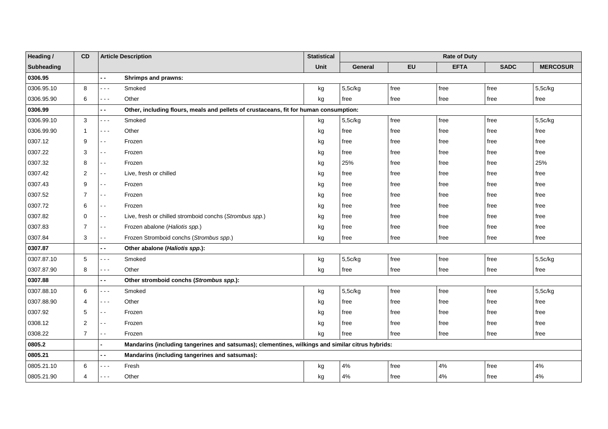| Heading /  | CD             | <b>Article Description</b>                                                                       | <b>Statistical</b> | <b>Rate of Duty</b> |           |             |             |                 |
|------------|----------------|--------------------------------------------------------------------------------------------------|--------------------|---------------------|-----------|-------------|-------------|-----------------|
| Subheading |                |                                                                                                  | Unit               | General             | <b>EU</b> | <b>EFTA</b> | <b>SADC</b> | <b>MERCOSUR</b> |
| 0306.95    |                | Shrimps and prawns:<br>$\overline{\phantom{a}}$                                                  |                    |                     |           |             |             |                 |
| 0306.95.10 | 8              | Smoked<br>.                                                                                      | kg                 | 5,5c/kg             | free      | free        | free        | 5,5c/kg         |
| 0306.95.90 | 6              | Other<br>- - -                                                                                   | kg                 | free                | free      | free        | free        | free            |
| 0306.99    |                | Other, including flours, meals and pellets of crustaceans, fit for human consumption:<br>$ -$    |                    |                     |           |             |             |                 |
| 0306.99.10 | 3              | Smoked<br>- - -                                                                                  | kg                 | 5,5c/kg             | free      | free        | free        | 5,5c/kg         |
| 0306.99.90 | $\overline{1}$ | Other<br>$\sim$ $\sim$ $\sim$                                                                    | kg                 | free                | free      | free        | free        | free            |
| 0307.12    | 9              | $\sim$ $\sim$<br>Frozen                                                                          | kg                 | free                | free      | free        | free        | free            |
| 0307.22    | 3              | Frozen<br>$\sim$                                                                                 | kg                 | free                | free      | free        | free        | free            |
| 0307.32    | 8              | Frozen<br>$\sim$ $\sim$                                                                          | kg                 | 25%                 | free      | free        | free        | 25%             |
| 0307.42    | $\overline{2}$ | Live, fresh or chilled<br>$\overline{\phantom{a}}$                                               | kg                 | free                | free      | free        | free        | free            |
| 0307.43    | 9              | Frozen<br>$\sim$ $\sim$                                                                          | kg                 | free                | free      | free        | free        | free            |
| 0307.52    | $\overline{7}$ | $\sim$ $\sim$<br>Frozen                                                                          | kg                 | free                | free      | free        | free        | free            |
| 0307.72    | 6              | Frozen<br>۰.                                                                                     | kg                 | free                | free      | free        | free        | free            |
| 0307.82    | 0              | Live, fresh or chilled stromboid conchs (Strombus spp.)<br>$\sim$ $\sim$                         | kg                 | free                | free      | free        | free        | free            |
| 0307.83    | $\overline{7}$ | Frozen abalone (Haliotis spp.)<br>$ -$                                                           | kg                 | free                | free      | free        | free        | free            |
| 0307.84    | 3              | Frozen Stromboid conchs (Strombus spp.)<br>$\overline{\phantom{a}}$                              | kg                 | free                | free      | free        | free        | free            |
| 0307.87    |                | Other abalone (Haliotis spp.):<br>$\overline{\phantom{a}}$                                       |                    |                     |           |             |             |                 |
| 0307.87.10 | 5              | Smoked<br>.                                                                                      | kg                 | 5,5c/kg             | free      | free        | free        | 5,5c/kg         |
| 0307.87.90 | 8              | Other<br>- - -                                                                                   | kg                 | free                | free      | free        | free        | free            |
| 0307.88    |                | Other stromboid conchs (Strombus spp.):<br>$-$                                                   |                    |                     |           |             |             |                 |
| 0307.88.10 | 6              | Smoked<br>- - -                                                                                  | kg                 | 5,5c/kg             | free      | free        | free        | 5,5c/kg         |
| 0307.88.90 | 4              | Other<br>$\sim$ $\sim$ $\sim$                                                                    | kg                 | free                | free      | free        | free        | free            |
| 0307.92    | 5              | Frozen<br>$\sim$ $-$                                                                             | kg                 | free                | free      | free        | free        | free            |
| 0308.12    | $\overline{2}$ | Frozen<br>$ -$                                                                                   | kg                 | free                | free      | free        | free        | free            |
| 0308.22    | $\overline{7}$ | Frozen<br>$ -$                                                                                   | kg                 | free                | free      | free        | free        | free            |
| 0805.2     |                | Mandarins (including tangerines and satsumas); clementines, wilkings and similar citrus hybrids: |                    |                     |           |             |             |                 |
| 0805.21    |                | $-$<br>Mandarins (including tangerines and satsumas):                                            |                    |                     |           |             |             |                 |
| 0805.21.10 | 6              | Fresh<br>.                                                                                       | kg                 | 4%                  | free      | 4%          | free        | 4%              |
| 0805.21.90 | 4              | Other<br>$- - -$                                                                                 | kg                 | 4%                  | free      | 4%          | free        | 4%              |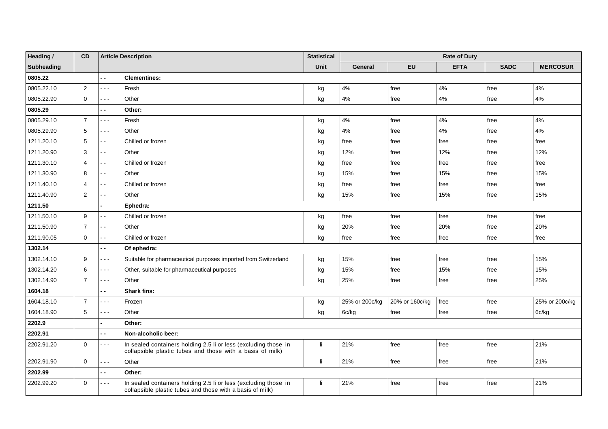| Heading /  | <b>CD</b>      | <b>Article Description</b>                                                                                                        | <b>Statistical</b> | <b>Rate of Duty</b> |                |             |             |                 |
|------------|----------------|-----------------------------------------------------------------------------------------------------------------------------------|--------------------|---------------------|----------------|-------------|-------------|-----------------|
| Subheading |                |                                                                                                                                   | Unit               | General             | <b>EU</b>      | <b>EFTA</b> | <b>SADC</b> | <b>MERCOSUR</b> |
| 0805.22    |                | ٠.<br><b>Clementines:</b>                                                                                                         |                    |                     |                |             |             |                 |
| 0805.22.10 | $\overline{2}$ | $- - -$<br>Fresh                                                                                                                  | kg                 | 4%                  | free           | 4%          | free        | 4%              |
| 0805.22.90 | $\mathbf 0$    | Other<br>$- - -$                                                                                                                  | kg                 | $4\%$               | free           | 4%          | free        | 4%              |
| 0805.29    |                | $-$<br>Other:                                                                                                                     |                    |                     |                |             |             |                 |
| 0805.29.10 | $\overline{7}$ | .<br>Fresh                                                                                                                        | kg                 | 4%                  | free           | 4%          | free        | 4%              |
| 0805.29.90 | 5              | Other<br>$\sim$ $ -$                                                                                                              | kg                 | 4%                  | free           | 4%          | free        | 4%              |
| 1211.20.10 | 5              | Chilled or frozen<br>$\sim$ $\sim$                                                                                                | kg                 | free                | free           | free        | free        | free            |
| 1211.20.90 | 3              | Other<br>$\sim$ $\sim$                                                                                                            | kg                 | 12%                 | free           | 12%         | free        | 12%             |
| 1211.30.10 | 4              | Chilled or frozen<br>$\overline{\phantom{a}}$                                                                                     | kg                 | free                | free           | free        | free        | free            |
| 1211.30.90 | 8              | Other<br>$\sim$ $\sim$                                                                                                            | kg                 | 15%                 | free           | 15%         | free        | 15%             |
| 1211.40.10 | 4              | Chilled or frozen<br>۰.                                                                                                           | kg                 | free                | free           | free        | free        | free            |
| 1211.40.90 | 2              | Other<br>$\overline{\phantom{a}}$                                                                                                 | kg                 | 15%                 | free           | 15%         | free        | 15%             |
| 1211.50    |                | Ephedra:                                                                                                                          |                    |                     |                |             |             |                 |
| 1211.50.10 | 9              | Chilled or frozen<br>$ -$                                                                                                         | kg                 | free                | free           | free        | free        | free            |
| 1211.50.90 | $\overline{7}$ | Other<br>$\overline{\phantom{a}}$                                                                                                 | kg                 | 20%                 | free           | 20%         | free        | 20%             |
| 1211.90.05 | $\mathbf 0$    | Chilled or frozen<br>$ -$                                                                                                         | kg                 | free                | free           | free        | free        | free            |
| 1302.14    |                | $\overline{\phantom{a}}$<br>Of ephedra:                                                                                           |                    |                     |                |             |             |                 |
| 1302.14.10 | 9              | Suitable for pharmaceutical purposes imported from Switzerland<br>$- - -$                                                         | kg                 | 15%                 | free           | free        | free        | 15%             |
| 1302.14.20 | 6              | Other, suitable for pharmaceutical purposes<br>$- - -$                                                                            | kg                 | 15%                 | free           | 15%         | free        | 15%             |
| 1302.14.90 | $\overline{7}$ | Other<br>- - -                                                                                                                    | kg                 | 25%                 | free           | free        | free        | 25%             |
| 1604.18    |                | <b>Shark fins:</b><br>$\overline{\phantom{a}}$                                                                                    |                    |                     |                |             |             |                 |
| 1604.18.10 | $\overline{7}$ | Frozen<br>.                                                                                                                       | kg                 | 25% or 200c/kg      | 20% or 160c/kg | free        | free        | 25% or 200c/kg  |
| 1604.18.90 | 5              | Other<br>- - -                                                                                                                    | kg                 | 6c/kg               | free           | free        | free        | 6c/kg           |
| 2202.9     |                | Other:                                                                                                                            |                    |                     |                |             |             |                 |
| 2202.91    |                | Non-alcoholic beer:<br>. .                                                                                                        |                    |                     |                |             |             |                 |
| 2202.91.20 | $\mathbf 0$    | In sealed containers holding 2.5 li or less (excluding those in<br>.<br>collapsible plastic tubes and those with a basis of milk) | li                 | 21%                 | free           | free        | free        | 21%             |
| 2202.91.90 | $\mathbf 0$    | Other<br>$- - -$                                                                                                                  | -li                | 21%                 | free           | free        | free        | 21%             |
| 2202.99    |                | ٠.<br>Other:                                                                                                                      |                    |                     |                |             |             |                 |
| 2202.99.20 | $\mathbf 0$    | In sealed containers holding 2.5 li or less (excluding those in<br>.<br>collapsible plastic tubes and those with a basis of milk) | -li                | 21%                 | free           | free        | free        | 21%             |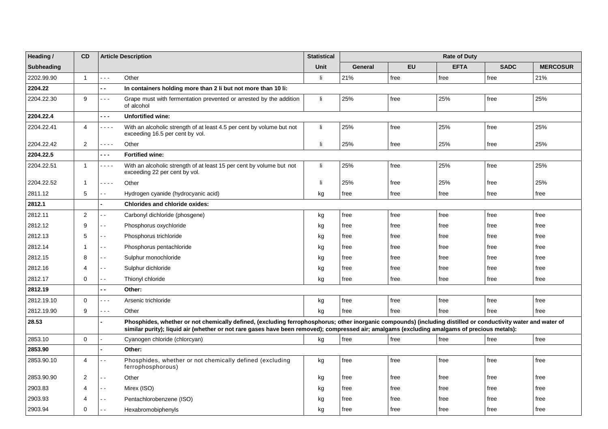| Heading /  | <b>CD</b>      |                             | <b>Article Description</b>                                                                                                                                                                                                                                                                                    | <b>Statistical</b> | <b>Rate of Duty</b> |           |             |             |                 |
|------------|----------------|-----------------------------|---------------------------------------------------------------------------------------------------------------------------------------------------------------------------------------------------------------------------------------------------------------------------------------------------------------|--------------------|---------------------|-----------|-------------|-------------|-----------------|
| Subheading |                |                             |                                                                                                                                                                                                                                                                                                               | Unit               | General             | <b>EU</b> | <b>EFTA</b> | <b>SADC</b> | <b>MERCOSUR</b> |
| 2202.99.90 | $\overline{1}$ | 222                         | Other                                                                                                                                                                                                                                                                                                         | -li                | 21%                 | free      | free        | free        | 21%             |
| 2204.22    |                | н.                          | In containers holding more than 2 li but not more than 10 li:                                                                                                                                                                                                                                                 |                    |                     |           |             |             |                 |
| 2204.22.30 | 9              | .                           | Grape must with fermentation prevented or arrested by the addition<br>of alcohol                                                                                                                                                                                                                              | li.                | 25%                 | free      | 25%         | free        | 25%             |
| 2204.22.4  |                | $- - -$                     | <b>Unfortified wine:</b>                                                                                                                                                                                                                                                                                      |                    |                     |           |             |             |                 |
| 2204.22.41 | $\overline{4}$ | .                           | With an alcoholic strength of at least 4.5 per cent by volume but not<br>exceeding 16.5 per cent by vol.                                                                                                                                                                                                      | li.                | 25%                 | free      | 25%         | free        | 25%             |
| 2204.22.42 | 2              | .                           | Other                                                                                                                                                                                                                                                                                                         | -li                | 25%                 | free      | 25%         | free        | 25%             |
| 2204.22.5  |                | .                           | Fortified wine:                                                                                                                                                                                                                                                                                               |                    |                     |           |             |             |                 |
| 2204.22.51 | $\overline{1}$ | .                           | With an alcoholic strength of at least 15 per cent by volume but not<br>exceeding 22 per cent by vol.                                                                                                                                                                                                         | li.                | 25%                 | free      | 25%         | free        | 25%             |
| 2204.22.52 | $\overline{1}$ | $\sim$ $\sim$ $\sim$ $\sim$ | Other                                                                                                                                                                                                                                                                                                         | -li                | 25%                 | free      | 25%         | free        | 25%             |
| 2811.12    | 5              | i.                          | Hydrogen cyanide (hydrocyanic acid)                                                                                                                                                                                                                                                                           | kg                 | free                | free      | free        | free        | free            |
| 2812.1     |                |                             | <b>Chlorides and chloride oxides:</b>                                                                                                                                                                                                                                                                         |                    |                     |           |             |             |                 |
| 2812.11    | $\overline{c}$ | $ -$                        | Carbonyl dichloride (phosgene)                                                                                                                                                                                                                                                                                | kg                 | free                | free      | free        | free        | free            |
| 2812.12    | 9              | $\overline{\phantom{a}}$    | Phosphorus oxychloride                                                                                                                                                                                                                                                                                        | kg                 | free                | free      | free        | free        | free            |
| 2812.13    | 5              | - -                         | Phosphorus trichloride                                                                                                                                                                                                                                                                                        | kg                 | free                | free      | free        | free        | free            |
| 2812.14    | $\mathbf 1$    | $\overline{\phantom{a}}$    | Phosphorus pentachloride                                                                                                                                                                                                                                                                                      | kg                 | free                | free      | free        | free        | free            |
| 2812.15    | 8              | . .                         | Sulphur monochloride                                                                                                                                                                                                                                                                                          | kg                 | free                | free      | free        | free        | free            |
| 2812.16    | 4              | ٠.                          | Sulphur dichloride                                                                                                                                                                                                                                                                                            | kg                 | free                | free      | free        | free        | free            |
| 2812.17    | $\mathbf 0$    | - -                         | Thionyl chloride                                                                                                                                                                                                                                                                                              | kg                 | free                | free      | free        | free        | free            |
| 2812.19    |                | $\overline{\phantom{a}}$    | Other:                                                                                                                                                                                                                                                                                                        |                    |                     |           |             |             |                 |
| 2812.19.10 | $\mathbf 0$    | $\sim$ $\sim$               | Arsenic trichloride                                                                                                                                                                                                                                                                                           | kg                 | free                | free      | free        | free        | free            |
| 2812.19.90 | 9              | $-1$                        | Other                                                                                                                                                                                                                                                                                                         | kg                 | free                | free      | free        | free        | free            |
| 28.53      |                |                             | Phosphides, whether or not chemically defined, (excluding ferrophosphorus; other inorganic compounds) (including distilled or conductivity water and water of<br>similar purity); liquid air (whether or not rare gases have been removed); compressed air; amalgams (excluding amalgams of precious metals): |                    |                     |           |             |             |                 |
| 2853.10    | $\mathbf 0$    |                             | Cyanogen chloride (chlorcyan)                                                                                                                                                                                                                                                                                 | kg                 | free                | free      | free        | free        | free            |
| 2853.90    |                |                             | Other:                                                                                                                                                                                                                                                                                                        |                    |                     |           |             |             |                 |
| 2853.90.10 | 4              | $\overline{\phantom{a}}$    | Phosphides, whether or not chemically defined (excluding<br>ferrophosphorous)                                                                                                                                                                                                                                 | kg                 | free                | free      | free        | free        | free            |
| 2853.90.90 | $\overline{2}$ | $\sim$ $\sim$               | Other                                                                                                                                                                                                                                                                                                         | kg                 | free                | free      | free        | free        | free            |
| 2903.83    | 4              | $\sim$ $\sim$               | Mirex (ISO)                                                                                                                                                                                                                                                                                                   | kg                 | free                | free      | free        | free        | free            |
| 2903.93    | 4              | ٠.                          | Pentachlorobenzene (ISO)                                                                                                                                                                                                                                                                                      | kg                 | free                | free      | free        | free        | free            |
| 2903.94    | $\mathbf 0$    | ٠.                          | Hexabromobiphenyls                                                                                                                                                                                                                                                                                            | kg                 | free                | free      | free        | free        | free            |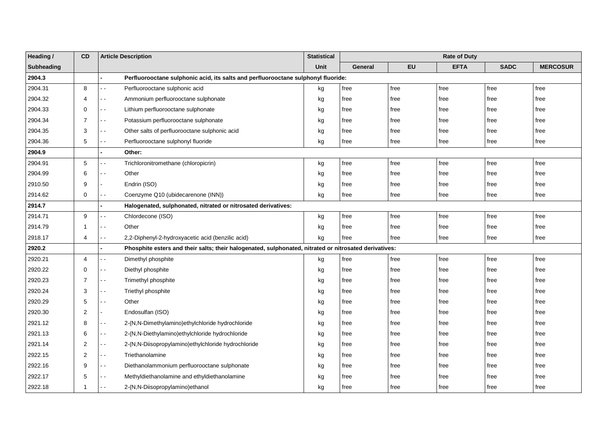| Heading /         | CD             | <b>Article Description</b>                                                                            | <b>Statistical</b> | <b>Rate of Duty</b> |           |             |             |                 |  |
|-------------------|----------------|-------------------------------------------------------------------------------------------------------|--------------------|---------------------|-----------|-------------|-------------|-----------------|--|
| <b>Subheading</b> |                |                                                                                                       | <b>Unit</b>        | <b>General</b>      | <b>EU</b> | <b>EFTA</b> | <b>SADC</b> | <b>MERCOSUR</b> |  |
| 2904.3            |                | Perfluorooctane sulphonic acid, its salts and perfluorooctane sulphonyl fluoride:                     |                    |                     |           |             |             |                 |  |
| 2904.31           | 8              | Perfluorooctane sulphonic acid<br>$ -$                                                                | kg                 | free                | free      | free        | free        | free            |  |
| 2904.32           | 4              | Ammonium perfluorooctane sulphonate<br>$\overline{\phantom{a}}$                                       | kg                 | free                | free      | free        | free        | free            |  |
| 2904.33           | $\mathbf 0$    | Lithium perfluorooctane sulphonate<br>$ -$                                                            | kg                 | free                | free      | free        | free        | free            |  |
| 2904.34           | $\overline{7}$ | Potassium perfluorooctane sulphonate<br>$\overline{a}$                                                | kg                 | free                | free      | free        | free        | free            |  |
| 2904.35           | 3              | Other salts of perfluorooctane sulphonic acid<br>$\sim$ $\sim$                                        | kg                 | free                | free      | free        | free        | free            |  |
| 2904.36           | 5              | Perfluorooctane sulphonyl fluoride<br>$ -$                                                            | kg                 | free                | free      | free        | free        | free            |  |
| 2904.9            |                | Other:                                                                                                |                    |                     |           |             |             |                 |  |
| 2904.91           | 5              | Trichloronitromethane (chloropicrin)<br>$\overline{a}$                                                | kg                 | free                | free      | free        | free        | free            |  |
| 2904.99           | 6              | Other<br>$ -$                                                                                         | kg                 | free                | free      | free        | free        | free            |  |
| 2910.50           | 9              | Endrin (ISO)                                                                                          | kg                 | free                | free      | free        | free        | free            |  |
| 2914.62           | 0              | Coenzyme Q10 (ubidecarenone (INN))<br>$ -$                                                            | kg                 | free                | free      | free        | free        | free            |  |
| 2914.7            |                | Halogenated, sulphonated, nitrated or nitrosated derivatives:                                         |                    |                     |           |             |             |                 |  |
| 2914.71           | 9              | Chlordecone (ISO)                                                                                     | kg                 | free                | free      | free        | free        | free            |  |
| 2914.79           | $\mathbf 1$    | Other<br>$ -$                                                                                         | kg                 | free                | free      | free        | free        | free            |  |
| 2918.17           | 4              | 2,2-Diphenyl-2-hydroxyacetic acid (benzilic acid)<br>$\blacksquare$                                   | kg                 | free                | free      | free        | free        | free            |  |
| 2920.2            |                | Phosphite esters and their salts; their halogenated, sulphonated, nitrated or nitrosated derivatives: |                    |                     |           |             |             |                 |  |
| 2920.21           | 4              | Dimethyl phosphite<br>$\sim$ $\sim$                                                                   | kg                 | free                | free      | free        | free        | free            |  |
| 2920.22           | $\mathbf 0$    | Diethyl phosphite<br>$\sim$ $\sim$                                                                    | kg                 | free                | free      | free        | free        | free            |  |
| 2920.23           | $\overline{7}$ | Trimethyl phosphite<br>$ -$                                                                           | kg                 | free                | free      | free        | free        | free            |  |
| 2920.24           | 3              | Triethyl phosphite<br>$ -$                                                                            | kg                 | free                | free      | free        | free        | free            |  |
| 2920.29           | 5              | Other<br>$\blacksquare$                                                                               | kg                 | free                | free      | free        | free        | free            |  |
| 2920.30           | 2              | Endosulfan (ISO)<br>÷.                                                                                | kg                 | free                | free      | free        | free        | free            |  |
| 2921.12           | 8              | 2-(N,N-Dimethylamino)ethylchloride hydrochloride<br>$ -$                                              | kg                 | free                | free      | free        | free        | free            |  |
| 2921.13           | 6              | 2-(N,N-Diethylamino) ethylchloride hydrochloride<br>$\sim$ $\sim$                                     | kg                 | free                | free      | free        | free        | free            |  |
| 2921.14           | $\overline{2}$ | 2-(N,N-Diisopropylamino)ethylchloride hydrochloride<br>$\blacksquare$                                 | kg                 | free                | free      | free        | free        | free            |  |
| 2922.15           | 2              | Triethanolamine<br>$\sim$                                                                             | kg                 | free                | free      | free        | free        | free            |  |
| 2922.16           | 9              | Diethanolammonium perfluorooctane sulphonate<br>$\overline{\phantom{a}}$                              | kg                 | free                | free      | free        | free        | free            |  |
| 2922.17           | 5              | Methyldiethanolamine and ethyldiethanolamine<br>$\sim$ $\sim$                                         | kg                 | free                | free      | free        | free        | free            |  |
| 2922.18           | 1              | 2-(N,N-Diisopropylamino)ethanol<br>$\overline{\phantom{a}}$                                           | kg                 | free                | free      | free        | free        | free            |  |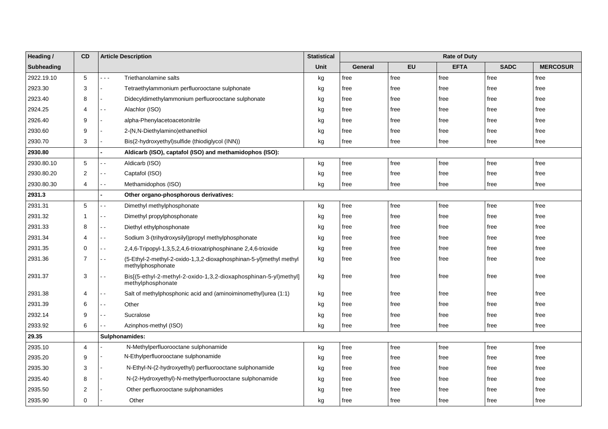| Heading /         | CD             | <b>Article Description</b>                                                                     | <b>Statistical</b> | <b>Rate of Duty</b> |      |             |             |                 |
|-------------------|----------------|------------------------------------------------------------------------------------------------|--------------------|---------------------|------|-------------|-------------|-----------------|
| <b>Subheading</b> |                |                                                                                                | Unit               | General             | EU   | <b>EFTA</b> | <b>SADC</b> | <b>MERCOSUR</b> |
| 2922.19.10        | 5              | Triethanolamine salts<br>$\sim$ $\sim$ $\sim$                                                  | kg                 | free                | free | free        | free        | free            |
| 2923.30           | 3              | Tetraethylammonium perfluorooctane sulphonate                                                  | kg                 | free                | free | free        | free        | free            |
| 2923.40           | 8              | Didecyldimethylammonium perfluorooctane sulphonate                                             | kg                 | free                | free | free        | free        | free            |
| 2924.25           | 4              | Alachlor (ISO)<br>. .                                                                          | kg                 | free                | free | free        | free        | free            |
| 2926.40           | 9              | alpha-Phenylacetoacetonitrile                                                                  | kg                 | free                | free | free        | free        | free            |
| 2930.60           | 9              | 2-(N,N-Diethylamino) ethanethiol                                                               | kg                 | free                | free | free        | free        | free            |
| 2930.70           | 3              | Bis(2-hydroxyethyl)sulfide (thiodiglycol (INN))                                                | kg                 | free                | free | free        | free        | free            |
| 2930.80           |                | Aldicarb (ISO), captafol (ISO) and methamidophos (ISO):                                        |                    |                     |      |             |             |                 |
| 2930.80.10        | 5              | Aldicarb (ISO)                                                                                 | kg                 | free                | free | free        | free        | free            |
| 2930.80.20        | 2              | Captafol (ISO)<br>$ -$                                                                         | kg                 | free                | free | free        | free        | free            |
| 2930.80.30        | 4              | Methamidophos (ISO)<br>. .                                                                     | kg                 | free                | free | free        | free        | free            |
| 2931.3            |                | Other organo-phosphorous derivatives:                                                          |                    |                     |      |             |             |                 |
| 2931.31           | 5              | Dimethyl methylphosphonate<br>. .                                                              | kg                 | free                | free | free        | free        | free            |
| 2931.32           | $\mathbf 1$    | Dimethyl propylphosphonate<br>$\overline{\phantom{a}}$                                         | kg                 | free                | free | free        | free        | free            |
| 2931.33           | 8              | Diethyl ethylphosphonate<br>$ -$                                                               | kg                 | free                | free | free        | free        | free            |
| 2931.34           | 4              | Sodium 3-(trihydroxysilyl)propyl methylphosphonate<br>$\overline{\phantom{a}}$                 | kg                 | free                | free | free        | free        | free            |
| 2931.35           | 0              | 2,4,6-Tripopyl-1,3,5,2,4,6-trioxatriphosphinane 2,4,6-trioxide<br>۵.                           | kg                 | free                | free | free        | free        | free            |
| 2931.36           | $\overline{7}$ | (5-Ethyl-2-methyl-2-oxido-1,3,2-dioxaphosphinan-5-yl)methyl methyl<br>- -<br>methylphosphonate | kg                 | free                | free | free        | free        | free            |
| 2931.37           | 3              | Bis[(5-ethyl-2-methyl-2-oxido-1,3,2-dioxaphosphinan-5-yl)methyl]<br>. .<br>methylphosphonate   | kg                 | free                | free | free        | free        | free            |
| 2931.38           | 4              | Salt of methylphosphonic acid and (aminoiminomethyl)urea (1:1)<br>$ -$                         | kg                 | free                | free | free        | free        | free            |
| 2931.39           | 6              | Other<br>$ -$                                                                                  | kg                 | free                | free | free        | free        | free            |
| 2932.14           | 9              | Sucralose<br>$\sim$ $\sim$                                                                     | kg                 | free                | free | free        | free        | free            |
| 2933.92           | 6              | Azinphos-methyl (ISO)                                                                          | kg                 | free                | free | free        | free        | free            |
| 29.35             |                | Sulphonamides:                                                                                 |                    |                     |      |             |             |                 |
| 2935.10           | 4              | N-Methylperfluorooctane sulphonamide                                                           | kg                 | free                | free | free        | free        | free            |
| 2935.20           | 9              | N-Ethylperfluorooctane sulphonamide                                                            | kg                 | free                | free | free        | free        | free            |
| 2935.30           | 3              | N-Ethyl-N-(2-hydroxyethyl) perfluorooctane sulphonamide                                        | kg                 | free                | free | free        | free        | free            |
| 2935.40           | 8              | N-(2-Hydroxyethyl)-N-methylperfluorooctane sulphonamide                                        | kg                 | free                | free | free        | free        | free            |
| 2935.50           | $\overline{2}$ | Other perfluorooctane sulphonamides                                                            | kg                 | free                | free | free        | free        | free            |
| 2935.90           | $\Omega$       | Other                                                                                          | kg                 | free                | free | free        | free        | free            |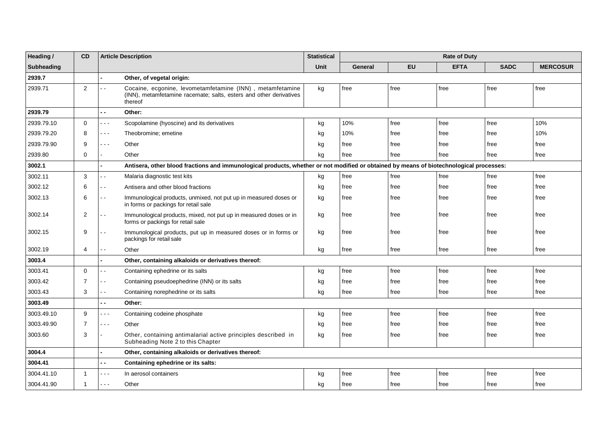| Heading /  | CD             |                          | <b>Article Description</b>                                                                                                                 | <b>Statistical</b> | <b>Rate of Duty</b> |           |             |             |                 |
|------------|----------------|--------------------------|--------------------------------------------------------------------------------------------------------------------------------------------|--------------------|---------------------|-----------|-------------|-------------|-----------------|
| Subheading |                |                          |                                                                                                                                            | Unit               | General             | <b>EU</b> | <b>EFTA</b> | <b>SADC</b> | <b>MERCOSUR</b> |
| 2939.7     |                |                          | Other, of vegetal origin:                                                                                                                  |                    |                     |           |             |             |                 |
| 2939.71    | 2              | $ -$                     | Cocaine, ecgonine, levometamfetamine (INN), metamfetamine<br>(INN), metamfetamine racemate; salts, esters and other derivatives<br>thereof | kg                 | free                | free      | free        | free        | free            |
| 2939.79    |                | $\overline{\phantom{a}}$ | Other:                                                                                                                                     |                    |                     |           |             |             |                 |
| 2939.79.10 | $\mathbf 0$    | .                        | Scopolamine (hyoscine) and its derivatives                                                                                                 | kg                 | 10%                 | free      | free        | free        | 10%             |
| 2939.79.20 | 8              | ---                      | Theobromine; emetine                                                                                                                       | kg                 | 10%                 | free      | free        | free        | 10%             |
| 2939.79.90 | 9              | $- - -$                  | Other                                                                                                                                      | kg                 | free                | free      | free        | free        | free            |
| 2939.80    | 0              |                          | Other                                                                                                                                      | kg                 | free                | free      | free        | free        | free            |
| 3002.1     |                |                          | Antisera, other blood fractions and immunological products, whether or not modified or obtained by means of biotechnological processes:    |                    |                     |           |             |             |                 |
| 3002.11    | 3              | 22                       | Malaria diagnostic test kits                                                                                                               | kg                 | free                | free      | free        | free        | free            |
| 3002.12    | 6              | $ -$                     | Antisera and other blood fractions                                                                                                         | kg                 | free                | free      | free        | free        | free            |
| 3002.13    | 6              | $ -$                     | Immunological products, unmixed, not put up in measured doses or<br>in forms or packings for retail sale                                   | kg                 | free                | free      | free        | free        | free            |
| 3002.14    | $\overline{2}$ |                          | Immunological products, mixed, not put up in measured doses or in<br>forms or packings for retail sale                                     | kg                 | free                | free      | free        | free        | free            |
| 3002.15    | 9              |                          | Immunological products, put up in measured doses or in forms or<br>packings for retail sale                                                | kg                 | free                | free      | free        | free        | free            |
| 3002.19    | 4              |                          | Other                                                                                                                                      | kg                 | free                | free      | free        | free        | free            |
| 3003.4     |                |                          | Other, containing alkaloids or derivatives thereof:                                                                                        |                    |                     |           |             |             |                 |
| 3003.41    | 0              | ۵.                       | Containing ephedrine or its salts                                                                                                          | kg                 | free                | free      | free        | free        | free            |
| 3003.42    | $\overline{7}$ | - -                      | Containing pseudoephedrine (INN) or its salts                                                                                              | kg                 | free                | free      | free        | free        | free            |
| 3003.43    | 3              | ۵.                       | Containing norephedrine or its salts                                                                                                       | kg                 | free                | free      | free        | free        | free            |
| 3003.49    |                | $\overline{\phantom{a}}$ | Other:                                                                                                                                     |                    |                     |           |             |             |                 |
| 3003.49.10 | 9              | .                        | Containing codeine phosphate                                                                                                               | kg                 | free                | free      | free        | free        | free            |
| 3003.49.90 | $\overline{7}$ | $- - -$                  | Other                                                                                                                                      | kg                 | free                | free      | free        | free        | free            |
| 3003.60    | 3              |                          | Other, containing antimalarial active principles described in<br>Subheading Note 2 to this Chapter                                         | kg                 | free                | free      | free        | free        | free            |
| 3004.4     |                |                          | Other, containing alkaloids or derivatives thereof:                                                                                        |                    |                     |           |             |             |                 |
| 3004.41    |                | - -                      | Containing ephedrine or its salts:                                                                                                         |                    |                     |           |             |             |                 |
| 3004.41.10 | 1              | - - -                    | In aerosol containers                                                                                                                      | kg                 | free                | free      | free        | free        | free            |
| 3004.41.90 | $\mathbf{1}$   | .                        | Other                                                                                                                                      | kg                 | free                | free      | free        | free        | free            |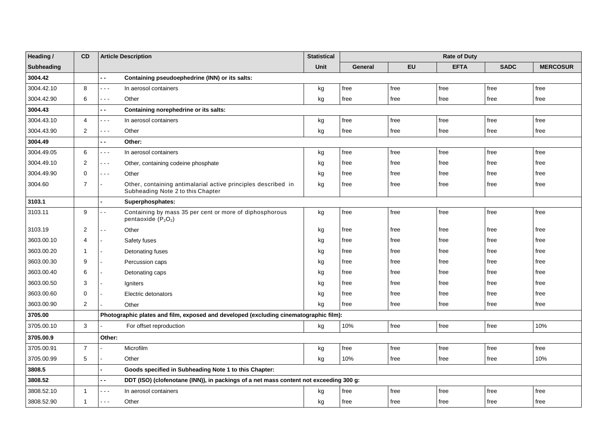| Heading /         | CD             | <b>Article Description</b>                                                                                        | <b>Statistical</b> | <b>Rate of Duty</b> |           |             |             |                 |
|-------------------|----------------|-------------------------------------------------------------------------------------------------------------------|--------------------|---------------------|-----------|-------------|-------------|-----------------|
| <b>Subheading</b> |                |                                                                                                                   | Unit               | <b>General</b>      | <b>EU</b> | <b>EFTA</b> | <b>SADC</b> | <b>MERCOSUR</b> |
| 3004.42           |                | $\overline{a}$<br>Containing pseudoephedrine (INN) or its salts:                                                  |                    |                     |           |             |             |                 |
| 3004.42.10        | 8              | In aerosol containers<br>- - -                                                                                    | kg                 | free                | free      | free        | free        | free            |
| 3004.42.90        | 6              | Other<br>$  -$                                                                                                    | kg                 | free                | free      | free        | free        | free            |
| 3004.43           |                | Containing norephedrine or its salts:<br>$\overline{\phantom{a}}$                                                 |                    |                     |           |             |             |                 |
| 3004.43.10        | 4              | $- - -$<br>In aerosol containers                                                                                  | kg                 | free                | free      | free        | free        | free            |
| 3004.43.90        | 2              | Other<br>---                                                                                                      | kg                 | free                | free      | free        | free        | free            |
| 3004.49           |                | $\overline{\phantom{a}}$<br>Other:                                                                                |                    |                     |           |             |             |                 |
| 3004.49.05        | 6              | In aerosol containers<br>$\sim$ $\sim$ $\sim$                                                                     | kg                 | free                | free      | free        | free        | free            |
| 3004.49.10        | 2              | Other, containing codeine phosphate<br>$\sim$ $\sim$ $\sim$                                                       | kg                 | free                | free      | free        | free        | free            |
| 3004.49.90        | 0              | Other<br>$  -$                                                                                                    | kg                 | free                | free      | free        | free        | free            |
| 3004.60           | $\overline{7}$ | Other, containing antimalarial active principles described in<br>Subheading Note 2 to this Chapter                | kg                 | free                | free      | free        | free        | free            |
| 3103.1            |                | Superphosphates:                                                                                                  |                    |                     |           |             |             |                 |
| 3103.11           | 9              | Containing by mass 35 per cent or more of diphosphorous<br>pentaoxide $(P_2O_2)$                                  | kg                 | free                | free      | free        | free        | free            |
| 3103.19           | 2              | Other<br>$\sim$ $\sim$                                                                                            | kg                 | free                | free      | free        | free        | free            |
| 3603.00.10        | 4              | Safety fuses                                                                                                      | kg                 | free                | free      | free        | free        | free            |
| 3603.00.20        | $\mathbf{1}$   | Detonating fuses                                                                                                  | kg                 | free                | free      | free        | free        | free            |
| 3603.00.30        | 9              | Percussion caps                                                                                                   | kg                 | free                | free      | free        | free        | free            |
| 3603.00.40        | 6              | Detonating caps                                                                                                   | kg                 | free                | free      | free        | free        | free            |
| 3603.00.50        | 3              | lgniters                                                                                                          | kg                 | free                | free      | free        | free        | free            |
| 3603.00.60        | $\mathbf 0$    | Electric detonators                                                                                               | kg                 | free                | free      | free        | free        | free            |
| 3603.00.90        | 2              | Other                                                                                                             | kg                 | free                | free      | free        | free        | free            |
| 3705.00           |                | Photographic plates and film, exposed and developed (excluding cinematographic film):                             |                    |                     |           |             |             |                 |
| 3705.00.10        | 3              | For offset reproduction                                                                                           | kg                 | 10%                 | free      | free        | free        | 10%             |
| 3705.00.9         |                | Other:                                                                                                            |                    |                     |           |             |             |                 |
| 3705.00.91        | $\overline{7}$ | Microfilm                                                                                                         | kg                 | free                | free      | free        | free        | free            |
| 3705.00.99        | 5              | Other                                                                                                             | kg                 | 10%                 | free      | free        | free        | 10%             |
| 3808.5            |                | Goods specified in Subheading Note 1 to this Chapter:<br>$\overline{a}$                                           |                    |                     |           |             |             |                 |
| 3808.52           |                | DDT (ISO) (clofenotane (INN)), in packings of a net mass content not exceeding 300 g:<br>$\overline{\phantom{a}}$ |                    |                     |           |             |             |                 |
| 3808.52.10        | $\mathbf{1}$   | In aerosol containers<br>$\sim$ $\sim$ $\sim$                                                                     | kg                 | free                | free      | free        | free        | free            |
| 3808.52.90        | $\mathbf{1}$   | Other<br>$- - -$                                                                                                  | kg                 | free                | free      | free        | free        | free            |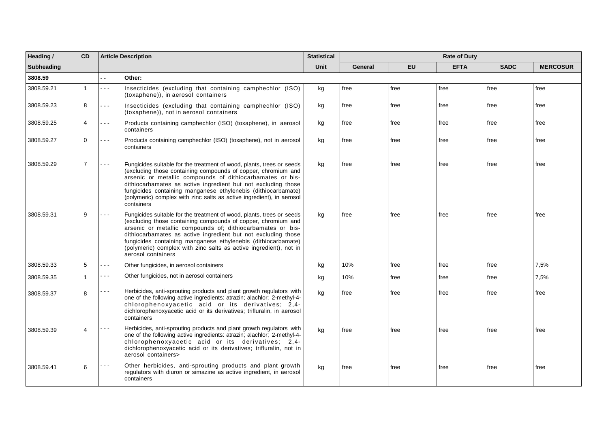| Heading /  | <b>CD</b>      | <b>Article Description</b>                                                                                                                                                                                                                                                                                                                                                                                                                                | <b>Statistical</b> | <b>Rate of Duty</b> |           |             |             |                 |
|------------|----------------|-----------------------------------------------------------------------------------------------------------------------------------------------------------------------------------------------------------------------------------------------------------------------------------------------------------------------------------------------------------------------------------------------------------------------------------------------------------|--------------------|---------------------|-----------|-------------|-------------|-----------------|
| Subheading |                |                                                                                                                                                                                                                                                                                                                                                                                                                                                           | <b>Unit</b>        | General             | <b>EU</b> | <b>EFTA</b> | <b>SADC</b> | <b>MERCOSUR</b> |
| 3808.59    |                | Other:<br>$ -$                                                                                                                                                                                                                                                                                                                                                                                                                                            |                    |                     |           |             |             |                 |
| 3808.59.21 | $\mathbf{1}$   | Insecticides (excluding that containing camphechlor (ISO)<br>$\sim$ $\sim$ $\sim$<br>(toxaphene)), in aerosol containers                                                                                                                                                                                                                                                                                                                                  | kg                 | free                | free      | free        | free        | free            |
| 3808.59.23 | 8              | Insecticides (excluding that containing camphechlor (ISO)<br>$- - -$<br>(toxaphene)), not in aerosol containers                                                                                                                                                                                                                                                                                                                                           | kg                 | free                | free      | free        | free        | free            |
| 3808.59.25 | 4              | Products containing camphechlor (ISO) (toxaphene), in aerosol<br>$- - -$<br>containers                                                                                                                                                                                                                                                                                                                                                                    | kg                 | free                | free      | free        | free        | free            |
| 3808.59.27 | $\mathbf 0$    | Products containing camphechlor (ISO) (toxaphene), not in aerosol<br>$- - -$<br>containers                                                                                                                                                                                                                                                                                                                                                                | kg                 | free                | free      | free        | free        | free            |
| 3808.59.29 | $\overline{7}$ | Fungicides suitable for the treatment of wood, plants, trees or seeds<br>$\sim$ $\sim$ $\sim$<br>(excluding those containing compounds of copper, chromium and<br>arsenic or metallic compounds of dithiocarbamates or bis-<br>dithiocarbamates as active ingredient but not excluding those<br>fungicides containing manganese ethylenebis (dithiocarbamate)<br>(polymeric) complex with zinc salts as active ingredient), in aerosol<br>containers      | kg                 | free                | free      | free        | free        | free            |
| 3808.59.31 | 9              | Fungicides suitable for the treatment of wood, plants, trees or seeds<br>$\sim$ $\sim$ $\sim$<br>(excluding those containing compounds of copper, chromium and<br>arsenic or metallic compounds of; dithiocarbamates or bis-<br>dithiocarbamates as active ingredient but not excluding those<br>fungicides containing manganese ethylenebis (dithiocarbamate)<br>(polymeric) complex with zinc salts as active ingredient), not in<br>aerosol containers | kg                 | free                | free      | free        | free        | free            |
| 3808.59.33 | 5              | Other fungicides, in aerosol containers<br>$- - -$                                                                                                                                                                                                                                                                                                                                                                                                        | kg                 | 10%                 | free      | free        | free        | 7,5%            |
| 3808.59.35 | $\mathbf{1}$   | Other fungicides, not in aerosol containers<br>$- - -$                                                                                                                                                                                                                                                                                                                                                                                                    | kg                 | 10%                 | free      | free        | free        | 7,5%            |
| 3808.59.37 | 8              | Herbicides, anti-sprouting products and plant growth regulators with<br>one of the following active ingredients: atrazin; alachlor; 2-methyl-4-<br>chlorophenoxyacetic acid or its derivatives; 2,4-<br>dichlorophenoxyacetic acid or its derivatives; trifluralin, in aerosol<br>containers                                                                                                                                                              | kg                 | free                | free      | free        | free        | free            |
| 3808.59.39 | $\overline{4}$ | Herbicides, anti-sprouting products and plant growth regulators with<br>one of the following active ingredients: atrazin; alachlor; 2-methyl-4-<br>chlorophenoxyacetic acid or its derivatives; 2,4-<br>dichlorophenoxyacetic acid or its derivatives; trifluralin, not in<br>aerosol containers>                                                                                                                                                         | kg                 | free                | free      | free        | free        | free            |
| 3808.59.41 | 6              | Other herbicides, anti-sprouting products and plant growth<br>.<br>regulators with diuron or simazine as active ingredient, in aerosol<br>containers                                                                                                                                                                                                                                                                                                      | kg                 | free                | free      | free        | free        | free            |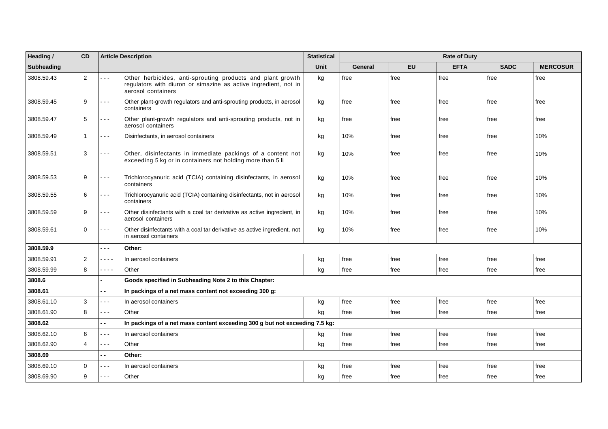| Heading /         | <b>CD</b>    |                          | <b>Article Description</b>                                                                                                                          | <b>Statistical</b> | <b>Rate of Duty</b> |           |             |             |                 |
|-------------------|--------------|--------------------------|-----------------------------------------------------------------------------------------------------------------------------------------------------|--------------------|---------------------|-----------|-------------|-------------|-----------------|
| <b>Subheading</b> |              |                          |                                                                                                                                                     | Unit               | General             | <b>EU</b> | <b>EFTA</b> | <b>SADC</b> | <b>MERCOSUR</b> |
| 3808.59.43        | 2            | .                        | Other herbicides, anti-sprouting products and plant growth<br>regulators with diuron or simazine as active ingredient, not in<br>aerosol containers | kg                 | free                | free      | free        | free        | free            |
| 3808.59.45        | 9            | - - -                    | Other plant-growth regulators and anti-sprouting products, in aerosol<br>containers                                                                 | kg                 | free                | free      | free        | free        | free            |
| 3808.59.47        | 5            | - - -                    | Other plant-growth regulators and anti-sprouting products, not in<br>aerosol containers                                                             | kg                 | free                | free      | free        | free        | free            |
| 3808.59.49        | $\mathbf{1}$ | - - -                    | Disinfectants, in aerosol containers                                                                                                                | kg                 | 10%                 | free      | free        | free        | 10%             |
| 3808.59.51        | 3            | - - -                    | Other, disinfectants in immediate packings of a content not<br>exceeding 5 kg or in containers not holding more than 5 li                           | kg                 | 10%                 | free      | free        | free        | 10%             |
| 3808.59.53        | 9            | $- - -$                  | Trichlorocyanuric acid (TCIA) containing disinfectants, in aerosol<br>containers                                                                    | kg                 | 10%                 | free      | free        | free        | 10%             |
| 3808.59.55        | 6            | $- - -$                  | Trichlorocyanuric acid (TCIA) containing disinfectants, not in aerosol<br>containers                                                                | kg                 | 10%                 | free      | free        | free        | 10%             |
| 3808.59.59        | 9            | - - -                    | Other disinfectants with a coal tar derivative as active ingredient, in<br>aerosol containers                                                       | kg                 | 10%                 | free      | free        | free        | 10%             |
| 3808.59.61        | $\mathbf 0$  | - - -                    | Other disinfectants with a coal tar derivative as active ingredient, not<br>in aerosol containers                                                   | kg                 | 10%                 | free      | free        | free        | 10%             |
| 3808.59.9         |              | - - -                    | Other:                                                                                                                                              |                    |                     |           |             |             |                 |
| 3808.59.91        | 2            | .                        | In aerosol containers                                                                                                                               | kg                 | free                | free      | free        | free        | free            |
| 3808.59.99        | 8            | $   -$                   | Other                                                                                                                                               | kg                 | free                | free      | free        | free        | free            |
| 3808.6            |              |                          | Goods specified in Subheading Note 2 to this Chapter:                                                                                               |                    |                     |           |             |             |                 |
| 3808.61           |              | $-$                      | In packings of a net mass content not exceeding 300 g:                                                                                              |                    |                     |           |             |             |                 |
| 3808.61.10        | 3            | $\sim$ $\sim$ $\sim$     | In aerosol containers                                                                                                                               | kg                 | free                | free      | free        | free        | free            |
| 3808.61.90        | 8            | $- - -$                  | Other                                                                                                                                               | kg                 | free                | free      | free        | free        | free            |
| 3808.62           |              | - -                      | In packings of a net mass content exceeding 300 g but not exceeding 7.5 kg:                                                                         |                    |                     |           |             |             |                 |
| 3808.62.10        | 6            | - - -                    | In aerosol containers                                                                                                                               | kg                 | free                | free      | free        | free        | free            |
| 3808.62.90        | 4            | .                        | Other                                                                                                                                               | kg                 | free                | free      | free        | free        | free            |
| 3808.69           |              | $\overline{\phantom{0}}$ | Other:                                                                                                                                              |                    |                     |           |             |             |                 |
| 3808.69.10        | $\Omega$     | - - -                    | In aerosol containers                                                                                                                               | kg                 | free                | free      | free        | free        | free            |
| 3808.69.90        | 9            | $- - -$                  | Other                                                                                                                                               | kg                 | free                | free      | free        | free        | free            |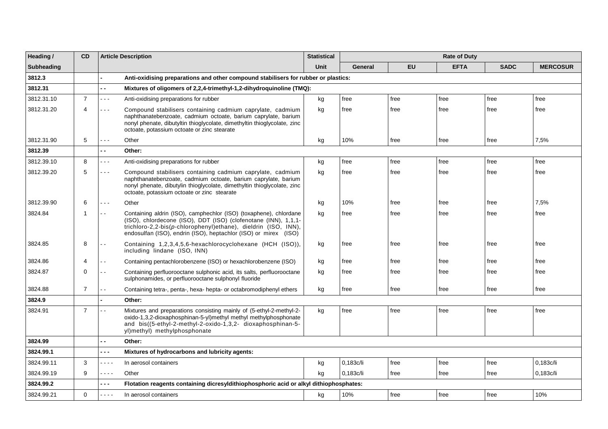| Heading /         | CD             |                          | <b>Article Description</b>                                                                                                                                                                                                                                               | <b>Statistical</b> | <b>Rate of Duty</b> |           |             |             |                 |
|-------------------|----------------|--------------------------|--------------------------------------------------------------------------------------------------------------------------------------------------------------------------------------------------------------------------------------------------------------------------|--------------------|---------------------|-----------|-------------|-------------|-----------------|
| <b>Subheading</b> |                |                          |                                                                                                                                                                                                                                                                          | <b>Unit</b>        | General             | <b>EU</b> | <b>EFTA</b> | <b>SADC</b> | <b>MERCOSUR</b> |
| 3812.3            |                |                          | Anti-oxidising preparations and other compound stabilisers for rubber or plastics:                                                                                                                                                                                       |                    |                     |           |             |             |                 |
| 3812.31           |                | $\overline{\phantom{a}}$ | Mixtures of oligomers of 2,2,4-trimethyl-1,2-dihydroguinoline (TMQ):                                                                                                                                                                                                     |                    |                     |           |             |             |                 |
| 3812.31.10        | $\overline{7}$ | $\sim$ $\sim$ $\sim$     | Anti-oxidising preparations for rubber                                                                                                                                                                                                                                   | kg                 | free                | free      | free        | free        | free            |
| 3812.31.20        | 4              | $\sim$ $\sim$ $\sim$     | Compound stabilisers containing cadmium caprylate, cadmium<br>naphthanatebenzoate, cadmium octoate, barium caprylate, barium<br>nonyl phenate, dibutyltin thioglycolate, dimethyltin thioglycolate, zinc<br>octoate, potassium octoate or zinc stearate                  | kg                 | free                | free      | free        | free        | free            |
| 3812.31.90        | 5              | $- - -$                  | Other                                                                                                                                                                                                                                                                    | kg                 | 10%                 | free      | free        | free        | 7,5%            |
| 3812.39           |                | $\overline{\phantom{a}}$ | Other:                                                                                                                                                                                                                                                                   |                    |                     |           |             |             |                 |
| 3812.39.10        | 8              | - - -                    | Anti-oxidising preparations for rubber                                                                                                                                                                                                                                   | kg                 | free                | free      | free        | free        | free            |
| 3812.39.20        | 5              | - - -                    | Compound stabilisers containing cadmium caprylate, cadmium<br>naphthanatebenzoate, cadmium octoate, barium caprylate, barium<br>nonyl phenate, dibutylin thioglycolate, dimethyltin thioglycolate, zinc<br>octoate, potassium octoate or zinc stearate                   | kg                 | free                | free      | free        | free        | free            |
| 3812.39.90        | 6              | $- - -$                  | Other                                                                                                                                                                                                                                                                    | kg                 | 10%                 | free      | free        | free        | 7,5%            |
| 3824.84           | $\mathbf 1$    | $\sim$ $\sim$            | Containing aldrin (ISO), camphechlor (ISO) (toxaphene), chlordane<br>(ISO), chlordecone (ISO), DDT (ISO) (clofenotane (INN), 1,1,1-<br>trichloro-2,2-bis(p-chlorophenyl)ethane), dieldrin (ISO, INN),<br>endosulfan (ISO), endrin (ISO), heptachlor (ISO) or mirex (ISO) | kg                 | free                | free      | free        | free        | free            |
| 3824.85           | 8              | $\sim$ $\sim$            | Containing 1,2,3,4,5,6-hexachlorocyclohexane (HCH (ISO)).<br>including lindane (ISO, INN)                                                                                                                                                                                | kg                 | free                | free      | free        | free        | free            |
| 3824.86           | 4              | $ -$                     | Containing pentachlorobenzene (ISO) or hexachlorobenzene (ISO)                                                                                                                                                                                                           | kg                 | free                | free      | free        | free        | free            |
| 3824.87           | 0              | $ -$                     | Containing perfluorooctane sulphonic acid, its salts, perfluorooctane<br>sulphonamides, or perfluorooctane sulphonyl fluoride                                                                                                                                            | kg                 | free                | free      | free        | free        | free            |
| 3824.88           | $\overline{7}$ | $ -$                     | Containing tetra-, penta-, hexa- hepta- or octabromodiphenyl ethers                                                                                                                                                                                                      | kg                 | free                | free      | free        | free        | free            |
| 3824.9            |                |                          | Other:                                                                                                                                                                                                                                                                   |                    |                     |           |             |             |                 |
| 3824.91           | $\overline{7}$ | $\overline{a}$           | Mixtures and preparations consisting mainly of (5-ethyl-2-methyl-2-<br>oxido-1,3,2-dioxaphosphinan-5-yl)methyl methyl methylphosphonate<br>and bis((5-ethyl-2-methyl-2-oxido-1,3,2- dioxaphosphinan-5-<br>yl)methyl) methylphosphonate                                   | kg                 | free                | free      | free        | free        | free            |
| 3824.99           |                | - -                      | Other:                                                                                                                                                                                                                                                                   |                    |                     |           |             |             |                 |
| 3824.99.1         |                | - - -                    | Mixtures of hydrocarbons and lubricity agents:                                                                                                                                                                                                                           |                    |                     |           |             |             |                 |
| 3824.99.11        | 3              | .                        | In aerosol containers                                                                                                                                                                                                                                                    | kg                 | 0,183c/li           | free      | free        | free        | 0.183c/li       |
| 3824.99.19        | 9              | - - - -                  | Other                                                                                                                                                                                                                                                                    | kg                 | 0.183c/li           | free      | free        | free        | 0,183c/li       |
| 3824.99.2         |                | - - -                    | Flotation reagents containing dicresyldithiophosphoric acid or alkyl dithiophosphates:                                                                                                                                                                                   |                    |                     |           |             |             |                 |
| 3824.99.21        | $\Omega$       | .                        | In aerosol containers                                                                                                                                                                                                                                                    | kg                 | 10%                 | free      | free        | free        | 10%             |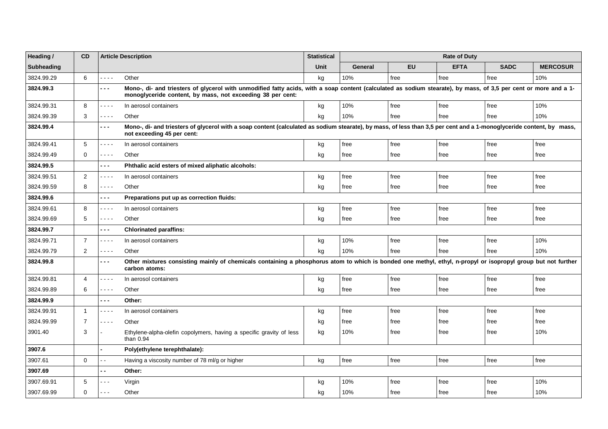| Heading /         | <b>CD</b>      |                          | <b>Article Description</b>                                                                                                                                                                                                     | <b>Statistical</b> | <b>Rate of Duty</b> |           |             |             |                 |
|-------------------|----------------|--------------------------|--------------------------------------------------------------------------------------------------------------------------------------------------------------------------------------------------------------------------------|--------------------|---------------------|-----------|-------------|-------------|-----------------|
| <b>Subheading</b> |                |                          |                                                                                                                                                                                                                                | <b>Unit</b>        | General             | <b>EU</b> | <b>EFTA</b> | <b>SADC</b> | <b>MERCOSUR</b> |
| 3824.99.29        | 6              | $- - - -$                | Other                                                                                                                                                                                                                          | ka                 | 10%                 | free      | free        | free        | 10%             |
| 3824.99.3         |                | .                        | Mono-, di- and triesters of glycerol with unmodified fatty acids, with a soap content (calculated as sodium stearate), by mass, of 3,5 per cent or more and a 1-<br>monoglyceride content, by mass, not exceeding 38 per cent: |                    |                     |           |             |             |                 |
| 3824.99.31        | 8              | .                        | In aerosol containers                                                                                                                                                                                                          | kg                 | 10%                 | free      | free        | free        | 10%             |
| 3824.99.39        | 3              | .                        | Other                                                                                                                                                                                                                          | kg                 | 10%                 | free      | free        | free        | 10%             |
| 3824.99.4         |                | - - -                    | Mono-, di- and triesters of glycerol with a soap content (calculated as sodium stearate), by mass, of less than 3,5 per cent and a 1-monoglyceride content, by mass,<br>not exceeding 45 per cent:                             |                    |                     |           |             |             |                 |
| 3824.99.41        | 5              | .                        | In aerosol containers                                                                                                                                                                                                          | kg                 | free                | free      | free        | free        | free            |
| 3824.99.49        | $\mathbf 0$    | .                        | Other                                                                                                                                                                                                                          | kg                 | free                | free      | free        | free        | free            |
| 3824.99.5         |                | - - -                    | Phthalic acid esters of mixed aliphatic alcohols:                                                                                                                                                                              |                    |                     |           |             |             |                 |
| 3824.99.51        | $\overline{2}$ | .                        | In aerosol containers                                                                                                                                                                                                          | kg                 | free                | free      | free        | free        | free            |
| 3824.99.59        | 8              | .                        | Other                                                                                                                                                                                                                          | kg                 | free                | free      | free        | free        | free            |
| 3824.99.6         |                | ---                      | Preparations put up as correction fluids:                                                                                                                                                                                      |                    |                     |           |             |             |                 |
| 3824.99.61        | 8              | .                        | In aerosol containers                                                                                                                                                                                                          | kg                 | free                | free      | free        | free        | free            |
| 3824.99.69        | 5              | .                        | Other                                                                                                                                                                                                                          | kg                 | free                | free      | free        | free        | free            |
| 3824.99.7         |                | - - -                    | <b>Chlorinated paraffins:</b>                                                                                                                                                                                                  |                    |                     |           |             |             |                 |
| 3824.99.71        | $\overline{7}$ | - - - -                  | In aerosol containers                                                                                                                                                                                                          | kg                 | 10%                 | free      | free        | free        | 10%             |
| 3824.99.79        | $\overline{2}$ | - - - -                  | Other                                                                                                                                                                                                                          | kg                 | 10%                 | free      | free        | free        | 10%             |
| 3824.99.8         |                | $\overline{\phantom{a}}$ | Other mixtures consisting mainly of chemicals containing a phosphorus atom to which is bonded one methyl, ethyl, n-propyl or isopropyl group but not further<br>carbon atoms:                                                  |                    |                     |           |             |             |                 |
| 3824.99.81        | $\overline{4}$ | ----                     | In aerosol containers                                                                                                                                                                                                          | kg                 | free                | free      | free        | free        | free            |
| 3824.99.89        | 6              | .                        | Other                                                                                                                                                                                                                          | kg                 | free                | free      | free        | free        | free            |
| 3824.99.9         |                | - - -                    | Other:                                                                                                                                                                                                                         |                    |                     |           |             |             |                 |
| 3824.99.91        | $\mathbf{1}$   | .                        | In aerosol containers                                                                                                                                                                                                          | kg                 | free                | free      | free        | free        | free            |
| 3824.99.99        | $\overline{7}$ | .                        | Other                                                                                                                                                                                                                          | kg                 | free                | free      | free        | free        | free            |
| 3901.40           | 3              |                          | Ethylene-alpha-olefin copolymers, having a specific gravity of less<br>than 0.94                                                                                                                                               | kg                 | 10%                 | free      | free        | free        | 10%             |
| 3907.6            |                |                          | Poly(ethylene terephthalate):                                                                                                                                                                                                  |                    |                     |           |             |             |                 |
| 3907.61           | 0              | $\sim$ $\sim$            | Having a viscosity number of 78 ml/g or higher                                                                                                                                                                                 | kg                 | free                | free      | free        | free        | free            |
| 3907.69           |                | $ -$                     | Other:                                                                                                                                                                                                                         |                    |                     |           |             |             |                 |
| 3907.69.91        | 5              | - - -                    | Virgin                                                                                                                                                                                                                         | kg                 | 10%                 | free      | free        | free        | 10%             |
| 3907.69.99        | $\Omega$       | $\sim$ $\sim$ $\sim$     | Other                                                                                                                                                                                                                          | kg                 | 10%                 | free      | free        | free        | 10%             |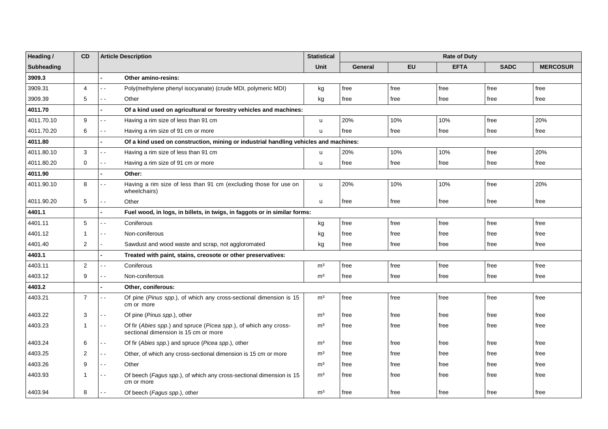| Heading /         | <b>CD</b>      | <b>Article Description</b>                                                                                       | <b>Statistical</b> | <b>Rate of Duty</b> |           |             |             |                 |  |
|-------------------|----------------|------------------------------------------------------------------------------------------------------------------|--------------------|---------------------|-----------|-------------|-------------|-----------------|--|
| <b>Subheading</b> |                |                                                                                                                  | <b>Unit</b>        | General             | <b>EU</b> | <b>EFTA</b> | <b>SADC</b> | <b>MERCOSUR</b> |  |
| 3909.3            |                | Other amino-resins:                                                                                              |                    |                     |           |             |             |                 |  |
| 3909.31           | 4              | Poly(methylene phenyl isocyanate) (crude MDI, polymeric MDI)<br>22                                               | kg                 | free                | free      | free        | free        | free            |  |
| 3909.39           | 5              | Other<br>- -                                                                                                     | kg                 | free                | free      | free        | free        | free            |  |
| 4011.70           |                | Of a kind used on agricultural or forestry vehicles and machines:                                                |                    |                     |           |             |             |                 |  |
| 4011.70.10        | 9              | Having a rim size of less than 91 cm                                                                             | u                  | 20%                 | 10%       | 10%         | free        | 20%             |  |
| 4011.70.20        | 6              | Having a rim size of 91 cm or more<br>۵.                                                                         | u                  | free                | free      | free        | free        | free            |  |
| 4011.80           |                | Of a kind used on construction, mining or industrial handling vehicles and machines:                             |                    |                     |           |             |             |                 |  |
| 4011.80.10        | 3              | Having a rim size of less than 91 cm<br>۵.                                                                       | u                  | 20%                 | 10%       | 10%         | free        | 20%             |  |
| 4011.80.20        | 0              | Having a rim size of 91 cm or more<br>$ -$                                                                       | u                  | free                | free      | free        | free        | free            |  |
| 4011.90           |                | Other:                                                                                                           |                    |                     |           |             |             |                 |  |
| 4011.90.10        | 8              | Having a rim size of less than 91 cm (excluding those for use on<br>wheelchairs)                                 | u                  | 20%                 | 10%       | 10%         | free        | 20%             |  |
| 4011.90.20        | 5              | Other<br>22                                                                                                      | u                  | free                | free      | free        | free        | free            |  |
| 4401.1            |                | Fuel wood, in logs, in billets, in twigs, in faggots or in similar forms:                                        |                    |                     |           |             |             |                 |  |
| 4401.11           | 5              | Coniferous<br>$\overline{\phantom{a}}$                                                                           | kg                 | free                | free      | free        | free        | free            |  |
| 4401.12           | $\mathbf{1}$   | Non-coniferous<br>$ -$                                                                                           | kg                 | free                | free      | free        | free        | free            |  |
| 4401.40           | 2              | Sawdust and wood waste and scrap, not aggloromated                                                               | kg                 | free                | free      | free        | free        | free            |  |
| 4403.1            |                | Treated with paint, stains, creosote or other preservatives:                                                     |                    |                     |           |             |             |                 |  |
| 4403.11           | 2              | Coniferous<br>۵.                                                                                                 | m <sup>3</sup>     | free                | free      | free        | free        | free            |  |
| 4403.12           | 9              | Non-coniferous<br>$\sim$                                                                                         | m <sup>3</sup>     | free                | free      | free        | free        | free            |  |
| 4403.2            |                | Other, coniferous:                                                                                               |                    |                     |           |             |             |                 |  |
| 4403.21           | $\overline{7}$ | Of pine (Pinus spp.), of which any cross-sectional dimension is 15<br>cm or more                                 | m <sup>3</sup>     | free                | free      | free        | free        | free            |  |
| 4403.22           | 3              | Of pine (Pinus spp.), other                                                                                      | m <sup>3</sup>     | free                | free      | free        | free        | free            |  |
| 4403.23           | $\mathbf{1}$   | Of fir (Abies spp.) and spruce (Picea spp.), of which any cross-<br>$ -$<br>sectional dimension is 15 cm or more | m <sup>3</sup>     | free                | free      | free        | free        | free            |  |
| 4403.24           | 6              | Of fir (Abies spp.) and spruce (Picea spp.), other<br>$ -$                                                       | m <sup>3</sup>     | free                | free      | free        | free        | free            |  |
| 4403.25           | 2              | Other, of which any cross-sectional dimension is 15 cm or more<br>$\overline{\phantom{a}}$                       | m <sup>3</sup>     | free                | free      | free        | free        | free            |  |
| 4403.26           | 9              | Other<br>$\blacksquare$                                                                                          | m <sup>3</sup>     | free                | free      | free        | free        | free            |  |
| 4403.93           | $\mathbf 1$    | Of beech (Fagus spp.), of which any cross-sectional dimension is 15<br>cm or more                                | m <sup>3</sup>     | free                | free      | free        | free        | free            |  |
| 4403.94           | 8              | Of beech (Fagus spp.), other                                                                                     | m <sup>3</sup>     | free                | free      | free        | free        | free            |  |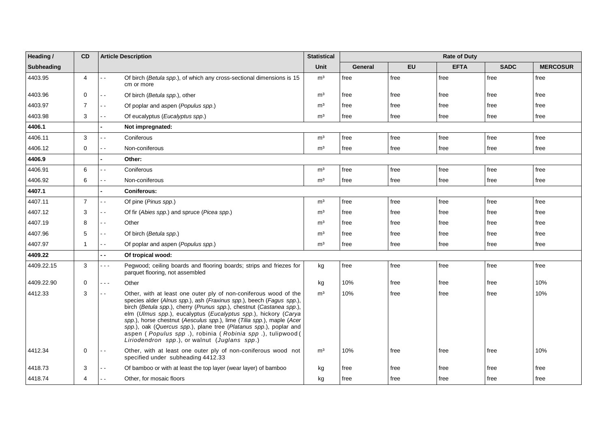| Heading /  | <b>CD</b>      | <b>Article Description</b>                                                                                                                                                                                                                                                                                                                                                                                                                                                                                                                          | <b>Statistical</b> | <b>Rate of Duty</b> |      |             |             |                 |  |
|------------|----------------|-----------------------------------------------------------------------------------------------------------------------------------------------------------------------------------------------------------------------------------------------------------------------------------------------------------------------------------------------------------------------------------------------------------------------------------------------------------------------------------------------------------------------------------------------------|--------------------|---------------------|------|-------------|-------------|-----------------|--|
| Subheading |                |                                                                                                                                                                                                                                                                                                                                                                                                                                                                                                                                                     | Unit               | <b>General</b>      | EU   | <b>EFTA</b> | <b>SADC</b> | <b>MERCOSUR</b> |  |
| 4403.95    | $\overline{4}$ | Of birch (Betula spp.), of which any cross-sectional dimensions is 15<br>$ -$<br>cm or more                                                                                                                                                                                                                                                                                                                                                                                                                                                         | m <sup>3</sup>     | free                | free | free        | free        | free            |  |
| 4403.96    | $\mathbf 0$    | Of birch (Betula spp.), other                                                                                                                                                                                                                                                                                                                                                                                                                                                                                                                       | m <sup>3</sup>     | free                | free | free        | free        | free            |  |
| 4403.97    | $\overline{7}$ | Of poplar and aspen (Populus spp.)<br>$\sim$ $\sim$                                                                                                                                                                                                                                                                                                                                                                                                                                                                                                 | m <sup>3</sup>     | free                | free | free        | free        | free            |  |
| 4403.98    | 3              | Of eucalyptus (Eucalyptus spp.)<br>$\sim$ $\sim$                                                                                                                                                                                                                                                                                                                                                                                                                                                                                                    | m <sup>3</sup>     | free                | free | free        | free        | free            |  |
| 4406.1     |                | Not impregnated:                                                                                                                                                                                                                                                                                                                                                                                                                                                                                                                                    |                    |                     |      |             |             |                 |  |
| 4406.11    | 3              | Coniferous<br>$\overline{\phantom{a}}$                                                                                                                                                                                                                                                                                                                                                                                                                                                                                                              | m <sup>3</sup>     | free                | free | free        | free        | free            |  |
| 4406.12    | 0              | Non-coniferous<br>$\sim$ $\sim$                                                                                                                                                                                                                                                                                                                                                                                                                                                                                                                     | m <sup>3</sup>     | free                | free | free        | free        | free            |  |
| 4406.9     |                | Other:                                                                                                                                                                                                                                                                                                                                                                                                                                                                                                                                              |                    |                     |      |             |             |                 |  |
| 4406.91    | 6              | Coniferous<br>. .                                                                                                                                                                                                                                                                                                                                                                                                                                                                                                                                   | m <sup>3</sup>     | free                | free | free        | free        | free            |  |
| 4406.92    | 6              | Non-coniferous<br>٠.                                                                                                                                                                                                                                                                                                                                                                                                                                                                                                                                | m <sup>3</sup>     | free                | free | free        | free        | free            |  |
| 4407.1     |                | Coniferous:                                                                                                                                                                                                                                                                                                                                                                                                                                                                                                                                         |                    |                     |      |             |             |                 |  |
| 4407.11    | $\overline{7}$ | Of pine (Pinus spp.)<br>$\sim$ $\sim$                                                                                                                                                                                                                                                                                                                                                                                                                                                                                                               | m <sup>3</sup>     | free                | free | free        | free        | free            |  |
| 4407.12    | 3              | Of fir (Abies spp.) and spruce (Picea spp.)<br>$\sim$ $\sim$                                                                                                                                                                                                                                                                                                                                                                                                                                                                                        | m <sup>3</sup>     | free                | free | free        | free        | free            |  |
| 4407.19    | 8              | Other<br>$\sim$ $\sim$                                                                                                                                                                                                                                                                                                                                                                                                                                                                                                                              | m <sup>3</sup>     | free                | free | free        | free        | free            |  |
| 4407.96    | 5              | Of birch (Betula spp.)<br>$\sim$ $\sim$                                                                                                                                                                                                                                                                                                                                                                                                                                                                                                             | m <sup>3</sup>     | free                | free | free        | free        | free            |  |
| 4407.97    | $\mathbf{1}$   | Of poplar and aspen (Populus spp.)<br>$\sim$ $\sim$                                                                                                                                                                                                                                                                                                                                                                                                                                                                                                 | m <sup>3</sup>     | free                | free | free        | free        | free            |  |
| 4409.22    |                | $-$<br>Of tropical wood:                                                                                                                                                                                                                                                                                                                                                                                                                                                                                                                            |                    |                     |      |             |             |                 |  |
| 4409.22.15 | 3              | Pegwood; ceiling boards and flooring boards; strips and friezes for<br>.<br>parquet flooring, not assembled                                                                                                                                                                                                                                                                                                                                                                                                                                         | kg                 | free                | free | free        | free        | free            |  |
| 4409.22.90 | $\mathbf 0$    | Other<br>$\frac{1}{2} \frac{1}{2} \frac{1}{2} \frac{1}{2} \frac{1}{2} \frac{1}{2} \frac{1}{2} \frac{1}{2} \frac{1}{2} \frac{1}{2} \frac{1}{2} \frac{1}{2} \frac{1}{2} \frac{1}{2} \frac{1}{2} \frac{1}{2} \frac{1}{2} \frac{1}{2} \frac{1}{2} \frac{1}{2} \frac{1}{2} \frac{1}{2} \frac{1}{2} \frac{1}{2} \frac{1}{2} \frac{1}{2} \frac{1}{2} \frac{1}{2} \frac{1}{2} \frac{1}{2} \frac{1}{2} \frac{$                                                                                                                                               | kg                 | 10%                 | free | free        | free        | 10%             |  |
| 4412.33    | 3              | Other, with at least one outer ply of non-coniferous wood of the<br>۰.<br>species alder (Alnus spp.), ash (Fraxinus spp.), beech (Fagus spp.),<br>birch (Betula spp.), cherry (Prunus spp.), chestnut (Castanea spp.),<br>elm (Ulmus spp.), eucalyptus (Eucalyptus spp.), hickory (Carya<br>spp.), horse chestnut (Aesculus spp.), lime (Tilia spp.), maple (Acer<br>spp.), oak (Quercus spp.), plane tree (Platanus spp.), poplar and<br>aspen (Populus spp.), robinia (Robinia spp.), tulipwood (<br>Liriodendron spp.), or walnut (Juglans spp.) | m <sup>3</sup>     | 10%                 | free | free        | free        | 10%             |  |
| 4412.34    | $\mathbf 0$    | Other, with at least one outer ply of non-coniferous wood not<br>- -<br>specified under subheading 4412.33                                                                                                                                                                                                                                                                                                                                                                                                                                          | m <sup>3</sup>     | 10%                 | free | free        | free        | 10%             |  |
| 4418.73    | 3              | Of bamboo or with at least the top layer (wear layer) of bamboo<br>$\sim$ $\sim$                                                                                                                                                                                                                                                                                                                                                                                                                                                                    | kg                 | free                | free | free        | free        | free            |  |
| 4418.74    | 4              | Other, for mosaic floors                                                                                                                                                                                                                                                                                                                                                                                                                                                                                                                            | kg                 | free                | free | free        | free        | free            |  |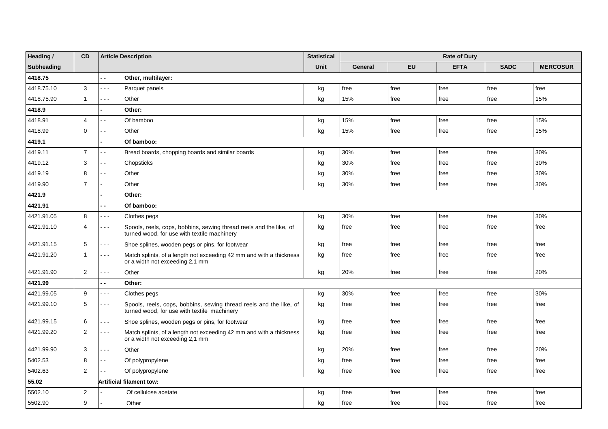| Heading /         | CD             |                          | <b>Article Description</b>                                                                                        | <b>Statistical</b> | <b>Rate of Duty</b> |      |             |             |                 |  |
|-------------------|----------------|--------------------------|-------------------------------------------------------------------------------------------------------------------|--------------------|---------------------|------|-------------|-------------|-----------------|--|
| <b>Subheading</b> |                |                          |                                                                                                                   | Unit               | General             | EU   | <b>EFTA</b> | <b>SADC</b> | <b>MERCOSUR</b> |  |
| 4418.75           |                | $\overline{\phantom{a}}$ | Other, multilayer:                                                                                                |                    |                     |      |             |             |                 |  |
| 4418.75.10        | 3              | $\sim$ $\sim$ $\sim$     | Parquet panels                                                                                                    | kg                 | free                | free | free        | free        | free            |  |
| 4418.75.90        | $\mathbf{1}$   | $- - -$                  | Other                                                                                                             | kg                 | 15%                 | free | free        | free        | 15%             |  |
| 4418.9            |                |                          | Other:                                                                                                            |                    |                     |      |             |             |                 |  |
| 4418.91           | 4              | . .                      | Of bamboo                                                                                                         | kg                 | 15%                 | free | free        | free        | 15%             |  |
| 4418.99           | $\mathbf 0$    | $\overline{\phantom{a}}$ | Other                                                                                                             | kg                 | 15%                 | free | free        | free        | 15%             |  |
| 4419.1            |                |                          | Of bamboo:                                                                                                        |                    |                     |      |             |             |                 |  |
| 4419.11           | $\overline{7}$ | $\overline{a}$           | Bread boards, chopping boards and similar boards                                                                  | kg                 | 30%                 | free | free        | free        | 30%             |  |
| 4419.12           | 3              | $ -$                     | Chopsticks                                                                                                        | kg                 | 30%                 | free | free        | free        | 30%             |  |
| 4419.19           | 8              | $\sim$ $\sim$            | Other                                                                                                             | kg                 | 30%                 | free | free        | free        | 30%             |  |
| 4419.90           | $\overline{7}$ |                          | Other                                                                                                             | kg                 | 30%                 | free | free        | free        | 30%             |  |
| 4421.9            |                |                          | Other:                                                                                                            |                    |                     |      |             |             |                 |  |
| 4421.91           |                | $\overline{\phantom{a}}$ | Of bamboo:                                                                                                        |                    |                     |      |             |             |                 |  |
| 4421.91.05        | 8              | $- - -$                  | Clothes pegs                                                                                                      | kg                 | 30%                 | free | free        | free        | 30%             |  |
| 4421.91.10        | 4              | $\sim$ $\sim$ $\sim$     | Spools, reels, cops, bobbins, sewing thread reels and the like, of<br>turned wood, for use with textile machinery | kg                 | free                | free | free        | free        | free            |  |
| 4421.91.15        | 5              | $\sim$ $\sim$ $\sim$     | Shoe splines, wooden pegs or pins, for footwear                                                                   | kg                 | free                | free | free        | free        | free            |  |
| 4421.91.20        | $\mathbf{1}$   | $\sim$ $\sim$ $\sim$     | Match splints, of a length not exceeding 42 mm and with a thickness<br>or a width not exceeding 2,1 mm            | kg                 | free                | free | free        | free        | free            |  |
| 4421.91.90        | 2              | $- - -$                  | Other                                                                                                             | kg                 | 20%                 | free | free        | free        | 20%             |  |
| 4421.99           |                | $\overline{\phantom{a}}$ | Other:                                                                                                            |                    |                     |      |             |             |                 |  |
| 4421.99.05        | 9              | $\sim$ $\sim$ $\sim$     | Clothes pegs                                                                                                      | kg                 | 30%                 | free | free        | free        | 30%             |  |
| 4421.99.10        | 5              | $- - -$                  | Spools, reels, cops, bobbins, sewing thread reels and the like, of<br>turned wood, for use with textile machinery | kg                 | free                | free | free        | free        | free            |  |
| 4421.99.15        | 6              | $\sim$ $\sim$ $\sim$     | Shoe splines, wooden pegs or pins, for footwear                                                                   | kg                 | free                | free | free        | free        | free            |  |
| 4421.99.20        | 2              | $\sim$ $\sim$ $\sim$     | Match splints, of a length not exceeding 42 mm and with a thickness<br>or a width not exceeding 2,1 mm            | kg                 | free                | free | free        | free        | free            |  |
| 4421.99.90        | 3              | $\sim$ $\sim$ $\sim$     | Other                                                                                                             | kg                 | 20%                 | free | free        | free        | 20%             |  |
| 5402.53           | 8              | $\overline{a}$           | Of polypropylene                                                                                                  | kg                 | free                | free | free        | free        | free            |  |
| 5402.63           | 2              | $\overline{a}$           | Of polypropylene                                                                                                  | kg                 | free                | free | free        | free        | free            |  |
| 55.02             |                |                          | <b>Artificial filament tow:</b>                                                                                   |                    |                     |      |             |             |                 |  |
| 5502.10           | 2              |                          | Of cellulose acetate                                                                                              | kg                 | free                | free | free        | free        | free            |  |
| 5502.90           | 9              |                          | Other                                                                                                             | kg                 | free                | free | free        | free        | free            |  |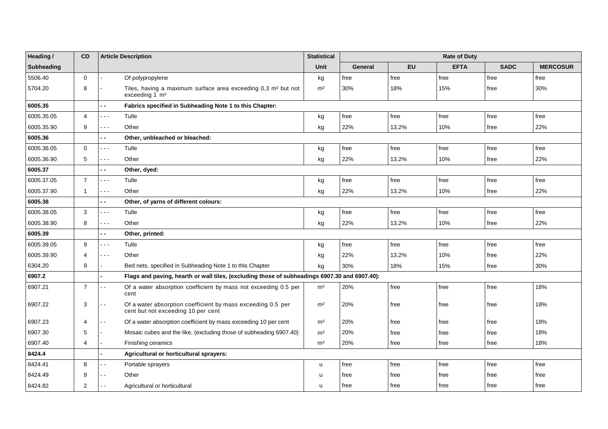| Heading /  | CD             |                          | <b>Article Description</b>                                                                             | <b>Statistical</b> | <b>Rate of Duty</b> |       |             |             |                 |  |
|------------|----------------|--------------------------|--------------------------------------------------------------------------------------------------------|--------------------|---------------------|-------|-------------|-------------|-----------------|--|
| Subheading |                |                          |                                                                                                        | Unit               | General             | EU    | <b>EFTA</b> | <b>SADC</b> | <b>MERCOSUR</b> |  |
| 5506.40    | $\mathbf 0$    |                          | Of polypropylene                                                                                       | kg                 | free                | free  | free        | free        | free            |  |
| 5704.20    | 8              |                          | Tiles, having a maximum surface area exceeding 0,3 m <sup>2</sup> but not<br>exceeding $1 \text{ m}^2$ | m <sup>2</sup>     | 30%                 | 18%   | 15%         | free        | 30%             |  |
| 6005.35    |                | $\overline{\phantom{a}}$ | Fabrics specified in Subheading Note 1 to this Chapter:                                                |                    |                     |       |             |             |                 |  |
| 6005.35.05 | 4              | $\omega = \omega$        | Tulle                                                                                                  | kg                 | free                | free  | free        | free        | free            |  |
| 6005.35.90 | 9              | $- - -$                  | Other                                                                                                  | kg                 | 22%                 | 13,2% | 10%         | free        | 22%             |  |
| 6005.36    |                | $\overline{\phantom{a}}$ | Other, unbleached or bleached:                                                                         |                    |                     |       |             |             |                 |  |
| 6005.36.05 | $\mathbf 0$    | - - -                    | Tulle                                                                                                  | kg                 | free                | free  | free        | free        | free            |  |
| 6005.36.90 | 5              | $- - -$                  | Other                                                                                                  | kg                 | 22%                 | 13,2% | 10%         | free        | 22%             |  |
| 6005.37    |                | $-$                      | Other, dyed:                                                                                           |                    |                     |       |             |             |                 |  |
| 6005.37.05 | $\overline{7}$ | .                        | Tulle                                                                                                  | kg                 | free                | free  | free        | free        | free            |  |
| 6005.37.90 | $\mathbf{1}$   | $- - -$                  | Other                                                                                                  | kg                 | 22%                 | 13,2% | 10%         | free        | 22%             |  |
| 6005.38    |                | $\overline{\phantom{a}}$ | Other, of yarns of different colours:                                                                  |                    |                     |       |             |             |                 |  |
| 6005.38.05 | 3              | $- - -$                  | Tulle                                                                                                  | kg                 | free                | free  | free        | free        | free            |  |
| 6005.38.90 | 8              | $\sim$ $\sim$ $\sim$     | Other                                                                                                  | kg                 | 22%                 | 13,2% | 10%         | free        | 22%             |  |
| 6005.39    |                | $\overline{\phantom{a}}$ | Other, printed:                                                                                        |                    |                     |       |             |             |                 |  |
| 6005.39.05 | 9              | $- - -$                  | Tulle                                                                                                  | kg                 | free                | free  | free        | free        | free            |  |
| 6005.39.90 | 4              | $- - -$                  | Other                                                                                                  | kg                 | 22%                 | 13,2% | 10%         | free        | 22%             |  |
| 6304.20    | 9              |                          | Bed nets, specified in Subheading Note 1 to this Chapter                                               | kg                 | 30%                 | 18%   | 15%         | free        | 30%             |  |
| 6907.2     |                |                          | Flags and paving, hearth or wall tiles, (excluding those of subheadings 6907.30 and 6907.40):          |                    |                     |       |             |             |                 |  |
| 6907.21    | $\overline{7}$ | $\overline{\phantom{a}}$ | Of a water absorption coefficient by mass not exceeding 0.5 per<br>cent                                | m <sup>2</sup>     | 20%                 | free  | free        | free        | 18%             |  |
| 6907.22    | 3              | $\overline{a}$           | Of a water absorption coefficient by mass exceeding 0.5 per<br>cent but not exceeding 10 per cent      | m <sup>2</sup>     | 20%                 | free  | free        | free        | 18%             |  |
| 6907.23    | 4              | $\sim$                   | Of a water absorption coefficient by mass exceeding 10 per cent                                        | m <sup>2</sup>     | 20%                 | free  | free        | free        | 18%             |  |
| 6907.30    | 5              |                          | Mosaic cubes and the like, (excluding those of subheading 6907.40)                                     | m <sup>2</sup>     | 20%                 | free  | free        | free        | 18%             |  |
| 6907.40    | 4              |                          | Finishing ceramics                                                                                     | m <sup>2</sup>     | 20%                 | free  | free        | free        | 18%             |  |
| 8424.4     |                |                          | Agricultural or horticultural sprayers:                                                                |                    |                     |       |             |             |                 |  |
| 8424.41    | 8              | $\sim$ $\sim$            | Portable sprayers                                                                                      | u                  | free                | free  | free        | free        | free            |  |
| 8424.49    | 9              | $\sim$ $\sim$            | Other                                                                                                  | u                  | free                | free  | free        | free        | free            |  |
| 8424.82    | $\overline{2}$ | $\sim$ $\sim$            | Agricultural or horticultural                                                                          | u                  | free                | free  | free        | free        | free            |  |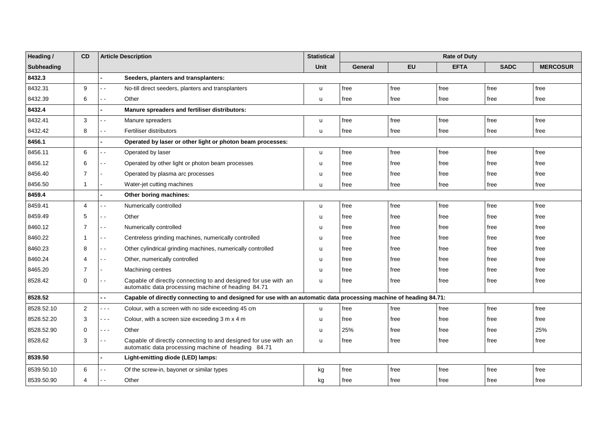| Heading /  | CD             |                          | <b>Article Description</b>                                                                                           | <b>Statistical</b> | <b>Rate of Duty</b> |           |             |             |                 |  |
|------------|----------------|--------------------------|----------------------------------------------------------------------------------------------------------------------|--------------------|---------------------|-----------|-------------|-------------|-----------------|--|
| Subheading |                |                          |                                                                                                                      | <b>Unit</b>        | General             | <b>EU</b> | <b>EFTA</b> | <b>SADC</b> | <b>MERCOSUR</b> |  |
| 8432.3     |                |                          | Seeders, planters and transplanters:                                                                                 |                    |                     |           |             |             |                 |  |
| 8432.31    | 9              | $\overline{a}$           | No-till direct seeders, planters and transplanters                                                                   | u                  | free                | free      | free        | free        | free            |  |
| 8432.39    | 6              | $\sim$ $\sim$            | Other                                                                                                                | u                  | free                | free      | free        | free        | free            |  |
| 8432.4     |                |                          | Manure spreaders and fertiliser distributors:                                                                        |                    |                     |           |             |             |                 |  |
| 8432.41    | 3              | $\overline{\phantom{a}}$ | Manure spreaders                                                                                                     | u                  | free                | free      | free        | free        | free            |  |
| 8432.42    | 8              | ۵.                       | Fertiliser distributors                                                                                              | u                  | free                | free      | free        | free        | free            |  |
| 8456.1     |                |                          | Operated by laser or other light or photon beam processes:                                                           |                    |                     |           |             |             |                 |  |
| 8456.11    | 6              | $\sim$ $\sim$            | Operated by laser                                                                                                    | u                  | free                | free      | free        | free        | free            |  |
| 8456.12    | 6              | - -                      | Operated by other light or photon beam processes                                                                     | u                  | free                | free      | free        | free        | free            |  |
| 8456.40    | $\overline{7}$ |                          | Operated by plasma arc processes                                                                                     | u                  | free                | free      | free        | free        | free            |  |
| 8456.50    | 1              |                          | Water-jet cutting machines                                                                                           | u                  | free                | free      | free        | free        | free            |  |
| 8459.4     |                |                          | Other boring machines:                                                                                               |                    |                     |           |             |             |                 |  |
| 8459.41    | 4              | $\overline{\phantom{a}}$ | Numerically controlled                                                                                               | u                  | free                | free      | free        | free        | free            |  |
| 8459.49    | 5              | $\sim$ $\sim$            | Other                                                                                                                | u                  | free                | free      | free        | free        | free            |  |
| 8460.12    | $\overline{7}$ | $\sim$ $\sim$            | Numerically controlled                                                                                               | u                  | free                | free      | free        | free        | free            |  |
| 8460.22    | $\mathbf{1}$   | - -                      | Centreless grinding machines, numerically controlled                                                                 | u                  | free                | free      | free        | free        | free            |  |
| 8460.23    | 8              | $\overline{\phantom{a}}$ | Other cylindrical grinding machines, numerically controlled                                                          | u                  | free                | free      | free        | free        | free            |  |
| 8460.24    | 4              | $\sim$ $\sim$            | Other, numerically controlled                                                                                        | $\mathbf{u}$       | free                | free      | free        | free        | free            |  |
| 8465.20    | $\overline{7}$ |                          | Machining centres                                                                                                    | u                  | free                | free      | free        | free        | free            |  |
| 8528.42    | 0              | . .                      | Capable of directly connecting to and designed for use with an<br>automatic data processing machine of heading 84.71 | u                  | free                | free      | free        | free        | free            |  |
| 8528.52    |                | . .                      | Capable of directly connecting to and designed for use with an automatic data processing machine of heading 84.71:   |                    |                     |           |             |             |                 |  |
| 8528.52.10 | 2              | .                        | Colour, with a screen with no side exceeding 45 cm                                                                   | u                  | free                | free      | free        | free        | free            |  |
| 8528.52.20 | 3              | $\sim$ $\sim$ $\sim$     | Colour, with a screen size exceeding 3 m x 4 m                                                                       | u                  | free                | free      | free        | free        | free            |  |
| 8528.52.90 | $\mathbf 0$    | - - -                    | Other                                                                                                                | u                  | 25%                 | free      | free        | free        | 25%             |  |
| 8528.62    | 3              | $\sim$ $-$               | Capable of directly connecting to and designed for use with an<br>automatic data processing machine of heading 84.71 | u                  | free                | free      | free        | free        | free            |  |
| 8539.50    |                |                          | Light-emitting diode (LED) lamps:                                                                                    |                    |                     |           |             |             |                 |  |
| 8539.50.10 | 6              | - -                      | Of the screw-in, bayonet or similar types                                                                            | kg                 | free                | free      | free        | free        | free            |  |
| 8539.50.90 | 4              | ۵.                       | Other                                                                                                                | kg                 | free                | free      | free        | free        | free            |  |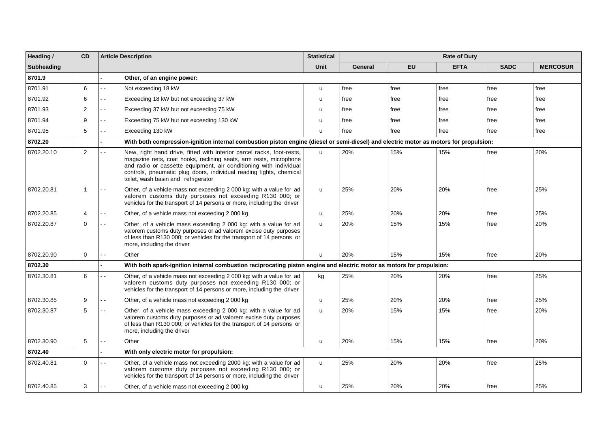| Heading /         | <b>CD</b>   | <b>Article Description</b>                                                                                                                                                                                                                                                                                                    | <b>Statistical</b> | <b>Rate of Duty</b> |           |             |             |                 |  |
|-------------------|-------------|-------------------------------------------------------------------------------------------------------------------------------------------------------------------------------------------------------------------------------------------------------------------------------------------------------------------------------|--------------------|---------------------|-----------|-------------|-------------|-----------------|--|
| <b>Subheading</b> |             |                                                                                                                                                                                                                                                                                                                               | <b>Unit</b>        | General             | <b>EU</b> | <b>EFTA</b> | <b>SADC</b> | <b>MERCOSUR</b> |  |
| 8701.9            |             | Other, of an engine power:                                                                                                                                                                                                                                                                                                    |                    |                     |           |             |             |                 |  |
| 8701.91           | 6           | Not exceeding 18 kW<br>٠.                                                                                                                                                                                                                                                                                                     | u                  | free                | free      | free        | free        | free            |  |
| 8701.92           | 6           | Exceeding 18 kW but not exceeding 37 kW<br>$\sim$ $\sim$                                                                                                                                                                                                                                                                      | u                  | free                | free      | free        | free        | free            |  |
| 8701.93           | 2           | Exceeding 37 kW but not exceeding 75 kW<br>- -                                                                                                                                                                                                                                                                                | u                  | free                | free      | free        | free        | free            |  |
| 8701.94           | 9           | Exceeding 75 kW but not exceeding 130 kW<br>$\sim$ $\sim$                                                                                                                                                                                                                                                                     | <b>u</b>           | free                | free      | free        | free        | free            |  |
| 8701.95           | 5           | Exceeding 130 kW<br>$\sim$ $\sim$                                                                                                                                                                                                                                                                                             | u                  | free                | free      | free        | free        | free            |  |
| 8702.20           |             | With both compression-ignition internal combustion piston engine (diesel or semi-diesel) and electric motor as motors for propulsion:                                                                                                                                                                                         |                    |                     |           |             |             |                 |  |
| 8702.20.10        | 2           | New, right hand drive, fitted with interior parcel racks, foot-rests,<br>magazine nets, coat hooks, reclining seats, arm rests, microphone<br>and radio or cassette equipment, air conditioning with individual<br>controls, pneumatic plug doors, individual reading lights, chemical<br>toilet, wash basin and refrigerator | $\mathsf{u}$       | 20%                 | 15%       | 15%         | free        | 20%             |  |
| 8702.20.81        | $\mathbf 1$ | Other, of a vehicle mass not exceeding 2 000 kg: with a value for ad<br>valorem customs duty purposes not exceeding R130 000; or<br>vehicles for the transport of 14 persons or more, including the driver                                                                                                                    | $\mathsf{u}$       | 25%                 | 20%       | 20%         | free        | 25%             |  |
| 8702.20.85        | 4           | Other, of a vehicle mass not exceeding 2 000 kg<br>$\sim$ $\sim$                                                                                                                                                                                                                                                              | u                  | 25%                 | 20%       | 20%         | free        | 25%             |  |
| 8702.20.87        | $\Omega$    | Other, of a vehicle mass exceeding 2 000 kg: with a value for ad<br>valorem customs duty purposes or ad valorem excise duty purposes<br>of less than R130 000; or vehicles for the transport of 14 persons or<br>more, including the driver                                                                                   | $\mathsf{u}$       | 20%                 | 15%       | 15%         | free        | 20%             |  |
| 8702.20.90        | $\mathbf 0$ | Other<br>$\sim$ $\sim$                                                                                                                                                                                                                                                                                                        | <b>u</b>           | 20%                 | 15%       | 15%         | free        | 20%             |  |
| 8702.30           |             | With both spark-ignition internal combustion reciprocating piston engine and electric motor as motors for propulsion:                                                                                                                                                                                                         |                    |                     |           |             |             |                 |  |
| 8702.30.81        | 6           | Other, of a vehicle mass not exceeding 2 000 kg: with a value for ad<br>valorem customs duty purposes not exceeding R130 000; or<br>vehicles for the transport of 14 persons or more, including the driver                                                                                                                    | kg                 | 25%                 | 20%       | 20%         | free        | 25%             |  |
| 8702.30.85        | 9           | Other, of a vehicle mass not exceeding 2 000 kg<br>$\sim$ $\sim$                                                                                                                                                                                                                                                              | u                  | 25%                 | 20%       | 20%         | free        | 25%             |  |
| 8702.30.87        | 5           | Other, of a vehicle mass exceeding 2 000 kg: with a value for ad<br>valorem customs duty purposes or ad valorem excise duty purposes<br>of less than R130 000; or vehicles for the transport of 14 persons or<br>more, including the driver                                                                                   | $\mathsf{u}$       | 20%                 | 15%       | 15%         | free        | 20%             |  |
| 8702.30.90        | 5           | Other<br>$\sim$ $\sim$                                                                                                                                                                                                                                                                                                        | u                  | 20%                 | 15%       | 15%         | free        | 20%             |  |
| 8702.40           |             | With only electric motor for propulsion:                                                                                                                                                                                                                                                                                      |                    |                     |           |             |             |                 |  |
| 8702.40.81        | $\mathbf 0$ | Other, of a vehicle mass not exceeding 2000 kg: with a value for ad<br>valorem customs duty purposes not exceeding R130 000; or<br>vehicles for the transport of 14 persons or more, including the driver                                                                                                                     | $\mathsf{u}$       | 25%                 | 20%       | 20%         | free        | 25%             |  |
| 8702.40.85        | 3           | Other, of a vehicle mass not exceeding 2000 kg<br>- -                                                                                                                                                                                                                                                                         | u                  | 25%                 | 20%       | 20%         | free        | 25%             |  |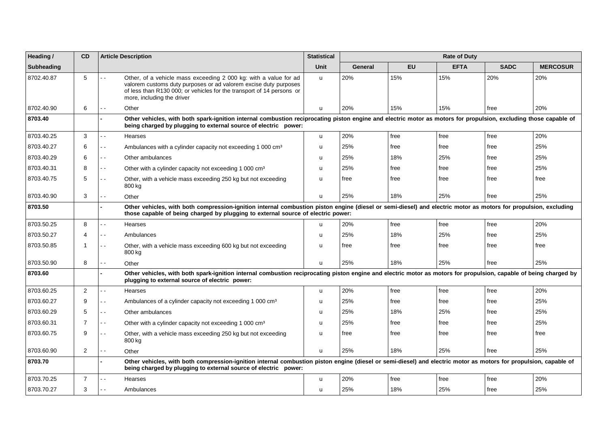| Heading /  | <b>CD</b>      | <b>Article Description</b>                                                                                                                                                                                                                                              | <b>Statistical</b>                                                                                                                                                                                                                                  | <b>Rate of Duty</b> |           |             |             |                 |  |  |
|------------|----------------|-------------------------------------------------------------------------------------------------------------------------------------------------------------------------------------------------------------------------------------------------------------------------|-----------------------------------------------------------------------------------------------------------------------------------------------------------------------------------------------------------------------------------------------------|---------------------|-----------|-------------|-------------|-----------------|--|--|
| Subheading |                |                                                                                                                                                                                                                                                                         | Unit                                                                                                                                                                                                                                                | General             | <b>EU</b> | <b>EFTA</b> | <b>SADC</b> | <b>MERCOSUR</b> |  |  |
| 8702.40.87 | 5              | Other, of a vehicle mass exceeding 2 000 kg: with a value for ad<br>$\overline{\phantom{a}}$<br>valorem customs duty purposes or ad valorem excise duty purposes<br>of less than R130 000; or vehicles for the transport of 14 persons or<br>more, including the driver | u                                                                                                                                                                                                                                                   | 20%                 | 15%       | 15%         | 20%         | 20%             |  |  |
| 8702.40.90 | 6              | Other<br>۵.                                                                                                                                                                                                                                                             | $\mathsf{u}$                                                                                                                                                                                                                                        | 20%                 | 15%       | 15%         | free        | 20%             |  |  |
| 8703.40    |                | Other vehicles, with both spark-ignition internal combustion reciprocating piston engine and electric motor as motors for propulsion, excluding those capable of<br>being charged by plugging to external source of electric power:                                     |                                                                                                                                                                                                                                                     |                     |           |             |             |                 |  |  |
| 8703.40.25 | 3              | Hearses<br>$\overline{\phantom{a}}$                                                                                                                                                                                                                                     | u                                                                                                                                                                                                                                                   | 20%                 | free      | free        | free        | 20%             |  |  |
| 8703.40.27 | 6              | Ambulances with a cylinder capacity not exceeding 1 000 cm <sup>3</sup><br>٠.                                                                                                                                                                                           | $\mathsf{u}$                                                                                                                                                                                                                                        | 25%                 | free      | free        | free        | 25%             |  |  |
| 8703.40.29 | 6              | Other ambulances<br>٠.                                                                                                                                                                                                                                                  | u                                                                                                                                                                                                                                                   | 25%                 | 18%       | 25%         | free        | 25%             |  |  |
| 8703.40.31 | 8              | Other with a cylinder capacity not exceeding 1 000 cm <sup>3</sup><br>$ -$                                                                                                                                                                                              | $\mathbf{u}$                                                                                                                                                                                                                                        | 25%                 | free      | free        | free        | 25%             |  |  |
| 8703.40.75 | 5              | Other, with a vehicle mass exceeding 250 kg but not exceeding<br>$\overline{\phantom{a}}$<br>800 kg                                                                                                                                                                     | u                                                                                                                                                                                                                                                   | free                | free      | free        | free        | free            |  |  |
| 8703.40.90 | 3              | $\overline{\phantom{a}}$<br>Other                                                                                                                                                                                                                                       | $\mathsf{u}$                                                                                                                                                                                                                                        | 25%                 | 18%       | 25%         | free        | 25%             |  |  |
| 8703.50    |                |                                                                                                                                                                                                                                                                         | Other vehicles, with both compression-ignition internal combustion piston engine (diesel or semi-diesel) and electric motor as motors for propulsion, excluding<br>those capable of being charged by plugging to external source of electric power: |                     |           |             |             |                 |  |  |
| 8703.50.25 | 8              | $\overline{\phantom{a}}$<br>Hearses                                                                                                                                                                                                                                     | u                                                                                                                                                                                                                                                   | 20%                 | free      | free        | free        | 20%             |  |  |
| 8703.50.27 | 4              | Ambulances<br>$ -$                                                                                                                                                                                                                                                      | u                                                                                                                                                                                                                                                   | 25%                 | 18%       | 25%         | free        | 25%             |  |  |
| 8703.50.85 | $\overline{1}$ | Other, with a vehicle mass exceeding 600 kg but not exceeding<br>$\overline{\phantom{a}}$<br>800 kg                                                                                                                                                                     | u                                                                                                                                                                                                                                                   | free                | free      | free        | free        | free            |  |  |
| 8703.50.90 | 8              | Other<br>. .                                                                                                                                                                                                                                                            | $\mathsf{u}$                                                                                                                                                                                                                                        | 25%                 | 18%       | 25%         | free        | 25%             |  |  |
| 8703.60    |                | Other vehicles, with both spark-ignition internal combustion reciprocating piston engine and electric motor as motors for propulsion, capable of being charged by<br>plugging to external source of electric power:                                                     |                                                                                                                                                                                                                                                     |                     |           |             |             |                 |  |  |
| 8703.60.25 | $\overline{2}$ | a a<br>Hearses                                                                                                                                                                                                                                                          | $\mathsf{u}$                                                                                                                                                                                                                                        | 20%                 | free      | free        | free        | 20%             |  |  |
| 8703.60.27 | 9              | Ambulances of a cylinder capacity not exceeding 1 000 cm <sup>3</sup><br>٠.                                                                                                                                                                                             | u                                                                                                                                                                                                                                                   | 25%                 | free      | free        | free        | 25%             |  |  |
| 8703.60.29 | 5              | Other ambulances<br>. .                                                                                                                                                                                                                                                 | u                                                                                                                                                                                                                                                   | 25%                 | 18%       | 25%         | free        | 25%             |  |  |
| 8703.60.31 | $\overline{7}$ | $\sim$ $\sim$<br>Other with a cylinder capacity not exceeding 1 000 cm <sup>3</sup>                                                                                                                                                                                     | u                                                                                                                                                                                                                                                   | 25%                 | free      | free        | free        | 25%             |  |  |
| 8703.60.75 | 9              | Other, with a vehicle mass exceeding 250 kg but not exceeding<br>٠.<br>800 kg                                                                                                                                                                                           | $\mathsf{u}$                                                                                                                                                                                                                                        | free                | free      | free        | free        | free            |  |  |
| 8703.60.90 | $\overline{2}$ | Other<br>a a                                                                                                                                                                                                                                                            | u                                                                                                                                                                                                                                                   | 25%                 | 18%       | 25%         | free        | 25%             |  |  |
| 8703.70    |                | Other vehicles, with both compression-ignition internal combustion piston engine (diesel or semi-diesel) and electric motor as motors for propulsion, capable of<br>being charged by plugging to external source of electric power:                                     |                                                                                                                                                                                                                                                     |                     |           |             |             |                 |  |  |
| 8703.70.25 | $\overline{7}$ | 22<br>Hearses                                                                                                                                                                                                                                                           | $\mathbf{u}$                                                                                                                                                                                                                                        | 20%                 | free      | free        | free        | 20%             |  |  |
| 8703.70.27 | 3              | Ambulances                                                                                                                                                                                                                                                              | $\mathbf{u}$                                                                                                                                                                                                                                        | 25%                 | 18%       | 25%         | free        | 25%             |  |  |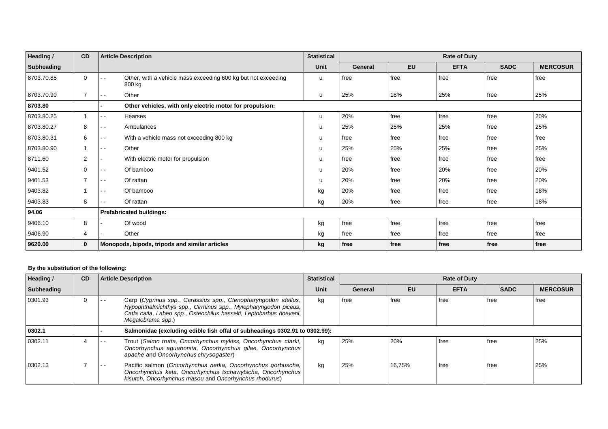| Heading /  | CD             | <b>Article Description</b>                                                      | <b>Statistical</b> |         |           | <b>Rate of Duty</b> |             |                 |
|------------|----------------|---------------------------------------------------------------------------------|--------------------|---------|-----------|---------------------|-------------|-----------------|
| Subheading |                |                                                                                 | Unit               | General | <b>EU</b> | <b>EFTA</b>         | <b>SADC</b> | <b>MERCOSUR</b> |
| 8703.70.85 | $\mathbf 0$    | Other, with a vehicle mass exceeding 600 kg but not exceeding<br>$ -$<br>800 kg | u                  | free    | free      | free                | free        | free            |
| 8703.70.90 | $\overline{7}$ | Other<br>$ -$                                                                   | u                  | 25%     | 18%       | 25%                 | free        | 25%             |
| 8703.80    |                | Other vehicles, with only electric motor for propulsion:                        |                    |         |           |                     |             |                 |
| 8703.80.25 | 1              | Hearses<br>$ -$                                                                 | u                  | 20%     | free      | free                | free        | 20%             |
| 8703.80.27 | 8              | Ambulances<br>- -                                                               | u                  | 25%     | 25%       | 25%                 | free        | 25%             |
| 8703.80.31 | 6              | With a vehicle mass not exceeding 800 kg<br>- -                                 | u                  | free    | free      | free                | free        | free            |
| 8703.80.90 | 1              | Other<br>$\sim$ $\sim$                                                          | u                  | 25%     | 25%       | 25%                 | free        | 25%             |
| 8711.60    | 2              | With electric motor for propulsion                                              | u                  | free    | free      | free                | free        | free            |
| 9401.52    | 0              | Of bamboo<br>- -                                                                | u                  | 20%     | free      | 20%                 | free        | 20%             |
| 9401.53    | $\overline{7}$ | Of rattan<br>$ -$                                                               | u                  | 20%     | free      | 20%                 | free        | 20%             |
| 9403.82    | 1              | Of bamboo<br>- -                                                                | kg                 | 20%     | free      | free                | free        | 18%             |
| 9403.83    | 8              | Of rattan<br>$\sim$ $\sim$                                                      | kg                 | 20%     | free      | free                | free        | 18%             |
| 94.06      |                | <b>Prefabricated buildings:</b>                                                 |                    |         |           |                     |             |                 |
| 9406.10    | 8              | Of wood                                                                         | kg                 | free    | free      | free                | free        | free            |
| 9406.90    | 4              | Other                                                                           | kg                 | free    | free      | free                | free        | free            |
| 9620.00    | $\mathbf 0$    | Monopods, bipods, tripods and similar articles                                  | kg                 | free    | free      | free                | free        | free            |

| Heading /         | <b>CD</b> | <b>Article Description</b>                                                                                                                                                                                                     | <b>Statistical</b>                                                          | <b>Rate of Duty</b> |           |             |             |                 |  |  |
|-------------------|-----------|--------------------------------------------------------------------------------------------------------------------------------------------------------------------------------------------------------------------------------|-----------------------------------------------------------------------------|---------------------|-----------|-------------|-------------|-----------------|--|--|
| <b>Subheading</b> |           |                                                                                                                                                                                                                                | <b>Unit</b>                                                                 | General             | <b>EU</b> | <b>EFTA</b> | <b>SADC</b> | <b>MERCOSUR</b> |  |  |
| 0301.93           | $\Omega$  | Carp (Cyprinus spp., Carassius spp., Ctenopharyngodon idellus,<br>Hypophthalmichthys spp., Cirrhinus spp., Mylopharyngodon piceus,<br>Catla catla, Labeo spp., Osteochilus hasselti, Leptobarbus hoeveni,<br>Megalobrama spp.) | kg                                                                          | free                | free      | free        | free        | free            |  |  |
| 0302.1            |           |                                                                                                                                                                                                                                | Salmonidae (excluding edible fish offal of subheadings 0302.91 to 0302.99): |                     |           |             |             |                 |  |  |
| 0302.11           |           | Trout (Salmo trutta, Oncorhynchus mykiss, Oncorhynchus clarki,<br>$ -$<br>Oncorhynchus aguabonita, Oncorhynchus gilae, Oncorhynchus<br>apache and Oncorhynchus chrysogaster)                                                   | ka                                                                          | 25%                 | 20%       | free        | free        | 25%             |  |  |
| 0302.13           |           | Pacific salmon (Oncorhynchus nerka, Oncorhynchus gorbuscha,<br>$ -$<br>Oncorhynchus keta, Oncorhynchus tschawytscha, Oncorhynchus<br>kisutch, Oncorhynchus masou and Oncorhynchus rhodurus)                                    | kg                                                                          | 25%                 | 16,75%    | free        | free        | 25%             |  |  |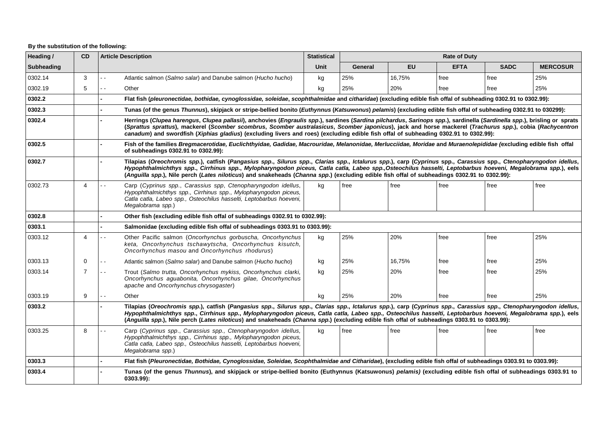| Heading /  | <b>CD</b>      | <b>Article Description</b>                                                                                                                                                                                                                                                                                                                                                                                                                                                       | <b>Statistical</b> | <b>Rate of Duty</b> |           |             |             |                 |  |
|------------|----------------|----------------------------------------------------------------------------------------------------------------------------------------------------------------------------------------------------------------------------------------------------------------------------------------------------------------------------------------------------------------------------------------------------------------------------------------------------------------------------------|--------------------|---------------------|-----------|-------------|-------------|-----------------|--|
| Subheading |                |                                                                                                                                                                                                                                                                                                                                                                                                                                                                                  | Unit               | General             | <b>EU</b> | <b>EFTA</b> | <b>SADC</b> | <b>MERCOSUR</b> |  |
| 0302.14    | 3              | Atlantic salmon (Salmo salar) and Danube salmon (Hucho hucho)<br>$\overline{\phantom{a}}$                                                                                                                                                                                                                                                                                                                                                                                        | kg                 | 25%                 | 16,75%    | free        | free        | 25%             |  |
| 0302.19    | 5              | Other<br>$\sim$ $\sim$                                                                                                                                                                                                                                                                                                                                                                                                                                                           | kg                 | 25%                 | 20%       | free        | free        | 25%             |  |
| 0302.2     |                | Flat fish (pleuronectidae, bothidae, cynoglossidae, soleidae, scophthalmidae and citharidae) (excluding edible fish offal of subheading 0302.91 to 0302.99):                                                                                                                                                                                                                                                                                                                     |                    |                     |           |             |             |                 |  |
| 0302.3     |                | Tunas (of the genus Thunnus), skipjack or stripe-bellied bonito (Euthynnus (Katsuwonus) pelamis) (excluding edible fish offal of subheading 0302.91 to 030299):                                                                                                                                                                                                                                                                                                                  |                    |                     |           |             |             |                 |  |
| 0302.4     |                | Herrings (Clupea harengus, Clupea pallasii), anchovies (Engraulis spp.), sardines (Sardina pilchardus, Sarinops spp.), sardinella (Sardinella spp.), brisling or sprats<br>(Sprattus sprattus), mackerel (Scomber scombrus, Scomber australasicus, Scomber japonicus), jack and horse mackerel (Trachurus spp.), cobia (Rachycentron<br>canadum) and swordfish (Xiphias gladius) (excluding livers and roes) (excluding edible fish offal of subheading 0302.91 to 0302.99):     |                    |                     |           |             |             |                 |  |
| 0302.5     |                | Fish of the families Bregmacerotidae, Euclichthyidae, Gadidae, Macrouridae, Melanonidae, Merlucciidae, Moridae and Muraenolepididae (excluding edible fish offal<br>of subheadings 0302.91 to 0302.99):                                                                                                                                                                                                                                                                          |                    |                     |           |             |             |                 |  |
| 0302.7     |                | Tilapias (Oreochromis spp.), catfish (Pangasius spp., Silurus spp., Clarias spp., Ictalurus spp.), carp (Cyprinus spp., Carassius spp., Ctenopharyngodon idellus,<br>Hypophthalmichthys spp., Cirrhinus spp., Mylopharyngodon piceus, Catla catla, Labeo spp.,Osteochilus hasselti, Leptobarbus hoeveni, Megalobrama spp.), eels<br>(Anguilla spp.), Nile perch (Lates niloticus) and snakeheads (Channa spp.) (excluding edible fish offal of subheadings 0302.91 to 0302.99):  |                    |                     |           |             |             |                 |  |
| 0302.73    | 4              | Carp (Cyprinus spp., Carassius spp, Ctenopharyngodon idellus,<br>Hypophthalmichthys spp., Cirrhinus spp., Mylopharyngodon piceus,<br>Catla catla, Labeo spp., Osteochilus hasselti, Leptobarbus hoeveni,<br>Megalobrama spp.)                                                                                                                                                                                                                                                    | ka                 | free                | free      | free        | free        | free            |  |
| 0302.8     |                | Other fish (excluding edible fish offal of subheadings 0302.91 to 0302.99):                                                                                                                                                                                                                                                                                                                                                                                                      |                    |                     |           |             |             |                 |  |
| 0303.1     |                | Salmonidae (excluding edible fish offal of subheadings 0303.91 to 0303.99):                                                                                                                                                                                                                                                                                                                                                                                                      |                    |                     |           |             |             |                 |  |
| 0303.12    | 4              | Other Pacific salmon (Oncorhynchus gorbuscha, Oncorhynchus<br>. .<br>keta, Oncorhynchus tschawytscha, Oncorhynchus kisutch,<br>Oncorhynchus masou and Oncorhynchus rhodurus)                                                                                                                                                                                                                                                                                                     | kg                 | 25%                 | 20%       | free        | free        | 25%             |  |
| 0303.13    | 0              | Atlantic salmon (Salmo salar) and Danube salmon (Hucho hucho)<br>$\sim$ $\sim$                                                                                                                                                                                                                                                                                                                                                                                                   | kg                 | 25%                 | 16,75%    | free        | free        | 25%             |  |
| 0303.14    | $\overline{7}$ | Trout (Salmo trutta, Oncorhynchus mykiss, Oncorhynchus clarki,<br>$\sim$ $\sim$<br>Oncorhynchus aguabonita, Oncorhynchus gilae, Oncorhynchus<br>apache and Oncorhynchus chrysogaster)                                                                                                                                                                                                                                                                                            | kg                 | 25%                 | 20%       | free        | free        | 25%             |  |
| 0303.19    | 9              | Other<br>$\overline{\phantom{a}}$                                                                                                                                                                                                                                                                                                                                                                                                                                                | kg                 | 25%                 | 20%       | free        | free        | 25%             |  |
| 0303.2     |                | Tilapias (Oreochromis spp.), catfish (Pangasius spp., Silurus spp., Clarias spp., Ictalurus spp.), carp (Cyprinus spp., Carassius spp., Ctenopharyngodon idellus,<br>Hypophthalmichthys spp., Cirrhinus spp., Mylopharyngodon piceus, Catla catla, Labeo spp., Osteochilus hasselti, Leptobarbus hoeveni, Megalobrama spp.), eels<br>(Anguilla spp.), Nile perch (Lates niloticus) and snakeheads (Channa spp.) (excluding edible fish offal of subheadings 0303.91 to 0303.99): |                    |                     |           |             |             |                 |  |
| 0303.25    | 8              | Carp (Cyprinus spp., Carassius spp., Ctenopharyngodon idellus,<br>Hypophthalmichthys spp., Cirrhinus spp., Mylopharyngodon piceus,<br>Catla catla, Labeo spp., Osteochilus hasselti, Leptobarbus hoeveni,<br>Megalobrama spp.)                                                                                                                                                                                                                                                   | kg                 | free                | free      | free        | free        | free            |  |
| 0303.3     |                | Flat fish (Pleuronectidae, Bothidae, Cynoglossidae, Soleidae, Scophthalmidae and Citharidae), (excluding edible fish offal of subheadings 0303.91 to 0303.99):                                                                                                                                                                                                                                                                                                                   |                    |                     |           |             |             |                 |  |
| 0303.4     |                | Tunas (of the genus Thunnus), and skipjack or stripe-bellied bonito (Euthynnus (Katsuwonus) pelamis) (excluding edible fish offal of subheadings 0303.91 to<br>$0303.99$ ):                                                                                                                                                                                                                                                                                                      |                    |                     |           |             |             |                 |  |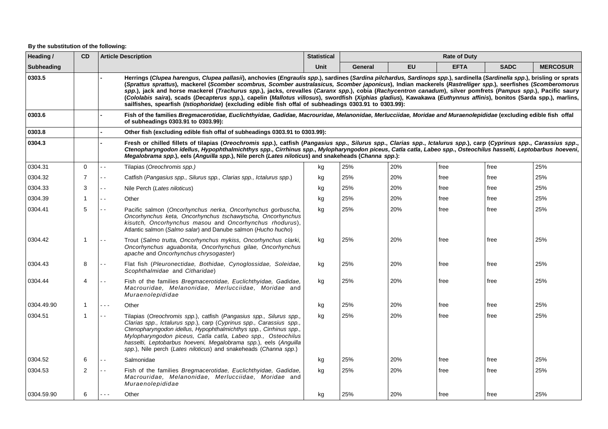| Heading /         | <b>CD</b>      | <b>Article Description</b>                                                                                                                                                                                                                                                                                                                                                                                                                                                                                                                                                                                                                                                                                                                                                             | <b>Statistical</b> | <b>Rate of Duty</b> |           |             |             |                 |  |
|-------------------|----------------|----------------------------------------------------------------------------------------------------------------------------------------------------------------------------------------------------------------------------------------------------------------------------------------------------------------------------------------------------------------------------------------------------------------------------------------------------------------------------------------------------------------------------------------------------------------------------------------------------------------------------------------------------------------------------------------------------------------------------------------------------------------------------------------|--------------------|---------------------|-----------|-------------|-------------|-----------------|--|
| <b>Subheading</b> |                |                                                                                                                                                                                                                                                                                                                                                                                                                                                                                                                                                                                                                                                                                                                                                                                        | <b>Unit</b>        | General             | <b>EU</b> | <b>EFTA</b> | <b>SADC</b> | <b>MERCOSUR</b> |  |
| 0303.5            |                | Herrings (Clupea harengus, Clupea pallasii), anchovies (Engraulis spp.), sardines (Sardina pilchardus, Sardinops spp.), sardinella (Sardinella spp.), brisling or sprats<br>(Sprattus sprattus), mackerel (Scomber scombrus, Scomber australasicus, Scomber japonicus), Indian mackerels (Rastrelliger spp.), seerfishes (Scomberomorus<br>spp.), jack and horse mackerel (Trachurus spp.), jacks, crevalles (Caranx spp.), cobia (Rachycentron canadum), silver pomfrets (Pampus spp.), Pacific saury<br>(Cololabis saira), scads (Decapterus spp.), capelin (Mallotus villosus), swordfish (Xiphias gladius), Kawakawa (Euthynnus affinis), bonitos (Sarda spp.), marlins,<br>sailfishes, spearfish (Istiophoridae) (excluding edible fish offal of subheadings 0303.91 to 0303.99): |                    |                     |           |             |             |                 |  |
| 0303.6            |                | Fish of the families Bregmacerotidae, Euclichthyidae, Gadidae, Macrouridae, Melanonidae, Merlucciidae, Moridae and Muraenolepididae (excluding edible fish offal<br>of subheadings 0303.91 to 0303.99):                                                                                                                                                                                                                                                                                                                                                                                                                                                                                                                                                                                |                    |                     |           |             |             |                 |  |
| 0303.8            |                | Other fish (excluding edible fish offal of subheadings 0303.91 to 0303.99):                                                                                                                                                                                                                                                                                                                                                                                                                                                                                                                                                                                                                                                                                                            |                    |                     |           |             |             |                 |  |
| 0304.3            |                | Fresh or chilled fillets of tilapias (Oreochromis spp.), catfish (Pangasius spp., Silurus spp., Clarias spp., Ictalurus spp.), carp (Cyprinus spp., Carassius spp.,<br>Ctenopharyngodon idellus, Hypophthalmichthys spp., Cirrhinus spp., Mylopharyngodon piceus, Catla catla, Labeo spp., Osteochilus hasselti, Leptobarbus hoeveni,<br>Megalobrama spp.), eels (Anguilla spp.), Nile perch (Lates niloticus) and snakeheads (Channa spp.):                                                                                                                                                                                                                                                                                                                                           |                    |                     |           |             |             |                 |  |
| 0304.31           | $\mathbf{0}$   | Tilapias (Oreochromis spp.)<br>$\overline{\phantom{a}}$                                                                                                                                                                                                                                                                                                                                                                                                                                                                                                                                                                                                                                                                                                                                | kg                 | 25%                 | 20%       | free        | free        | 25%             |  |
| 0304.32           | $\overline{7}$ | Catfish (Pangasius spp., Silurus spp., Clarias spp., Ictalurus spp.)<br>$\sim$ $\sim$                                                                                                                                                                                                                                                                                                                                                                                                                                                                                                                                                                                                                                                                                                  | kg                 | 25%                 | 20%       | free        | free        | 25%             |  |
| 0304.33           | 3              | $\sim$ $\sim$<br>Nile Perch (Lates niloticus)                                                                                                                                                                                                                                                                                                                                                                                                                                                                                                                                                                                                                                                                                                                                          | kg                 | 25%                 | 20%       | free        | free        | 25%             |  |
| 0304.39           | $\mathbf{1}$   | Other<br>$\sim$ $\sim$                                                                                                                                                                                                                                                                                                                                                                                                                                                                                                                                                                                                                                                                                                                                                                 | kg                 | 25%                 | 20%       | free        | free        | 25%             |  |
| 0304.41           | 5              | Pacific salmon (Oncorhynchus nerka, Oncorhynchus gorbuscha,<br>44<br>Oncorhynchus keta, Oncorhynchus tschawytscha, Oncorhynchus<br>kisutch, Oncorhynchus masou and Oncorhynchus rhodurus),<br>Atlantic salmon (Salmo salar) and Danube salmon (Hucho hucho)                                                                                                                                                                                                                                                                                                                                                                                                                                                                                                                            | kg                 | 25%                 | 20%       | free        | free        | 25%             |  |
| 0304.42           | $\mathbf{1}$   | Trout (Salmo trutta, Oncorhynchus mykiss, Oncorhynchus clarki,<br>$\sim$ $\sim$<br>Oncorhynchus aguabonita, Oncorhynchus gilae, Oncorhynchus<br>apache and Oncorhynchus chrysogaster)                                                                                                                                                                                                                                                                                                                                                                                                                                                                                                                                                                                                  | kg                 | 25%                 | 20%       | free        | free        | 25%             |  |
| 0304.43           | 8              | Flat fish (Pleuronectidae, Bothidae, Cynoglossidae, Soleidae,<br>۵.<br>Scophthalmidae and Citharidae)                                                                                                                                                                                                                                                                                                                                                                                                                                                                                                                                                                                                                                                                                  | kg                 | 25%                 | 20%       | free        | free        | 25%             |  |
| 0304.44           | 4              | Fish of the families Bregmacerotidae, Euclichthyidae, Gadidae,<br>$\sim$ $\sim$<br>Macrouridae, Melanonidae, Merlucciidae, Moridae and<br>Muraenolepididae                                                                                                                                                                                                                                                                                                                                                                                                                                                                                                                                                                                                                             | kg                 | 25%                 | 20%       | free        | free        | 25%             |  |
| 0304.49.90        | $\mathbf{1}$   | $\sim$ $\sim$ $\sim$<br>Other                                                                                                                                                                                                                                                                                                                                                                                                                                                                                                                                                                                                                                                                                                                                                          | kg                 | 25%                 | 20%       | free        | free        | 25%             |  |
| 0304.51           | $\mathbf 1$    | Tilapias (Oreochromis spp.), catfish (Pangasius spp., Silurus spp.,<br>$\sim$ $\sim$<br>Clarias spp., Ictalurus spp.), carp (Cyprinus spp., Carassius spp.,<br>Ctenopharyngodon idellus, Hypophthalmichthys spp., Cirrhinus spp.,<br>Mylopharyngodon piceus, Catla catla, Labeo spp., Osteochilus<br>hasselti, Leptobarbus hoeveni, Megalobrama spp.), eels (Anguilla<br>spp.), Nile perch (Lates niloticus) and snakeheads (Channa spp.)                                                                                                                                                                                                                                                                                                                                              | kg                 | 25%                 | 20%       | free        | free        | 25%             |  |
| 0304.52           | 6              | Salmonidae<br>$\sim$ $\sim$                                                                                                                                                                                                                                                                                                                                                                                                                                                                                                                                                                                                                                                                                                                                                            | kg                 | 25%                 | 20%       | free        | free        | 25%             |  |
| 0304.53           | 2              | Fish of the families Bregmacerotidae, Euclichthyidae, Gadidae,<br>$\sim$ $\sim$<br>Macrouridae, Melanonidae, Merlucciidae, Moridae and<br>Muraenolepididae                                                                                                                                                                                                                                                                                                                                                                                                                                                                                                                                                                                                                             | kg                 | 25%                 | 20%       | free        | free        | 25%             |  |
| 0304.59.90        | 6              | Other                                                                                                                                                                                                                                                                                                                                                                                                                                                                                                                                                                                                                                                                                                                                                                                  | kg                 | 25%                 | 20%       | free        | free        | 25%             |  |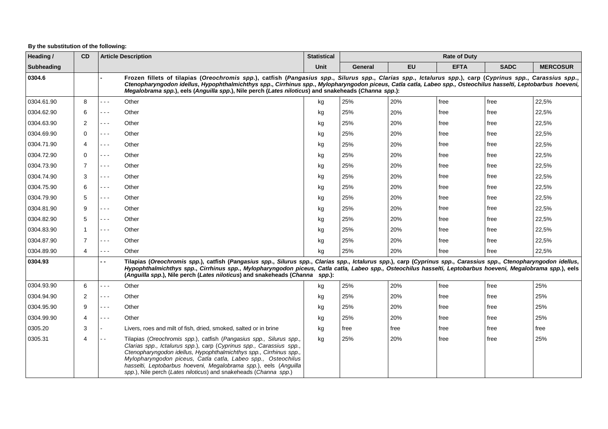| Heading /         | <b>CD</b>      |                          | <b>Article Description</b>                                                                                                                                                                                                                                                                                                                                                                                                         | <b>Statistical</b> | <b>Rate of Duty</b> |           |             |             |                 |  |
|-------------------|----------------|--------------------------|------------------------------------------------------------------------------------------------------------------------------------------------------------------------------------------------------------------------------------------------------------------------------------------------------------------------------------------------------------------------------------------------------------------------------------|--------------------|---------------------|-----------|-------------|-------------|-----------------|--|
| <b>Subheading</b> |                |                          |                                                                                                                                                                                                                                                                                                                                                                                                                                    | <b>Unit</b>        | <b>General</b>      | <b>EU</b> | <b>EFTA</b> | <b>SADC</b> | <b>MERCOSUR</b> |  |
| 0304.6            |                |                          | Frozen fillets of tilapias (Oreochromis spp.), catfish (Pangasius spp., Silurus spp., Clarias spp., Ictalurus spp.), carp (Cyprinus spp., Carassius spp.,<br>Ctenopharyngodon idellus, Hypophthalmichthys spp., Cirrhinus spp., Mylopharyngodon piceus, Catla catla, Labeo spp., Osteochilus hasselti, Leptobarbus hoeveni,<br>Megalobrama spp.), eels (Anguilla spp.), Nile perch (Lates niloticus) and snakeheads (Channa spp.): |                    |                     |           |             |             |                 |  |
| 0304.61.90        | 8              | $\sim$ $\sim$ $\sim$     | Other                                                                                                                                                                                                                                                                                                                                                                                                                              | kg                 | 25%                 | 20%       | free        | free        | 22,5%           |  |
| 0304.62.90        | 6              | $\sim$ $\sim$ $\sim$     | Other                                                                                                                                                                                                                                                                                                                                                                                                                              | kg                 | 25%                 | 20%       | free        | free        | 22,5%           |  |
| 0304.63.90        | 2              | $\sim$ $\sim$ $\sim$     | Other                                                                                                                                                                                                                                                                                                                                                                                                                              | kg                 | 25%                 | 20%       | free        | free        | 22,5%           |  |
| 0304.69.90        | $\mathbf 0$    | $\sim$ $\sim$ $\sim$     | Other                                                                                                                                                                                                                                                                                                                                                                                                                              | kg                 | 25%                 | 20%       | free        | free        | 22,5%           |  |
| 0304.71.90        | 4              | $\sim$ $\sim$ $\sim$     | Other                                                                                                                                                                                                                                                                                                                                                                                                                              | kg                 | 25%                 | 20%       | free        | free        | 22,5%           |  |
| 0304.72.90        | 0              | $\sim$ $\sim$ $\sim$     | Other                                                                                                                                                                                                                                                                                                                                                                                                                              | kg                 | 25%                 | 20%       | free        | free        | 22,5%           |  |
| 0304.73.90        | $\overline{7}$ | $\sim$ $\sim$ $\sim$     | Other                                                                                                                                                                                                                                                                                                                                                                                                                              | kg                 | 25%                 | 20%       | free        | free        | 22,5%           |  |
| 0304.74.90        | 3              | $\sim$ $\sim$ $\sim$     | Other                                                                                                                                                                                                                                                                                                                                                                                                                              | kg                 | 25%                 | 20%       | free        | free        | 22,5%           |  |
| 0304.75.90        | 6              | $\sim$ $\sim$ $\sim$     | Other                                                                                                                                                                                                                                                                                                                                                                                                                              | kg                 | 25%                 | 20%       | free        | free        | 22,5%           |  |
| 0304.79.90        | 5              | - - -                    | Other                                                                                                                                                                                                                                                                                                                                                                                                                              | kg                 | 25%                 | 20%       | free        | free        | 22,5%           |  |
| 0304.81.90        | 9              | - - -                    | Other                                                                                                                                                                                                                                                                                                                                                                                                                              | kg                 | 25%                 | 20%       | free        | free        | 22,5%           |  |
| 0304.82.90        | 5              | $\sim$ $\sim$ $\sim$     | Other                                                                                                                                                                                                                                                                                                                                                                                                                              | kg                 | 25%                 | 20%       | free        | free        | 22,5%           |  |
| 0304.83.90        | $\mathbf{1}$   | $\sim$ $\sim$ $\sim$     | Other                                                                                                                                                                                                                                                                                                                                                                                                                              | kg                 | 25%                 | 20%       | free        | free        | 22,5%           |  |
| 0304.87.90        | 7              | $\sim$ $\sim$ $\sim$     | Other                                                                                                                                                                                                                                                                                                                                                                                                                              | kg                 | 25%                 | 20%       | free        | free        | 22,5%           |  |
| 0304.89.90        | $\overline{4}$ | $ -$                     | Other                                                                                                                                                                                                                                                                                                                                                                                                                              | kg                 | 25%                 | 20%       | free        | free        | 22,5%           |  |
| 0304.93           |                | $\overline{\phantom{0}}$ | Tilapias (Oreochromis spp.), catfish (Pangasius spp., Silurus spp., Clarias spp., Ictalurus spp.), carp (Cyprinus spp., Carassius spp., Ctenopharyngodon idellus,<br>Hypophthalmichthys spp., Cirrhinus spp., Mylopharyngodon piceus, Catla catla, Labeo spp., Osteochilus hasselti, Leptobarbus hoeveni, Megalobrama spp.), eels<br>(Anguilla spp.), Nile perch (Lates niloticus) and snakeheads (Channa spp.):                   |                    |                     |           |             |             |                 |  |
| 0304.93.90        | 6              | $\sim$ $\sim$ $\sim$     | Other                                                                                                                                                                                                                                                                                                                                                                                                                              | kg                 | 25%                 | 20%       | free        | free        | 25%             |  |
| 0304.94.90        | 2              | $\sim$ $ -$              | Other                                                                                                                                                                                                                                                                                                                                                                                                                              | kg                 | 25%                 | 20%       | free        | free        | 25%             |  |
| 0304.95.90        | 9              | $- - -$                  | Other                                                                                                                                                                                                                                                                                                                                                                                                                              | kg                 | 25%                 | 20%       | free        | free        | 25%             |  |
| 0304.99.90        | 4              | $\omega = \omega$        | Other                                                                                                                                                                                                                                                                                                                                                                                                                              | kg                 | 25%                 | 20%       | free        | free        | 25%             |  |
| 0305.20           | 3              |                          | Livers, roes and milt of fish, dried, smoked, salted or in brine                                                                                                                                                                                                                                                                                                                                                                   | kg                 | free                | free      | free        | free        | free            |  |
| 0305.31           | 4              |                          | Tilapias (Oreochromis spp.), catfish (Pangasius spp., Silurus spp.,<br>Clarias spp., Ictalurus spp.), carp (Cyprinus spp., Carassius spp.,<br>Ctenopharyngodon idellus, Hypophthalmichthys spp., Cirrhinus spp.,<br>Mylopharyngodon piceus, Catla catla, Labeo spp., Osteochilus<br>hasselti, Leptobarbus hoeveni, Megalobrama spp.), eels (Anguilla<br>spp.), Nile perch (Lates niloticus) and snakeheads (Channa spp.)           | kg                 | 25%                 | 20%       | free        | free        | 25%             |  |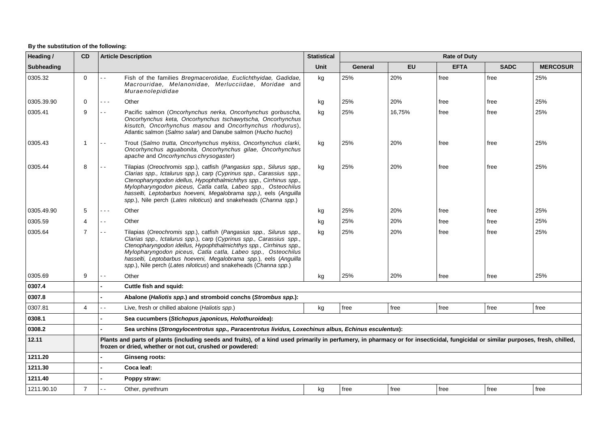| Heading /  | <b>CD</b>      | <b>Article Description</b>                                                                                                                                                                                                                                                                                                                                                                                                                | <b>Statistical</b> |      | <b>Rate of Duty</b> |           |             |             |                 |
|------------|----------------|-------------------------------------------------------------------------------------------------------------------------------------------------------------------------------------------------------------------------------------------------------------------------------------------------------------------------------------------------------------------------------------------------------------------------------------------|--------------------|------|---------------------|-----------|-------------|-------------|-----------------|
| Subheading |                |                                                                                                                                                                                                                                                                                                                                                                                                                                           | <b>Unit</b>        |      | General             | <b>EU</b> | <b>EFTA</b> | <b>SADC</b> | <b>MERCOSUR</b> |
| 0305.32    | $\Omega$       | Fish of the families Bregmacerotidae, Euclichthyidae, Gadidae,<br>$\ddotsc$<br>Macrouridae, Melanonidae, Merlucciidae, Moridae and<br>Muraenolepididae                                                                                                                                                                                                                                                                                    | kg                 | 25%  | 20%                 |           | free        | free        | 25%             |
| 0305.39.90 | $\mathbf 0$    | Other<br>$- - -$                                                                                                                                                                                                                                                                                                                                                                                                                          | kg                 | 25%  | 20%                 |           | free        | free        | 25%             |
| 0305.41    | 9              | Pacific salmon (Oncorhynchus nerka, Oncorhynchus gorbuscha,<br>$\sim$<br>Oncorhynchus keta, Oncorhynchus tschawytscha, Oncorhynchus<br>kisutch, Oncorhynchus masou and Oncorhynchus rhodurus),<br>Atlantic salmon (Salmo salar) and Danube salmon (Hucho hucho)                                                                                                                                                                           | kg                 | 25%  |                     | 16,75%    | free        | free        | 25%             |
| 0305.43    | $\overline{1}$ | Trout (Salmo trutta, Oncorhynchus mykiss, Oncorhynchus clarki,<br>$\sim$ $\sim$<br>Oncorhynchus aguabonita, Oncorhynchus gilae, Oncorhynchus<br>apache and Oncorhynchus chrysogaster)                                                                                                                                                                                                                                                     | kg                 | 25%  | 20%                 |           | free        | free        | 25%             |
| 0305.44    | 8              | Tilapias (Oreochromis spp.), catfish (Pangasius spp., Silurus spp.,<br>$\sim$<br>Clarias spp., Ictalurus spp.), carp (Cyprinus spp., Carassius spp.,<br>Ctenopharyngodon idellus, Hypophthalmichthys spp., Cirrhinus spp.,<br>Mylopharyngodon piceus, Catla catla, Labeo spp., Osteochilus<br>hasselti, Leptobarbus hoeveni, Megalobrama spp.), eels (Anguilla<br>spp.), Nile perch (Lates niloticus) and snakeheads (Channa spp.)        | kg                 | 25%  | 20%                 |           | free        | free        | 25%             |
| 0305.49.90 | 5              | Other<br>$  -$                                                                                                                                                                                                                                                                                                                                                                                                                            | kg                 | 25%  | 20%                 |           | free        | free        | 25%             |
| 0305.59    | $\overline{4}$ | Other<br>$\sim$ $\sim$                                                                                                                                                                                                                                                                                                                                                                                                                    | kg                 | 25%  | 20%                 |           | free        | free        | 25%             |
| 0305.64    | $\overline{7}$ | Tilapias (Oreochromis spp.), catfish (Pangasius spp., Silurus spp.,<br>$\sim$ $\sim$<br>Clarias spp., Ictalurus spp.), carp (Cyprinus spp., Carassius spp.,<br>Ctenopharyngodon idellus, Hypophthalmichthys spp., Cirrhinus spp.,<br>Mylopharyngodon piceus, Catla catla, Labeo spp., Osteochilus<br>hasselti, Leptobarbus hoeveni, Megalobrama spp.), eels (Anguilla<br>spp.), Nile perch (Lates niloticus) and snakeheads (Channa spp.) | kg                 | 25%  | 20%                 |           | free        | free        | 25%             |
| 0305.69    | 9              | Other<br>. .                                                                                                                                                                                                                                                                                                                                                                                                                              | kg                 | 25%  | 20%                 |           | free        | free        | 25%             |
| 0307.4     |                | Cuttle fish and squid:                                                                                                                                                                                                                                                                                                                                                                                                                    |                    |      |                     |           |             |             |                 |
| 0307.8     |                | Abalone ( <i>Haliotis spp.</i> ) and stromboid conchs ( <i>Strombus spp.</i> ):                                                                                                                                                                                                                                                                                                                                                           |                    |      |                     |           |             |             |                 |
| 0307.81    | $\overline{4}$ | Live, fresh or chilled abalone (Haliotis spp.)<br>٠.                                                                                                                                                                                                                                                                                                                                                                                      | kg                 | free | free                |           | free        | free        | free            |
| 0308.1     |                | Sea cucumbers (Stichopus japonicus, Holothuroidea):                                                                                                                                                                                                                                                                                                                                                                                       |                    |      |                     |           |             |             |                 |
| 0308.2     |                | Sea urchins (Strongylocentrotus spp., Paracentrotus lividus, Loxechinus albus, Echinus esculentus):                                                                                                                                                                                                                                                                                                                                       |                    |      |                     |           |             |             |                 |
| 12.11      |                | Plants and parts of plants (including seeds and fruits), of a kind used primarily in perfumery, in pharmacy or for insecticidal, fungicidal or similar purposes, fresh, chilled,<br>frozen or dried, whether or not cut, crushed or powdered:                                                                                                                                                                                             |                    |      |                     |           |             |             |                 |
| 1211.20    |                | <b>Ginseng roots:</b>                                                                                                                                                                                                                                                                                                                                                                                                                     |                    |      |                     |           |             |             |                 |
| 1211.30    |                | Coca leaf:                                                                                                                                                                                                                                                                                                                                                                                                                                |                    |      |                     |           |             |             |                 |
| 1211.40    |                | Poppy straw:                                                                                                                                                                                                                                                                                                                                                                                                                              |                    |      |                     |           |             |             |                 |
| 1211.90.10 | $\overline{7}$ | Other, pyrethrum                                                                                                                                                                                                                                                                                                                                                                                                                          | kg                 | free | free                |           | free        | free        | free            |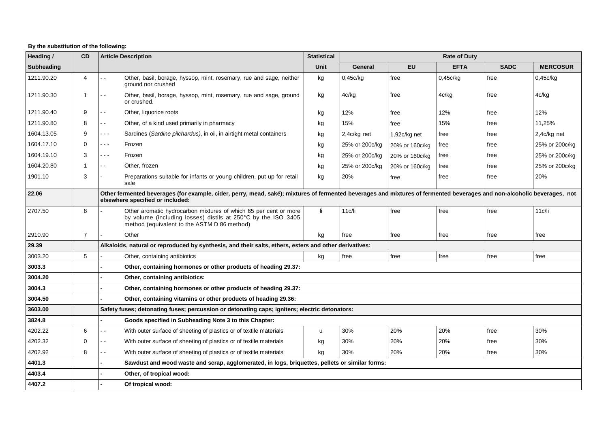| Heading /         | <b>CD</b>      | <b>Article Description</b>                                                                                                                                                                                  | <b>Statistical</b> | <b>Rate of Duty</b> |                |             |             |                 |  |
|-------------------|----------------|-------------------------------------------------------------------------------------------------------------------------------------------------------------------------------------------------------------|--------------------|---------------------|----------------|-------------|-------------|-----------------|--|
| <b>Subheading</b> |                |                                                                                                                                                                                                             | Unit               | General             | <b>EU</b>      | <b>EFTA</b> | <b>SADC</b> | <b>MERCOSUR</b> |  |
| 1211.90.20        | 4              | 22<br>Other, basil, borage, hyssop, mint, rosemary, rue and sage, neither<br>ground nor crushed                                                                                                             | kg                 | 0,45c/kg            | free           | 0,45c/kg    | free        | 0,45c/kg        |  |
| 1211.90.30        | -1             | Other, basil, borage, hyssop, mint, rosemary, rue and sage, ground<br>or crushed.                                                                                                                           | kg                 | 4c/kg               | free           | 4c/kg       | free        | 4c/kg           |  |
| 1211.90.40        | 9              | Other, liquorice roots<br>$\overline{\phantom{0}}$                                                                                                                                                          | kg                 | 12%                 | free           | 12%         | free        | 12%             |  |
| 1211.90.80        | 8              | Other, of a kind used primarily in pharmacy<br>$ -$                                                                                                                                                         | kg                 | 15%                 | free           | 15%         | free        | 11,25%          |  |
| 1604.13.05        | 9              | Sardines (Sardine pilchardus), in oil, in airtight metal containers<br>- - -                                                                                                                                | kg                 | $2,4c/kg$ net       | 1,92c/kg net   | free        | free        | 2,4c/kg net     |  |
| 1604.17.10        | $\Omega$       | Frozen<br>$\sim$ $\sim$ $\sim$                                                                                                                                                                              | kg                 | 25% or 200c/kg      | 20% or 160c/kg | free        | free        | 25% or 200c/kg  |  |
| 1604.19.10        | 3              | Frozen<br>$\sim$ $\sim$ $\sim$                                                                                                                                                                              | kg                 | 25% or 200c/kg      | 20% or 160c/kg | free        | free        | 25% or 200c/kg  |  |
| 1604.20.80        | $\mathbf{1}$   | Other, frozen<br>$ -$                                                                                                                                                                                       | kg                 | 25% or 200c/kg      | 20% or 160c/kg | free        | free        | 25% or 200c/kg  |  |
| 1901.10           | 3              | Preparations suitable for infants or young children, put up for retail<br>sale                                                                                                                              | kg                 | 20%                 | free           | free        | free        | 20%             |  |
| 22.06             |                | Other fermented beverages (for example, cider, perry, mead, saké); mixtures of fermented beverages and mixtures of fermented beverages and non-alcoholic beverages, not<br>elsewhere specified or included: |                    |                     |                |             |             |                 |  |
| 2707.50           | 8              | Other aromatic hydrocarbon mixtures of which 65 per cent or more<br>by volume (including losses) distils at 250°C by the ISO 3405<br>method (equivalent to the ASTM D 86 method)                            | -li                | 11c/li              | free           | free        | free        | 11c/li          |  |
| 2910.90           | $\overline{7}$ | Other                                                                                                                                                                                                       | kg                 | free                | free           | free        | free        | free            |  |
| 29.39             |                | Alkaloids, natural or reproduced by synthesis, and their salts, ethers, esters and other derivatives:                                                                                                       |                    |                     |                |             |             |                 |  |
| 3003.20           | 5              | Other, containing antibiotics                                                                                                                                                                               | kg                 | free                | free           | free        | free        | free            |  |
| 3003.3            |                | Other, containing hormones or other products of heading 29.37:                                                                                                                                              |                    |                     |                |             |             |                 |  |
| 3004.20           |                | Other, containing antibiotics:                                                                                                                                                                              |                    |                     |                |             |             |                 |  |
| 3004.3            |                | Other, containing hormones or other products of heading 29.37:                                                                                                                                              |                    |                     |                |             |             |                 |  |
| 3004.50           |                | Other, containing vitamins or other products of heading 29.36:                                                                                                                                              |                    |                     |                |             |             |                 |  |
| 3603.00           |                | Safety fuses; detonating fuses; percussion or detonating caps; igniters; electric detonators:                                                                                                               |                    |                     |                |             |             |                 |  |
| 3824.8            |                | Goods specified in Subheading Note 3 to this Chapter:                                                                                                                                                       |                    |                     |                |             |             |                 |  |
| 4202.22           | 6              | With outer surface of sheeting of plastics or of textile materials<br>. .                                                                                                                                   | u                  | 30%                 | 20%            | 20%         | free        | 30%             |  |
| 4202.32           | $\Omega$       | With outer surface of sheeting of plastics or of textile materials<br>$\overline{\phantom{a}}$                                                                                                              | kg                 | 30%                 | 20%            | 20%         | free        | 30%             |  |
| 4202.92           | 8              | $\sim$ $\sim$<br>With outer surface of sheeting of plastics or of textile materials                                                                                                                         | kg                 | 30%                 | 20%            | 20%         | free        | 30%             |  |
| 4401.3            |                | Sawdust and wood waste and scrap, agglomerated, in logs, briquettes, pellets or similar forms:                                                                                                              |                    |                     |                |             |             |                 |  |
| 4403.4            |                | Other, of tropical wood:                                                                                                                                                                                    |                    |                     |                |             |             |                 |  |
| 4407.2            |                | Of tropical wood:                                                                                                                                                                                           |                    |                     |                |             |             |                 |  |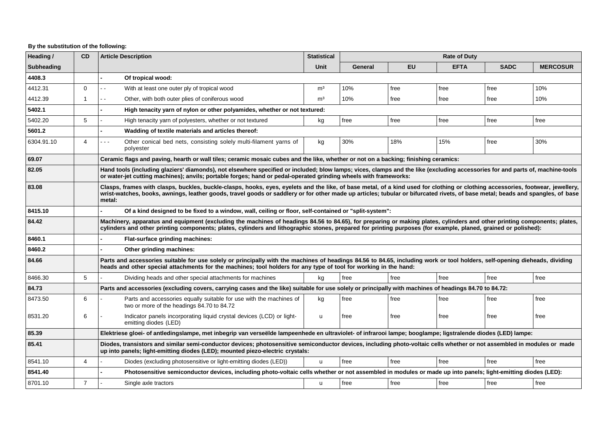| Heading /         | <b>CD</b>      | <b>Article Description</b>                                                                                                                                                                                                                                                                                                                                                  | <b>Statistical</b> | <b>Rate of Duty</b> |           |             |             |                 |  |
|-------------------|----------------|-----------------------------------------------------------------------------------------------------------------------------------------------------------------------------------------------------------------------------------------------------------------------------------------------------------------------------------------------------------------------------|--------------------|---------------------|-----------|-------------|-------------|-----------------|--|
| <b>Subheading</b> |                |                                                                                                                                                                                                                                                                                                                                                                             | <b>Unit</b>        | General             | <b>EU</b> | <b>EFTA</b> | <b>SADC</b> | <b>MERCOSUR</b> |  |
| 4408.3            |                | Of tropical wood:                                                                                                                                                                                                                                                                                                                                                           |                    |                     |           |             |             |                 |  |
| 4412.31           | $\Omega$       | With at least one outer ply of tropical wood<br>. .                                                                                                                                                                                                                                                                                                                         | m <sup>3</sup>     | 10%                 | free      | free        | free        | 10%             |  |
| 4412.39           | $\overline{1}$ | Other, with both outer plies of coniferous wood<br>. .                                                                                                                                                                                                                                                                                                                      | m <sup>3</sup>     | 10%                 | free      | free        | free        | 10%             |  |
| 5402.1            |                | High tenacity yarn of nylon or other polyamides, whether or not textured:                                                                                                                                                                                                                                                                                                   |                    |                     |           |             |             |                 |  |
| 5402.20           | 5              | High tenacity yarn of polyesters, whether or not textured                                                                                                                                                                                                                                                                                                                   | kg                 | free                | free      | free        | free        | free            |  |
| 5601.2            |                | Wadding of textile materials and articles thereof:                                                                                                                                                                                                                                                                                                                          |                    |                     |           |             |             |                 |  |
| 6304.91.10        | $\overline{4}$ | Other conical bed nets, consisting solely multi-filament yarns of<br>.<br>polyester                                                                                                                                                                                                                                                                                         | kg                 | 30%                 | 18%       | 15%         | free        | 30%             |  |
| 69.07             |                | Ceramic flags and paving, hearth or wall tiles; ceramic mosaic cubes and the like, whether or not on a backing; finishing ceramics:                                                                                                                                                                                                                                         |                    |                     |           |             |             |                 |  |
| 82.05             |                | Hand tools (including glaziers' diamonds), not elsewhere specified or included; blow lamps; vices, clamps and the like (excluding accessories for and parts of, machine-tools<br>or water-jet cutting machines); anvils; portable forges; hand or pedal-operated grinding wheels with frameworks:                                                                           |                    |                     |           |             |             |                 |  |
| 83.08             |                | Clasps, frames with clasps, buckles, buckle-clasps, hooks, eyes, eyelets and the like, of base metal, of a kind used for clothing or clothing accessories, footwear, jewellery,<br>wrist-watches, books, awnings, leather goods, travel goods or saddlery or for other made up articles; tubular or bifurcated rivets, of base metal; beads and spangles, of base<br>metal: |                    |                     |           |             |             |                 |  |
| 8415.10           |                | Of a kind designed to be fixed to a window, wall, ceiling or floor, self-contained or "split-system":                                                                                                                                                                                                                                                                       |                    |                     |           |             |             |                 |  |
| 84.42             |                | Machinery, apparatus and equipment (excluding the machines of headings 84.56 to 84.65), for preparing or making plates, cylinders and other printing components; plates,<br>cylinders and other printing components; plates, cylinders and lithographic stones, prepared for printing purposes (for example, planed, grained or polished):                                  |                    |                     |           |             |             |                 |  |
| 8460.1            |                | Flat-surface grinding machines:                                                                                                                                                                                                                                                                                                                                             |                    |                     |           |             |             |                 |  |
| 8460.2            |                | Other grinding machines:                                                                                                                                                                                                                                                                                                                                                    |                    |                     |           |             |             |                 |  |
| 84.66             |                | Parts and accessories suitable for use solely or principally with the machines of headings 84.56 to 84.65, including work or tool holders, self-opening dieheads, dividing<br>heads and other special attachments for the machines; tool holders for any type of tool for working in the hand:                                                                              |                    |                     |           |             |             |                 |  |
| 8466.30           | 5              | Dividing heads and other special attachments for machines                                                                                                                                                                                                                                                                                                                   | kg                 | free                | free      | free        | free        | free            |  |
| 84.73             |                | Parts and accessories (excluding covers, carrying cases and the like) suitable for use solely or principally with machines of headings 84.70 to 84.72:                                                                                                                                                                                                                      |                    |                     |           |             |             |                 |  |
| 8473.50           | 6              | Parts and accessories equally suitable for use with the machines of<br>two or more of the headings 84.70 to 84.72                                                                                                                                                                                                                                                           | kg                 | free                | free      | free        | free        | free            |  |
| 8531.20           | 6              | Indicator panels incorporating liquid crystal devices (LCD) or light-<br>emitting diodes (LED)                                                                                                                                                                                                                                                                              | u                  | free                | free      | free        | free        | free            |  |
| 85.39             |                | Elektriese gloei- of antledingslampe, met inbegrip van verseëlde lampeenhede en ultraviolet- of infrarooi lampe; booglampe; ligstralende diodes (LED) lampe:                                                                                                                                                                                                                |                    |                     |           |             |             |                 |  |
| 85.41             |                | Diodes, transistors and similar semi-conductor devices; photosensitive semiconductor devices, including photo-voltaic cells whether or not assembled in modules or made<br>up into panels; light-emitting diodes (LED); mounted piezo-electric crystals:                                                                                                                    |                    |                     |           |             |             |                 |  |
| 8541.10           | $\overline{4}$ | Diodes (excluding photosensitive or light-emitting diodes (LED))                                                                                                                                                                                                                                                                                                            | <b>u</b>           | free                | free      | free        | free        | free            |  |
| 8541.40           |                | Photosensitive semiconductor devices, including photo-voltaic cells whether or not assembled in modules or made up into panels; light-emitting diodes (LED):                                                                                                                                                                                                                |                    |                     |           |             |             |                 |  |
| 8701.10           | $\overline{7}$ | Single axle tractors                                                                                                                                                                                                                                                                                                                                                        | u                  | free                | free      | free        | free        | free            |  |